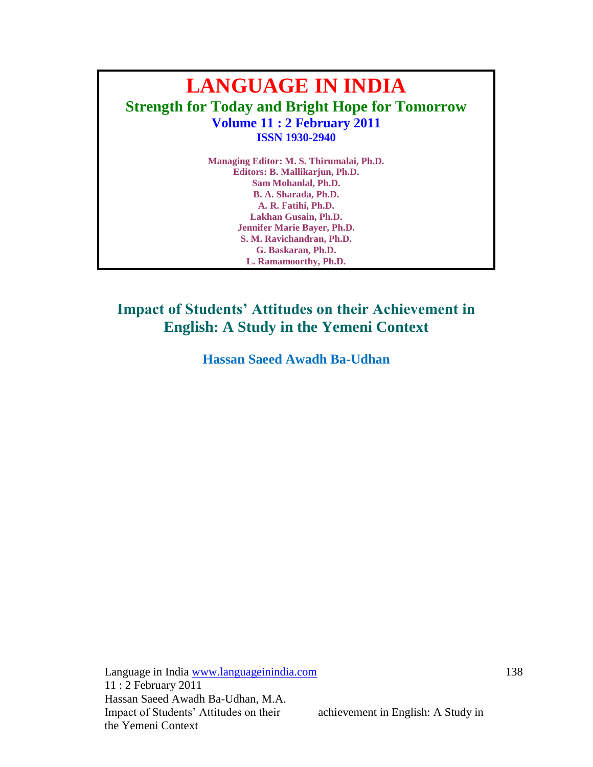# **LANGUAGE IN INDIA Strength for Today and Bright Hope for Tomorrow Volume 11 : 2 February 2011 ISSN 1930-2940**

**Managing Editor: M. S. Thirumalai, Ph.D. Editors: B. Mallikarjun, Ph.D. Sam Mohanlal, Ph.D. B. A. Sharada, Ph.D. A. R. Fatihi, Ph.D. Lakhan Gusain, Ph.D. Jennifer Marie Bayer, Ph.D. S. M. Ravichandran, Ph.D. G. Baskaran, Ph.D. L. Ramamoorthy, Ph.D.**

# **Impact of Students' Attitudes on their Achievement in English: A Study in the Yemeni Context**

**Hassan Saeed Awadh Ba-Udhan**

Language in India www.languageinindia.com 138 11 : 2 February 2011 Hassan Saeed Awadh Ba-Udhan, M.A. Impact of Students" Attitudes on their achievement in English: A Study in the Yemeni Context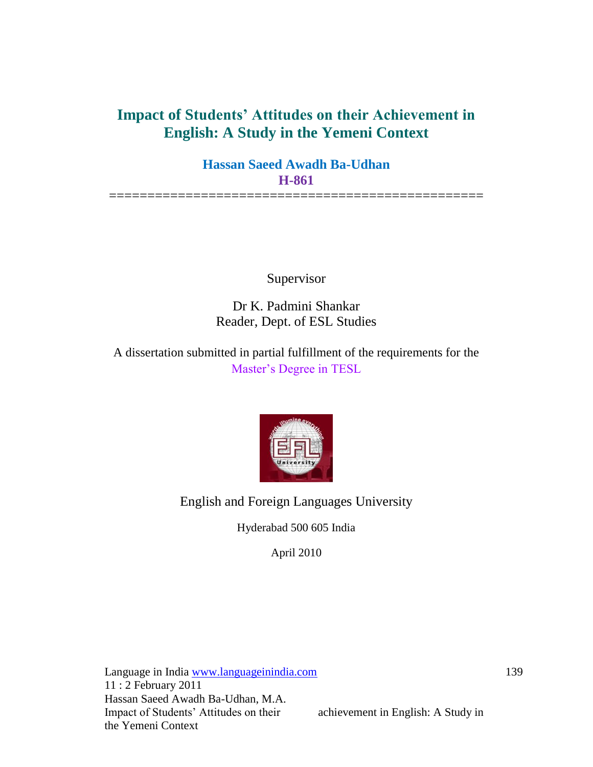# **Impact of Students' Attitudes on their Achievement in English: A Study in the Yemeni Context**

# **Hassan Saeed Awadh Ba-Udhan H-861**

=================================================

Supervisor

Dr K. Padmini Shankar Reader, Dept. of ESL Studies

A dissertation submitted in partial fulfillment of the requirements for the Master"s Degree in TESL



English and Foreign Languages University

Hyderabad 500 605 India

April 2010

Language in India www.languageinindia.com 139 11 : 2 February 2011 Hassan Saeed Awadh Ba-Udhan, M.A. Impact of Students" Attitudes on their achievement in English: A Study in the Yemeni Context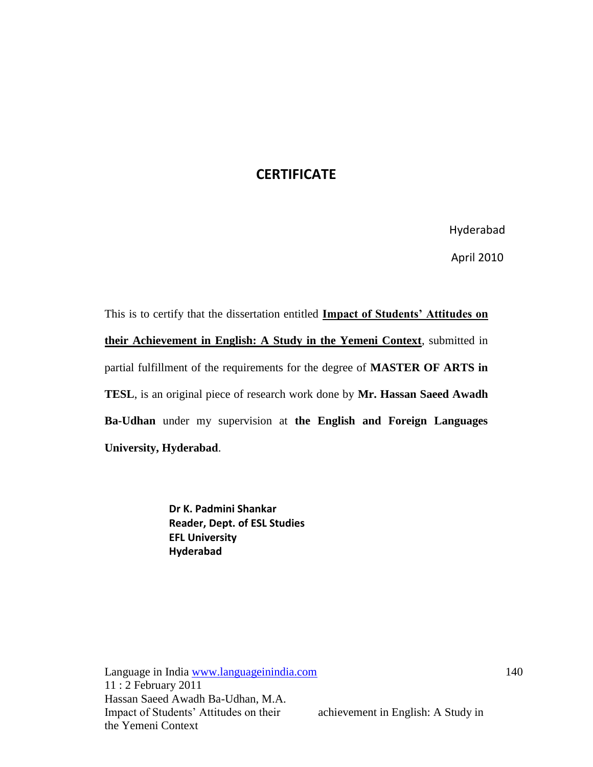# **CERTIFICATE**

Hyderabad

April 2010

This is to certify that the dissertation entitled **Impact of Students' Attitudes on their Achievement in English: A Study in the Yemeni Context**, submitted in partial fulfillment of the requirements for the degree of **MASTER OF ARTS in TESL**, is an original piece of research work done by **Mr. Hassan Saeed Awadh Ba-Udhan** under my supervision at **the English and Foreign Languages University, Hyderabad**.

> **Dr K. Padmini Shankar Reader, Dept. of ESL Studies EFL University Hyderabad**

Language in India www.languageinindia.com 140 11 : 2 February 2011 Hassan Saeed Awadh Ba-Udhan, M.A. Impact of Students" Attitudes on their achievement in English: A Study in the Yemeni Context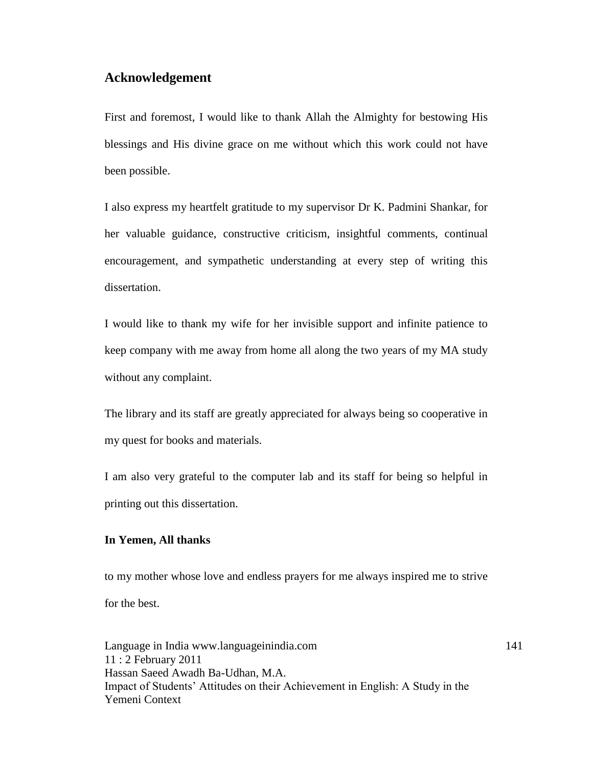# **Acknowledgement**

First and foremost, I would like to thank Allah the Almighty for bestowing His blessings and His divine grace on me without which this work could not have been possible.

I also express my heartfelt gratitude to my supervisor Dr K. Padmini Shankar, for her valuable guidance, constructive criticism, insightful comments, continual encouragement, and sympathetic understanding at every step of writing this dissertation.

I would like to thank my wife for her invisible support and infinite patience to keep company with me away from home all along the two years of my MA study without any complaint.

The library and its staff are greatly appreciated for always being so cooperative in my quest for books and materials.

I am also very grateful to the computer lab and its staff for being so helpful in printing out this dissertation.

### **In Yemen, All thanks**

to my mother whose love and endless prayers for me always inspired me to strive for the best.

Language in India www.languageinindia.com 141 11 : 2 February 2011 Hassan Saeed Awadh Ba-Udhan, M.A. Impact of Students" Attitudes on their Achievement in English: A Study in the Yemeni Context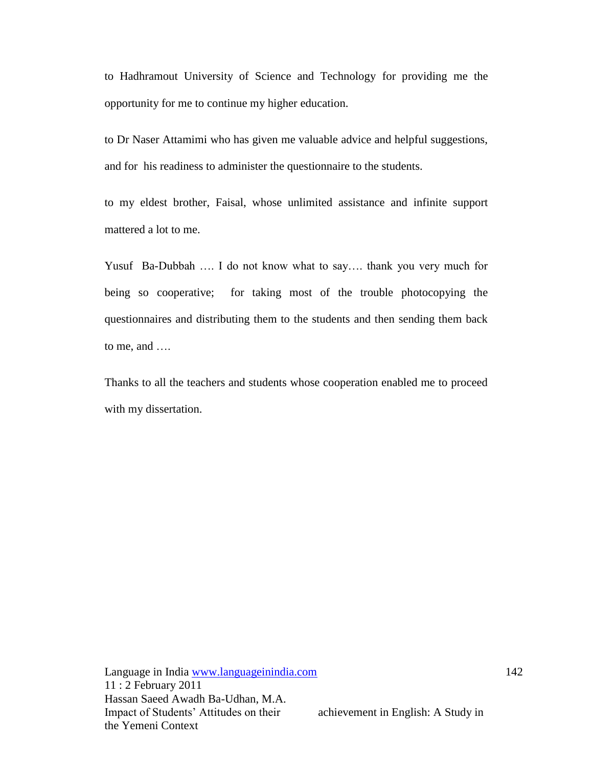to Hadhramout University of Science and Technology for providing me the opportunity for me to continue my higher education.

to Dr Naser Attamimi who has given me valuable advice and helpful suggestions, and for his readiness to administer the questionnaire to the students.

to my eldest brother, Faisal, whose unlimited assistance and infinite support mattered a lot to me.

Yusuf Ba-Dubbah …. I do not know what to say…. thank you very much for being so cooperative; for taking most of the trouble photocopying the questionnaires and distributing them to the students and then sending them back to me, and ….

Thanks to all the teachers and students whose cooperation enabled me to proceed with my dissertation.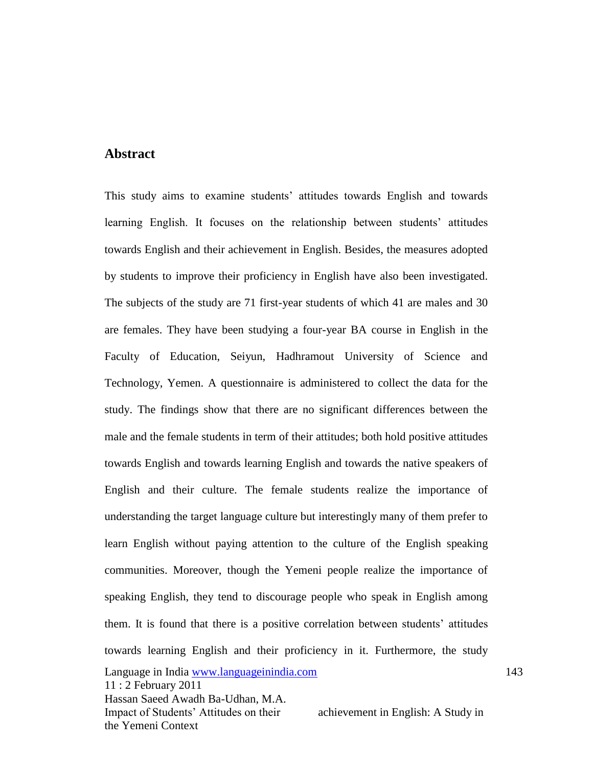## **Abstract**

Language in India www.languageinindia.com 143 11 : 2 February 2011 Hassan Saeed Awadh Ba-Udhan, M.A. Impact of Students" Attitudes on their achievement in English: A Study in the Yemeni Context This study aims to examine students" attitudes towards English and towards learning English. It focuses on the relationship between students' attitudes towards English and their achievement in English. Besides, the measures adopted by students to improve their proficiency in English have also been investigated. The subjects of the study are 71 first-year students of which 41 are males and 30 are females. They have been studying a four-year BA course in English in the Faculty of Education, Seiyun, Hadhramout University of Science and Technology, Yemen. A questionnaire is administered to collect the data for the study. The findings show that there are no significant differences between the male and the female students in term of their attitudes; both hold positive attitudes towards English and towards learning English and towards the native speakers of English and their culture. The female students realize the importance of understanding the target language culture but interestingly many of them prefer to learn English without paying attention to the culture of the English speaking communities. Moreover, though the Yemeni people realize the importance of speaking English, they tend to discourage people who speak in English among them. It is found that there is a positive correlation between students" attitudes towards learning English and their proficiency in it. Furthermore, the study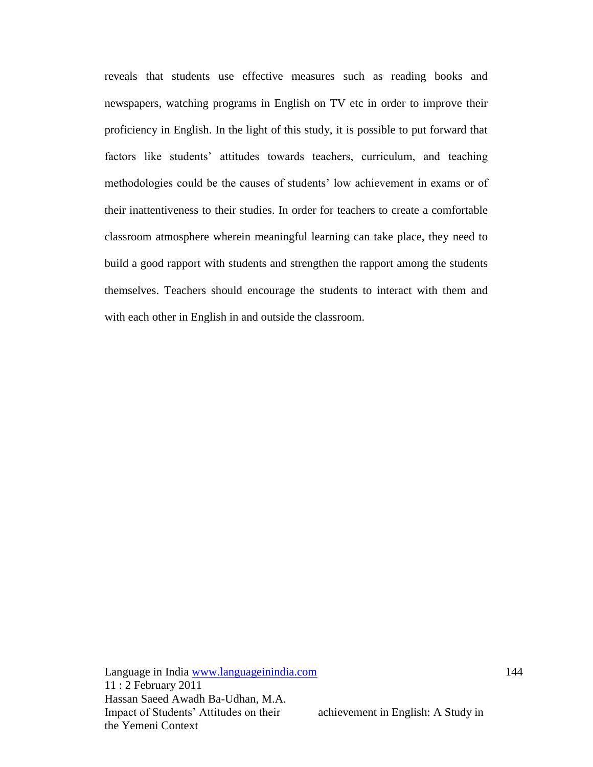reveals that students use effective measures such as reading books and newspapers, watching programs in English on TV etc in order to improve their proficiency in English. In the light of this study, it is possible to put forward that factors like students" attitudes towards teachers, curriculum, and teaching methodologies could be the causes of students' low achievement in exams or of their inattentiveness to their studies. In order for teachers to create a comfortable classroom atmosphere wherein meaningful learning can take place, they need to build a good rapport with students and strengthen the rapport among the students themselves. Teachers should encourage the students to interact with them and with each other in English in and outside the classroom.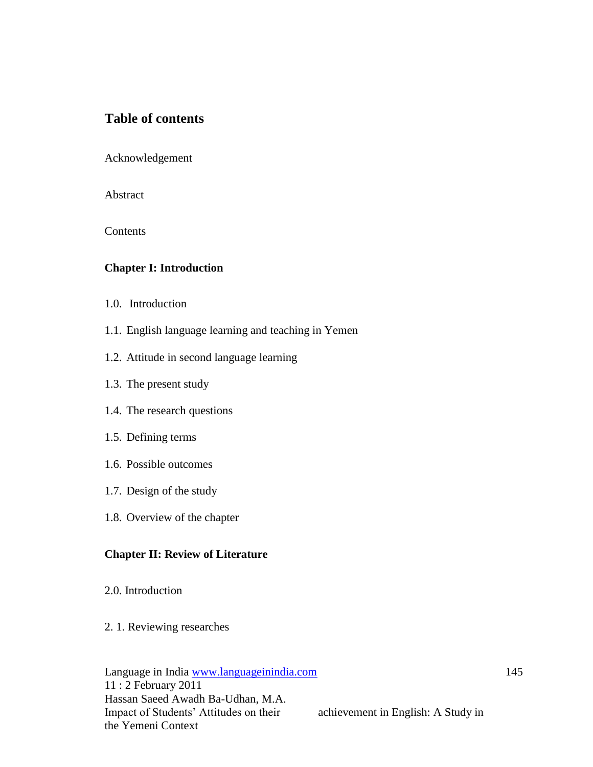# **Table of contents**

Acknowledgement

Abstract

**Contents** 

## **Chapter I: Introduction**

- 1.0. Introduction
- 1.1. English language learning and teaching in Yemen
- 1.2. Attitude in second language learning
- 1.3. The present study
- 1.4. The research questions
- 1.5. Defining terms
- 1.6. Possible outcomes
- 1.7. Design of the study
- 1.8. Overview of the chapter

# **Chapter II: Review of Literature**

- 2.0. Introduction
- 2. 1. Reviewing researches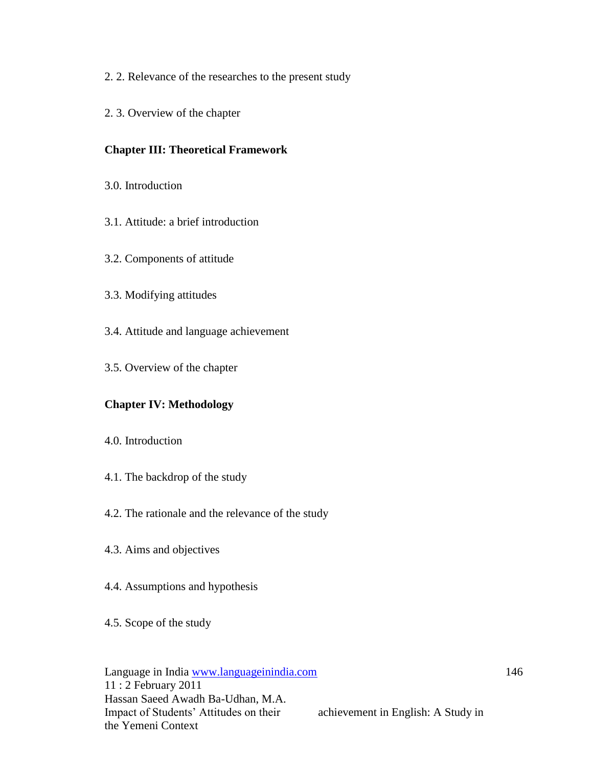- 2. 2. Relevance of the researches to the present study
- 2. 3. Overview of the chapter

### **Chapter III: Theoretical Framework**

- 3.0. Introduction
- 3.1. Attitude: a brief introduction
- 3.2. Components of attitude
- 3.3. Modifying attitudes
- 3.4. Attitude and language achievement
- 3.5. Overview of the chapter

## **Chapter IV: Methodology**

- 4.0. Introduction
- 4.1. The backdrop of the study
- 4.2. The rationale and the relevance of the study
- 4.3. Aims and objectives
- 4.4. Assumptions and hypothesis
- 4.5. Scope of the study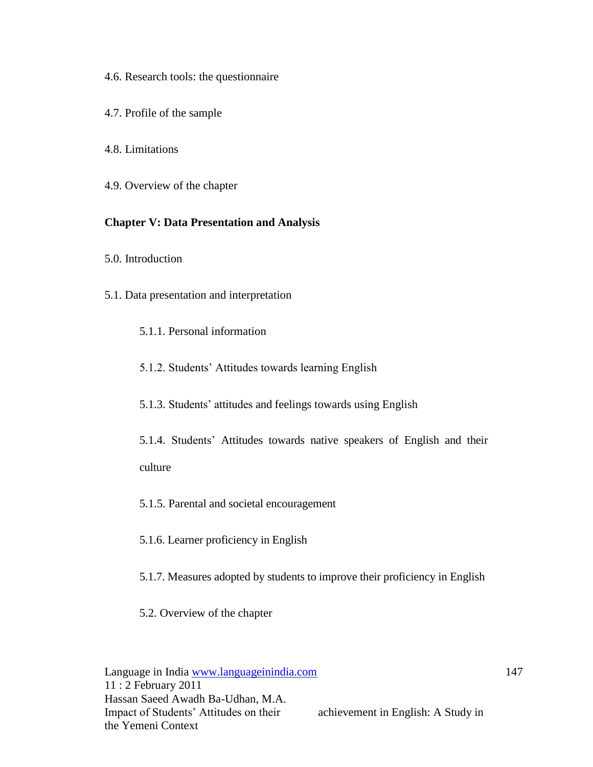- 4.6. Research tools: the questionnaire
- 4.7. Profile of the sample
- 4.8. Limitations
- 4.9. Overview of the chapter

# **Chapter V: Data Presentation and Analysis**

- 5.0. Introduction
- 5.1. Data presentation and interpretation
	- 5.1.1. Personal information
	- 5.1.2. Students" Attitudes towards learning English
	- 5.1.3. Students" attitudes and feelings towards using English
	- 5.1.4. Students" Attitudes towards native speakers of English and their culture
	- 5.1.5. Parental and societal encouragement
	- 5.1.6. Learner proficiency in English
	- 5.1.7. Measures adopted by students to improve their proficiency in English
	- 5.2. Overview of the chapter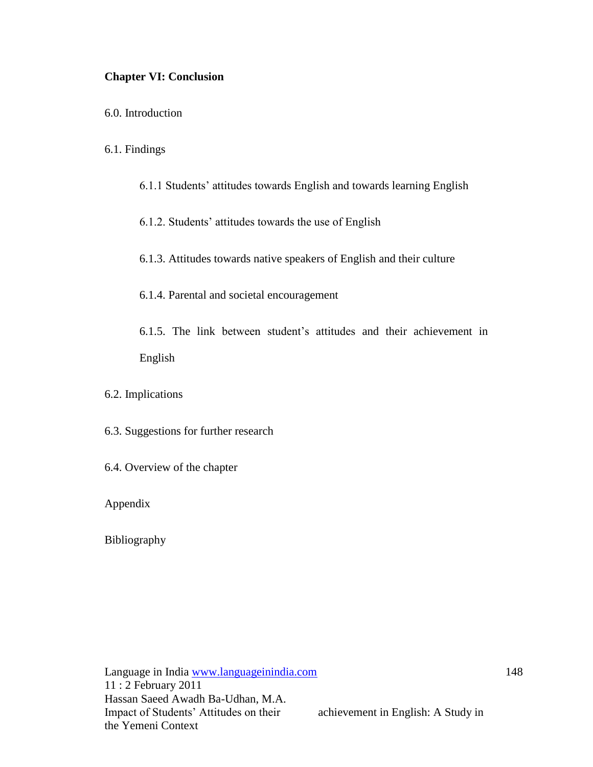# **Chapter VI: Conclusion**

6.0. Introduction

6.1. Findings

6.1.1 Students" attitudes towards English and towards learning English

6.1.2. Students" attitudes towards the use of English

6.1.3. Attitudes towards native speakers of English and their culture

6.1.4. Parental and societal encouragement

6.1.5. The link between student"s attitudes and their achievement in English

6.2. Implications

6.3. Suggestions for further research

6.4. Overview of the chapter

Appendix

Bibliography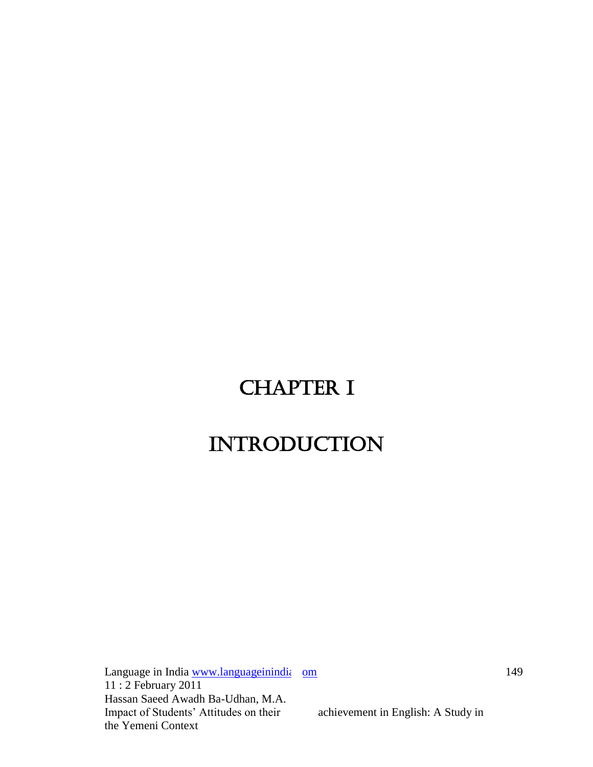# **CHAPTER I**

# **INTRODUCTION**

Language in India www.languageinindia om 149 11 : 2 February 2011 Hassan Saeed Awadh Ba-Udhan, M.A. Impact of Students" Attitudes on their achievement in English: A Study in the Yemeni Context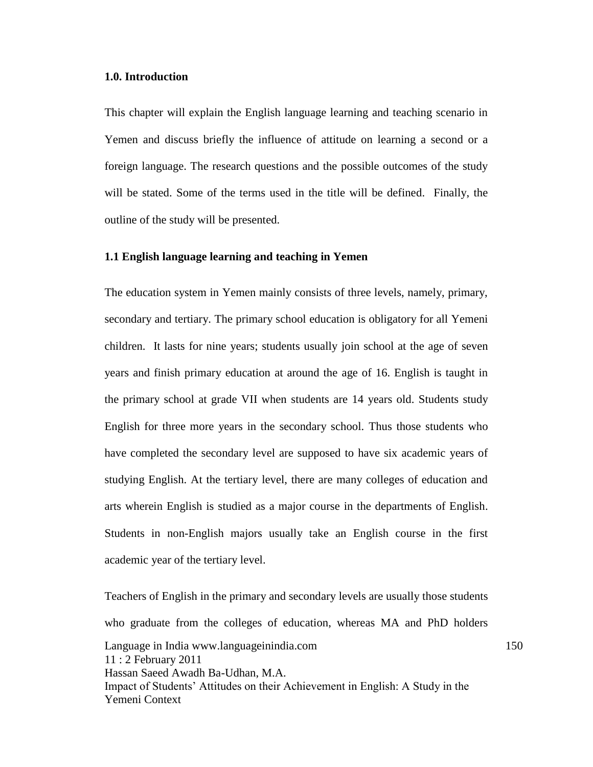#### **1.0. Introduction**

This chapter will explain the English language learning and teaching scenario in Yemen and discuss briefly the influence of attitude on learning a second or a foreign language. The research questions and the possible outcomes of the study will be stated. Some of the terms used in the title will be defined. Finally, the outline of the study will be presented.

#### **1.1 English language learning and teaching in Yemen**

The education system in Yemen mainly consists of three levels, namely, primary, secondary and tertiary. The primary school education is obligatory for all Yemeni children. It lasts for nine years; students usually join school at the age of seven years and finish primary education at around the age of 16. English is taught in the primary school at grade VII when students are 14 years old. Students study English for three more years in the secondary school. Thus those students who have completed the secondary level are supposed to have six academic years of studying English. At the tertiary level, there are many colleges of education and arts wherein English is studied as a major course in the departments of English. Students in non-English majors usually take an English course in the first academic year of the tertiary level.

Language in India www.languageinindia.com 150 11 : 2 February 2011 Hassan Saeed Awadh Ba-Udhan, M.A. Impact of Students" Attitudes on their Achievement in English: A Study in the Yemeni Context Teachers of English in the primary and secondary levels are usually those students who graduate from the colleges of education, whereas MA and PhD holders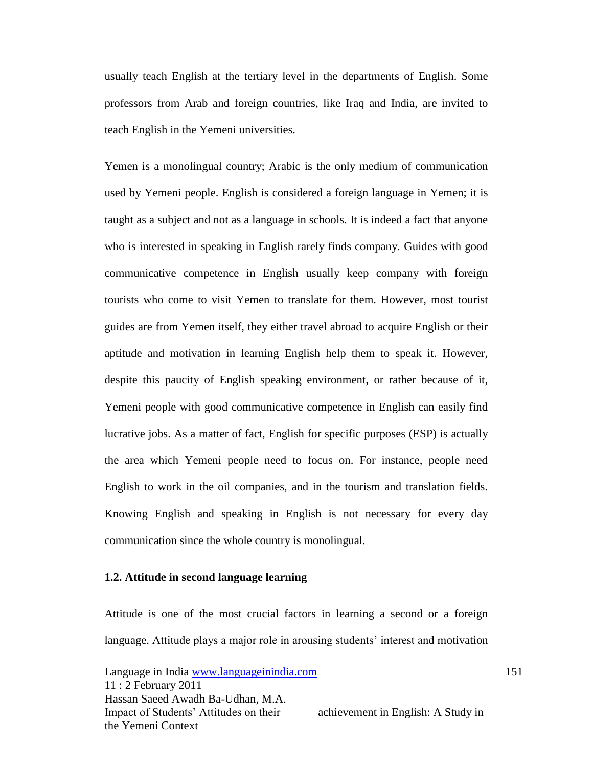usually teach English at the tertiary level in the departments of English. Some professors from Arab and foreign countries, like Iraq and India, are invited to teach English in the Yemeni universities.

Yemen is a monolingual country; Arabic is the only medium of communication used by Yemeni people. English is considered a foreign language in Yemen; it is taught as a subject and not as a language in schools. It is indeed a fact that anyone who is interested in speaking in English rarely finds company. Guides with good communicative competence in English usually keep company with foreign tourists who come to visit Yemen to translate for them. However, most tourist guides are from Yemen itself, they either travel abroad to acquire English or their aptitude and motivation in learning English help them to speak it. However, despite this paucity of English speaking environment, or rather because of it, Yemeni people with good communicative competence in English can easily find lucrative jobs. As a matter of fact, English for specific purposes (ESP) is actually the area which Yemeni people need to focus on. For instance, people need English to work in the oil companies, and in the tourism and translation fields. Knowing English and speaking in English is not necessary for every day communication since the whole country is monolingual.

#### **1.2. Attitude in second language learning**

Attitude is one of the most crucial factors in learning a second or a foreign language. Attitude plays a major role in arousing students' interest and motivation

Language in India www.languageinindia.com 151 11 : 2 February 2011 Hassan Saeed Awadh Ba-Udhan, M.A. Impact of Students" Attitudes on their achievement in English: A Study in the Yemeni Context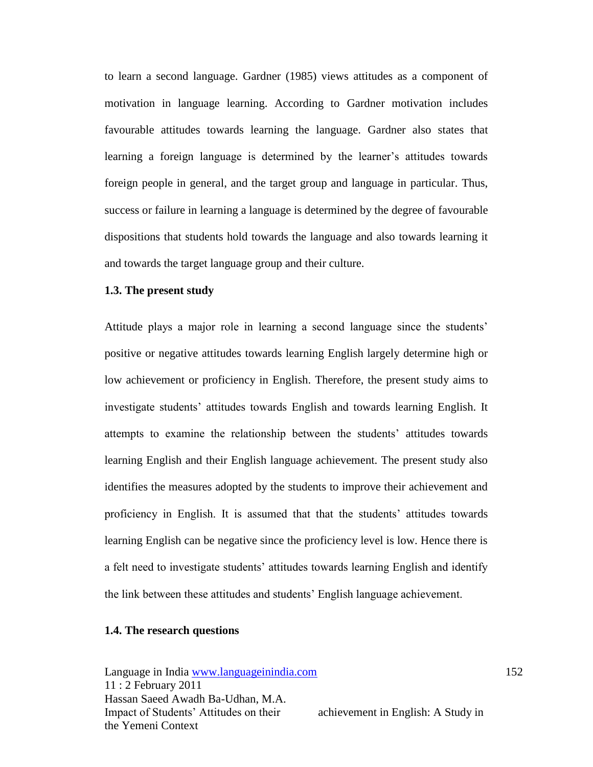to learn a second language. Gardner (1985) views attitudes as a component of motivation in language learning. According to Gardner motivation includes favourable attitudes towards learning the language. Gardner also states that learning a foreign language is determined by the learner"s attitudes towards foreign people in general, and the target group and language in particular. Thus, success or failure in learning a language is determined by the degree of favourable dispositions that students hold towards the language and also towards learning it and towards the target language group and their culture.

# **1.3. The present study**

Attitude plays a major role in learning a second language since the students" positive or negative attitudes towards learning English largely determine high or low achievement or proficiency in English. Therefore, the present study aims to investigate students" attitudes towards English and towards learning English. It attempts to examine the relationship between the students" attitudes towards learning English and their English language achievement. The present study also identifies the measures adopted by the students to improve their achievement and proficiency in English. It is assumed that that the students" attitudes towards learning English can be negative since the proficiency level is low. Hence there is a felt need to investigate students" attitudes towards learning English and identify the link between these attitudes and students" English language achievement.

#### **1.4. The research questions**

Language in India www.languageinindia.com 152 11 : 2 February 2011 Hassan Saeed Awadh Ba-Udhan, M.A. Impact of Students" Attitudes on their achievement in English: A Study in the Yemeni Context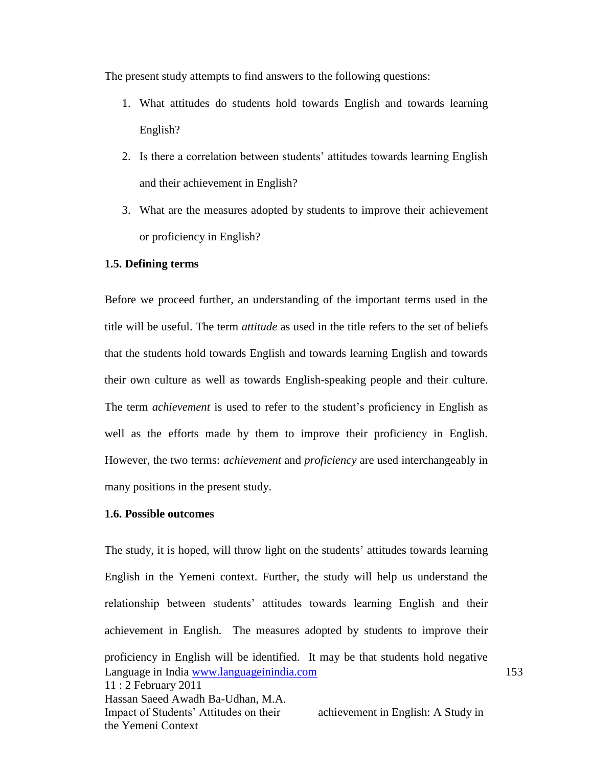The present study attempts to find answers to the following questions:

- 1. What attitudes do students hold towards English and towards learning English?
- 2. Is there a correlation between students" attitudes towards learning English and their achievement in English?
- 3. What are the measures adopted by students to improve their achievement or proficiency in English?

#### **1.5. Defining terms**

Before we proceed further, an understanding of the important terms used in the title will be useful. The term *attitude* as used in the title refers to the set of beliefs that the students hold towards English and towards learning English and towards their own culture as well as towards English-speaking people and their culture. The term *achievement* is used to refer to the student"s proficiency in English as well as the efforts made by them to improve their proficiency in English. However, the two terms: *achievement* and *proficiency* are used interchangeably in many positions in the present study.

### **1.6. Possible outcomes**

Language in India www.languageinindia.com 153 11 : 2 February 2011 Hassan Saeed Awadh Ba-Udhan, M.A. Impact of Students" Attitudes on their achievement in English: A Study in the Yemeni Context The study, it is hoped, will throw light on the students" attitudes towards learning English in the Yemeni context. Further, the study will help us understand the relationship between students" attitudes towards learning English and their achievement in English. The measures adopted by students to improve their proficiency in English will be identified. It may be that students hold negative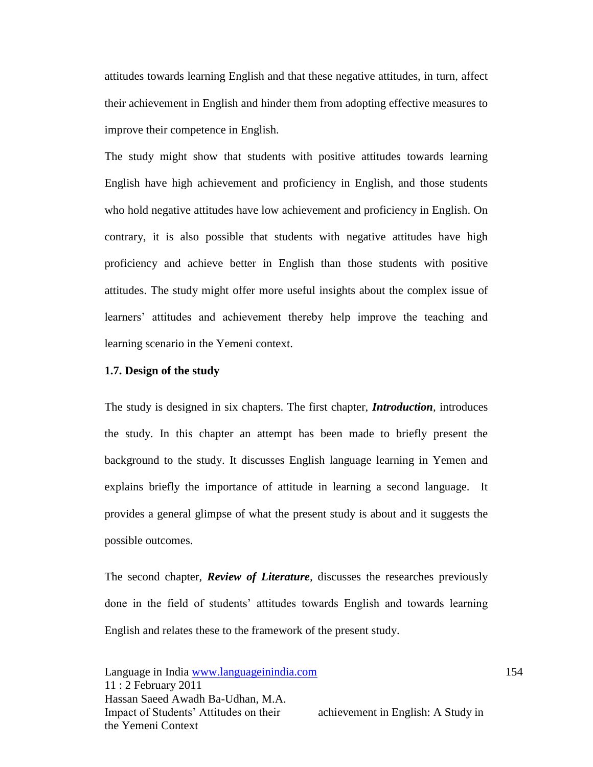attitudes towards learning English and that these negative attitudes, in turn, affect their achievement in English and hinder them from adopting effective measures to improve their competence in English.

The study might show that students with positive attitudes towards learning English have high achievement and proficiency in English, and those students who hold negative attitudes have low achievement and proficiency in English. On contrary, it is also possible that students with negative attitudes have high proficiency and achieve better in English than those students with positive attitudes. The study might offer more useful insights about the complex issue of learners' attitudes and achievement thereby help improve the teaching and learning scenario in the Yemeni context.

#### **1.7. Design of the study**

The study is designed in six chapters. The first chapter, *Introduction*, introduces the study. In this chapter an attempt has been made to briefly present the background to the study. It discusses English language learning in Yemen and explains briefly the importance of attitude in learning a second language. It provides a general glimpse of what the present study is about and it suggests the possible outcomes.

The second chapter, *Review of Literature,* discusses the researches previously done in the field of students" attitudes towards English and towards learning English and relates these to the framework of the present study.

Language in India www.languageinindia.com 154 11 : 2 February 2011 Hassan Saeed Awadh Ba-Udhan, M.A. Impact of Students" Attitudes on their achievement in English: A Study in the Yemeni Context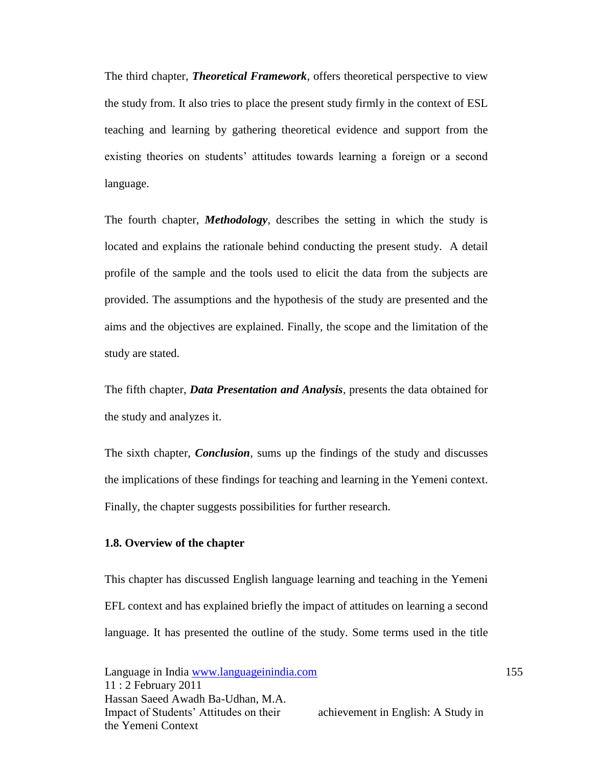The third chapter, *Theoretical Framework,* offers theoretical perspective to view the study from. It also tries to place the present study firmly in the context of ESL teaching and learning by gathering theoretical evidence and support from the existing theories on students' attitudes towards learning a foreign or a second language.

The fourth chapter, *Methodology*, describes the setting in which the study is located and explains the rationale behind conducting the present study. A detail profile of the sample and the tools used to elicit the data from the subjects are provided. The assumptions and the hypothesis of the study are presented and the aims and the objectives are explained. Finally, the scope and the limitation of the study are stated.

The fifth chapter, *Data Presentation and Analysis,* presents the data obtained for the study and analyzes it.

The sixth chapter, *Conclusion,* sums up the findings of the study and discusses the implications of these findings for teaching and learning in the Yemeni context. Finally, the chapter suggests possibilities for further research.

### **1.8. Overview of the chapter**

This chapter has discussed English language learning and teaching in the Yemeni EFL context and has explained briefly the impact of attitudes on learning a second language. It has presented the outline of the study. Some terms used in the title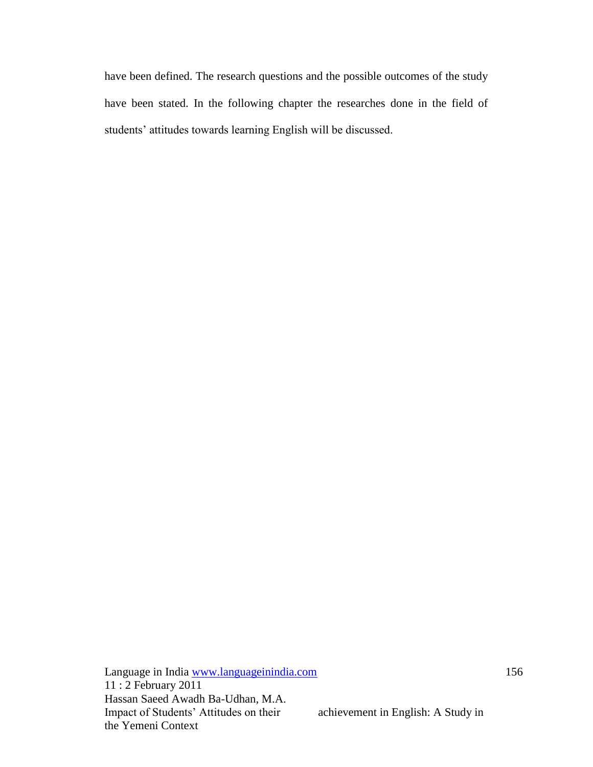have been defined. The research questions and the possible outcomes of the study have been stated. In the following chapter the researches done in the field of students" attitudes towards learning English will be discussed.

Language in India www.languageinindia.com 156 11 : 2 February 2011 Hassan Saeed Awadh Ba-Udhan, M.A. Impact of Students" Attitudes on their achievement in English: A Study in the Yemeni Context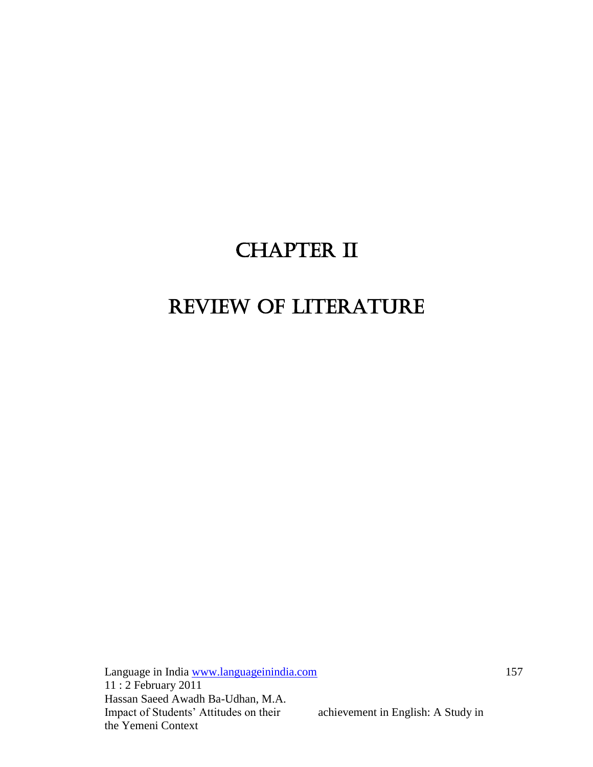# CHAPTER II

# Review of Literature

Language in India www.languageinindia.com 157 11 : 2 February 2011 Hassan Saeed Awadh Ba-Udhan, M.A. Impact of Students" Attitudes on their achievement in English: A Study in the Yemeni Context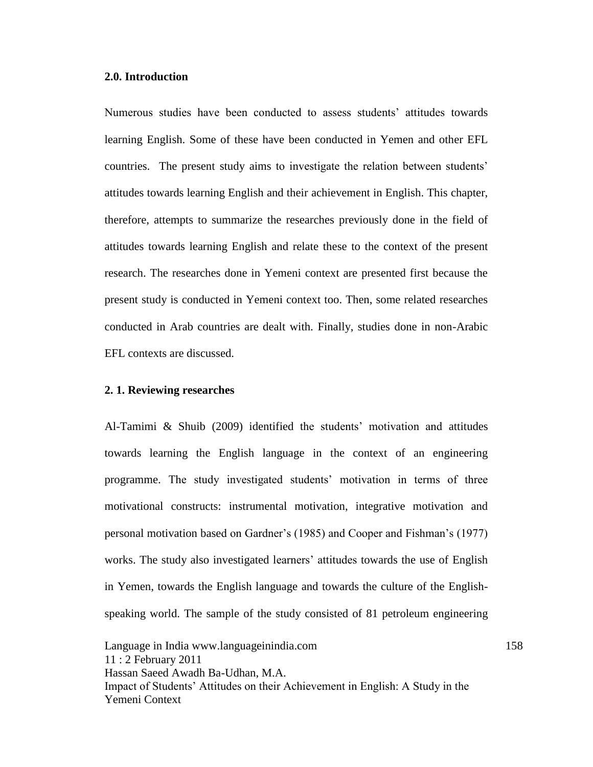#### **2.0. Introduction**

Numerous studies have been conducted to assess students" attitudes towards learning English. Some of these have been conducted in Yemen and other EFL countries. The present study aims to investigate the relation between students" attitudes towards learning English and their achievement in English. This chapter, therefore, attempts to summarize the researches previously done in the field of attitudes towards learning English and relate these to the context of the present research. The researches done in Yemeni context are presented first because the present study is conducted in Yemeni context too. Then, some related researches conducted in Arab countries are dealt with. Finally, studies done in non-Arabic EFL contexts are discussed.

#### **2. 1. Reviewing researches**

Al-Tamimi  $\&$  Shuib (2009) identified the students' motivation and attitudes towards learning the English language in the context of an engineering programme. The study investigated students' motivation in terms of three motivational constructs: instrumental motivation, integrative motivation and personal motivation based on Gardner"s (1985) and Cooper and Fishman"s (1977) works. The study also investigated learners" attitudes towards the use of English in Yemen, towards the English language and towards the culture of the Englishspeaking world. The sample of the study consisted of 81 petroleum engineering

Language in India www.languageinindia.com 158 11 : 2 February 2011 Hassan Saeed Awadh Ba-Udhan, M.A. Impact of Students" Attitudes on their Achievement in English: A Study in the Yemeni Context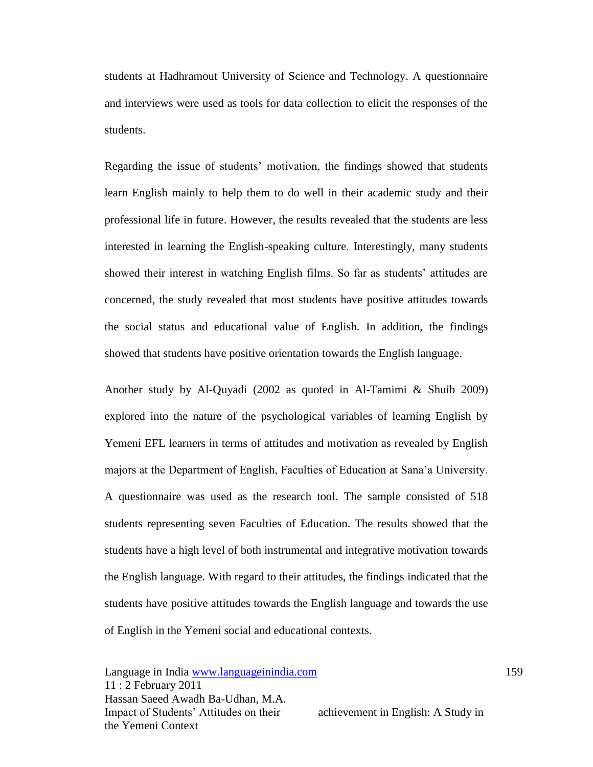students at Hadhramout University of Science and Technology. A questionnaire and interviews were used as tools for data collection to elicit the responses of the students.

Regarding the issue of students" motivation, the findings showed that students learn English mainly to help them to do well in their academic study and their professional life in future. However, the results revealed that the students are less interested in learning the English-speaking culture. Interestingly, many students showed their interest in watching English films. So far as students" attitudes are concerned, the study revealed that most students have positive attitudes towards the social status and educational value of English. In addition, the findings showed that students have positive orientation towards the English language.

Another study by Al-Quyadi (2002 as quoted in Al-Tamimi & Shuib 2009) explored into the nature of the psychological variables of learning English by Yemeni EFL learners in terms of attitudes and motivation as revealed by English majors at the Department of English, Faculties of Education at Sana"a University. A questionnaire was used as the research tool. The sample consisted of 518 students representing seven Faculties of Education. The results showed that the students have a high level of both instrumental and integrative motivation towards the English language. With regard to their attitudes, the findings indicated that the students have positive attitudes towards the English language and towards the use of English in the Yemeni social and educational contexts.

Language in India www.languageinindia.com 159 11 : 2 February 2011 Hassan Saeed Awadh Ba-Udhan, M.A. Impact of Students" Attitudes on their achievement in English: A Study in the Yemeni Context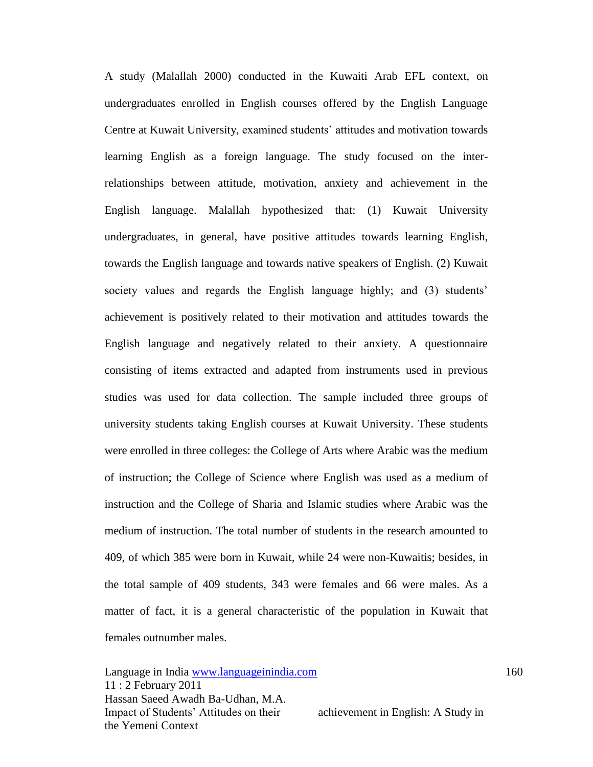A study (Malallah 2000) conducted in the Kuwaiti Arab EFL context, on undergraduates enrolled in English courses offered by the English Language Centre at Kuwait University, examined students" attitudes and motivation towards learning English as a foreign language. The study focused on the interrelationships between attitude, motivation, anxiety and achievement in the English language. Malallah hypothesized that: (1) Kuwait University undergraduates, in general, have positive attitudes towards learning English, towards the English language and towards native speakers of English. (2) Kuwait society values and regards the English language highly; and (3) students' achievement is positively related to their motivation and attitudes towards the English language and negatively related to their anxiety. A questionnaire consisting of items extracted and adapted from instruments used in previous studies was used for data collection. The sample included three groups of university students taking English courses at Kuwait University. These students were enrolled in three colleges: the College of Arts where Arabic was the medium of instruction; the College of Science where English was used as a medium of instruction and the College of Sharia and Islamic studies where Arabic was the medium of instruction. The total number of students in the research amounted to 409, of which 385 were born in Kuwait, while 24 were non-Kuwaitis; besides, in the total sample of 409 students, 343 were females and 66 were males. As a matter of fact, it is a general characteristic of the population in Kuwait that females outnumber males.

Language in India www.languageinindia.com 160 11 : 2 February 2011 Hassan Saeed Awadh Ba-Udhan, M.A. Impact of Students" Attitudes on their achievement in English: A Study in the Yemeni Context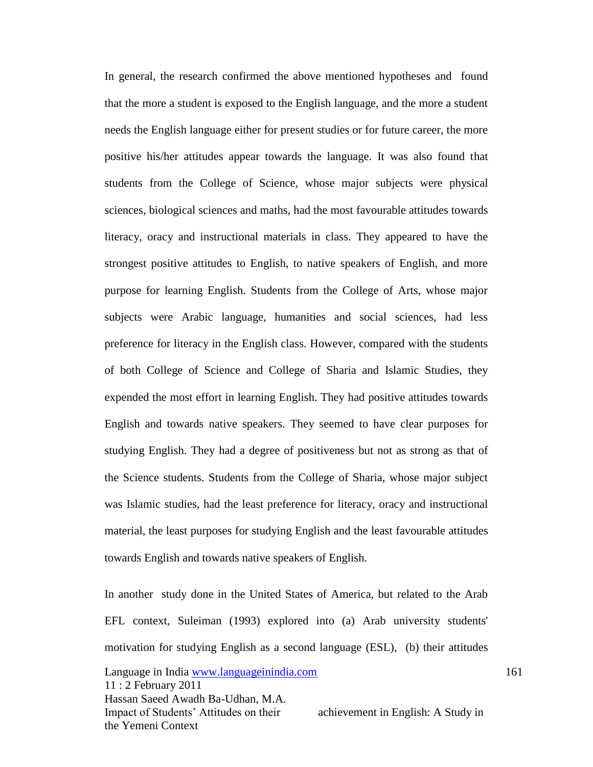In general, the research confirmed the above mentioned hypotheses and found that the more a student is exposed to the English language, and the more a student needs the English language either for present studies or for future career, the more positive his/her attitudes appear towards the language. It was also found that students from the College of Science, whose major subjects were physical sciences, biological sciences and maths, had the most favourable attitudes towards literacy, oracy and instructional materials in class. They appeared to have the strongest positive attitudes to English, to native speakers of English, and more purpose for learning English. Students from the College of Arts, whose major subjects were Arabic language, humanities and social sciences, had less preference for literacy in the English class. However, compared with the students of both College of Science and College of Sharia and Islamic Studies, they expended the most effort in learning English. They had positive attitudes towards English and towards native speakers. They seemed to have clear purposes for studying English. They had a degree of positiveness but not as strong as that of the Science students. Students from the College of Sharia, whose major subject was Islamic studies, had the least preference for literacy, oracy and instructional material, the least purposes for studying English and the least favourable attitudes towards English and towards native speakers of English.

In another study done in the United States of America, but related to the Arab EFL context, [Suleiman](http://www.eric.ed.gov/ERICWebPortal/Home.portal?_nfpb=true&_pageLabel=ERICSearchResult&_urlType=action&newSearch=true&ERICExtSearch_SearchType_0=au&ERICExtSearch_SearchValue_0=%22Suleiman+Mahmoud+F.%22) (1993) explored into (a) Arab university students' motivation for studying English as a second language (ESL), (b) their attitudes

Language in India www.languageinindia.com 161 11 : 2 February 2011 Hassan Saeed Awadh Ba-Udhan, M.A. Impact of Students" Attitudes on their achievement in English: A Study in the Yemeni Context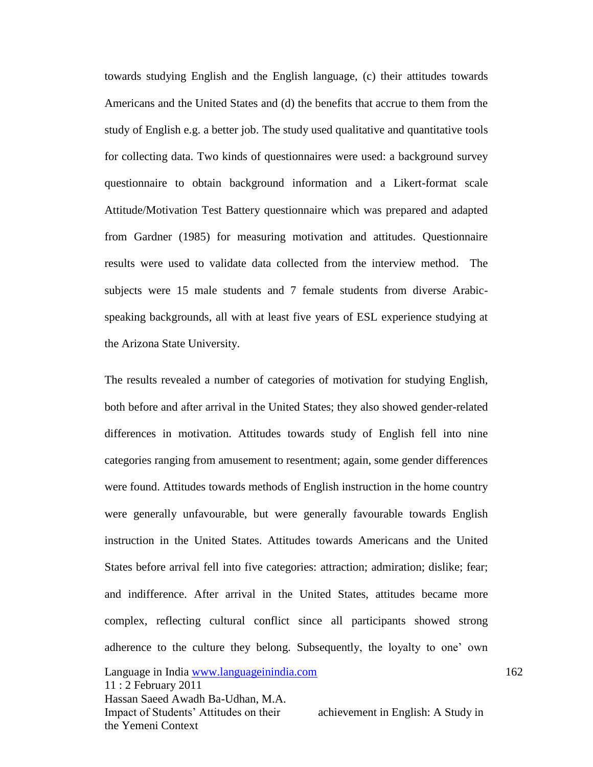towards studying English and the English language, (c) their attitudes towards Americans and the United States and (d) the benefits that accrue to them from the study of English e.g. a better job. The study used qualitative and quantitative tools for collecting data. Two kinds of questionnaires were used: a background survey questionnaire to obtain background information and a Likert-format scale Attitude/Motivation Test Battery questionnaire which was prepared and adapted from Gardner (1985) for measuring motivation and attitudes. Questionnaire results were used to validate data collected from the interview method. The subjects were 15 male students and 7 female students from diverse Arabicspeaking backgrounds, all with at least five years of ESL experience studying at the Arizona State University.

Language in India www.languageinindia.com 162 11 : 2 February 2011 Hassan Saeed Awadh Ba-Udhan, M.A. The results revealed a number of categories of motivation for studying English, both before and after arrival in the United States; they also showed gender-related differences in motivation. Attitudes towards study of English fell into nine categories ranging from amusement to resentment; again, some gender differences were found. Attitudes towards methods of English instruction in the home country were generally unfavourable, but were generally favourable towards English instruction in the United States. Attitudes towards Americans and the United States before arrival fell into five categories: attraction; admiration; dislike; fear; and indifference. After arrival in the United States, attitudes became more complex, reflecting cultural conflict since all participants showed strong adherence to the culture they belong. Subsequently, the loyalty to one" own

Impact of Students" Attitudes on their achievement in English: A Study in the Yemeni Context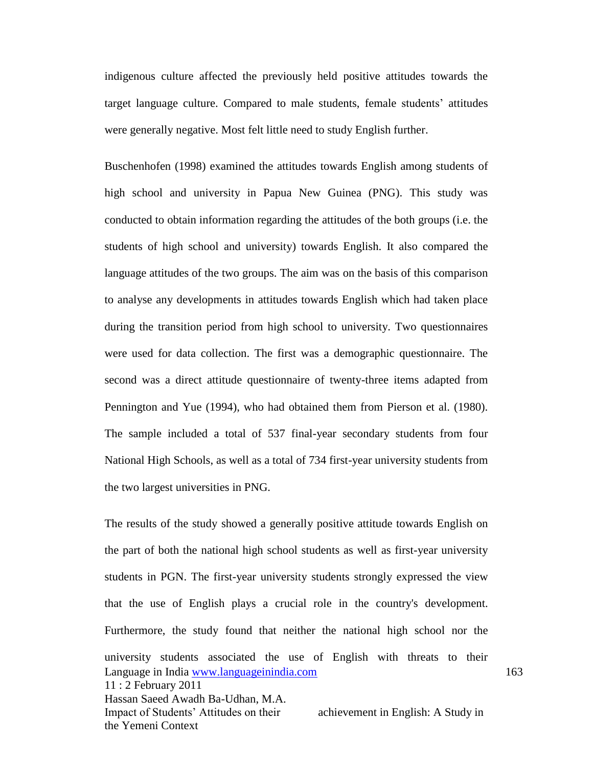indigenous culture affected the previously held positive attitudes towards the target language culture. Compared to male students, female students" attitudes were generally negative. Most felt little need to study English further.

Buschenhofen (1998) examined the attitudes towards English among students of high school and university in Papua New Guinea (PNG). This study was conducted to obtain information regarding the attitudes of the both groups (i.e. the students of high school and university) towards English. It also compared the language attitudes of the two groups. The aim was on the basis of this comparison to analyse any developments in attitudes towards English which had taken place during the transition period from high school to university. Two questionnaires were used for data collection. The first was a demographic questionnaire. The second was a direct attitude questionnaire of twenty-three items adapted from Pennington and Yue (1994), who had obtained them from Pierson et al. (1980). The sample included a total of 537 final-year secondary students from four National High Schools, as well as a total of 734 first-year university students from the two largest universities in PNG.

Language in India www.languageinindia.com 163 11 : 2 February 2011 Hassan Saeed Awadh Ba-Udhan, M.A. Impact of Students" Attitudes on their achievement in English: A Study in the Yemeni Context The results of the study showed a generally positive attitude towards English on the part of both the national high school students as well as first-year university students in PGN. The first-year university students strongly expressed the view that the use of English plays a crucial role in the country's development. Furthermore, the study found that neither the national high school nor the university students associated the use of English with threats to their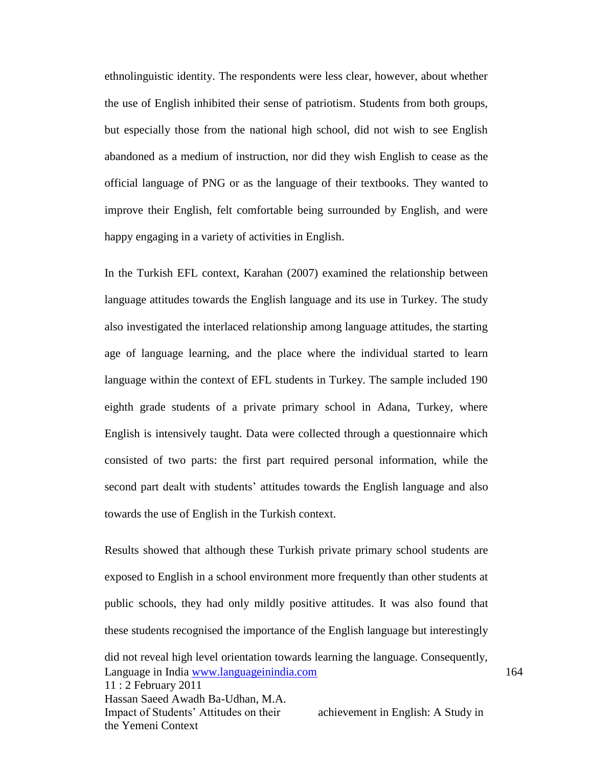ethnolinguistic identity. The respondents were less clear, however, about whether the use of English inhibited their sense of patriotism. Students from both groups, but especially those from the national high school, did not wish to see English abandoned as a medium of instruction, nor did they wish English to cease as the official language of PNG or as the language of their textbooks. They wanted to improve their English, felt comfortable being surrounded by English, and were happy engaging in a variety of activities in English.

In the Turkish EFL context, Karahan (2007) examined the relationship between language attitudes towards the English language and its use in Turkey. The study also investigated the interlaced relationship among language attitudes, the starting age of language learning, and the place where the individual started to learn language within the context of EFL students in Turkey. The sample included 190 eighth grade students of a private primary school in Adana, Turkey, where English is intensively taught. Data were collected through a questionnaire which consisted of two parts: the first part required personal information, while the second part dealt with students' attitudes towards the English language and also towards the use of English in the Turkish context.

Results showed that although these Turkish private primary school students are exposed to English in a school environment more frequently than other students at public schools, they had only mildly positive attitudes. It was also found that these students recognised the importance of the English language but interestingly

Language in India www.languageinindia.com 164 11 : 2 February 2011 Hassan Saeed Awadh Ba-Udhan, M.A. Impact of Students" Attitudes on their achievement in English: A Study in the Yemeni Context did not reveal high level orientation towards learning the language. Consequently,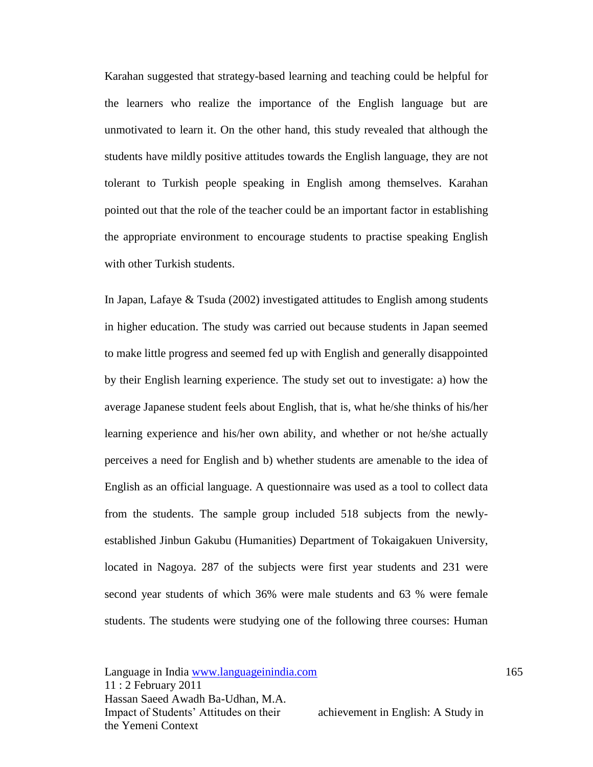Karahan suggested that strategy-based learning and teaching could be helpful for the learners who realize the importance of the English language but are unmotivated to learn it. On the other hand, this study revealed that although the students have mildly positive attitudes towards the English language, they are not tolerant to Turkish people speaking in English among themselves. Karahan pointed out that the role of the teacher could be an important factor in establishing the appropriate environment to encourage students to practise speaking English with other Turkish students.

In Japan, Lafaye & Tsuda (2002) investigated attitudes to English among students in higher education. The study was carried out because students in Japan seemed to make little progress and seemed fed up with English and generally disappointed by their English learning experience. The study set out to investigate: a) how the average Japanese student feels about English, that is, what he/she thinks of his/her learning experience and his/her own ability, and whether or not he/she actually perceives a need for English and b) whether students are amenable to the idea of English as an official language. A questionnaire was used as a tool to collect data from the students. The sample group included 518 subjects from the newlyestablished Jinbun Gakubu (Humanities) Department of Tokaigakuen University, located in Nagoya. 287 of the subjects were first year students and 231 were second year students of which 36% were male students and 63 % were female students. The students were studying one of the following three courses: Human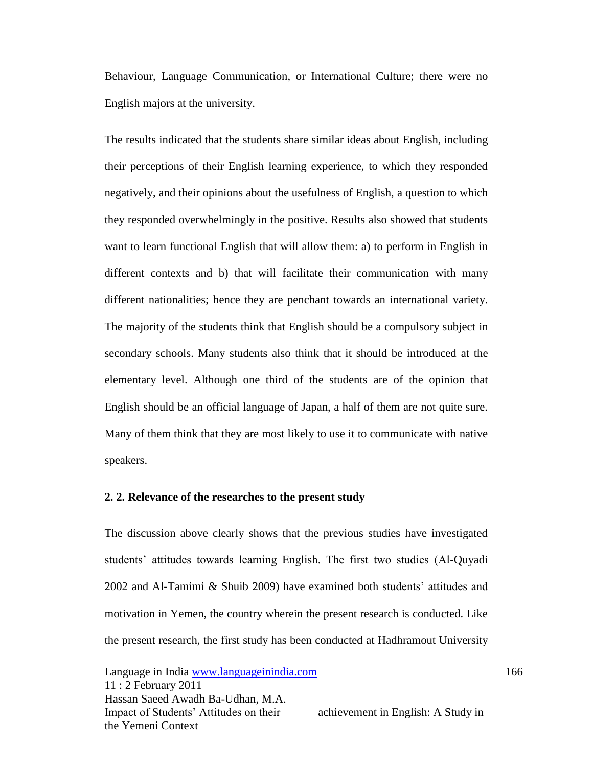Behaviour, Language Communication, or International Culture; there were no English majors at the university.

The results indicated that the students share similar ideas about English, including their perceptions of their English learning experience, to which they responded negatively, and their opinions about the usefulness of English, a question to which they responded overwhelmingly in the positive. Results also showed that students want to learn functional English that will allow them: a) to perform in English in different contexts and b) that will facilitate their communication with many different nationalities; hence they are penchant towards an international variety. The majority of the students think that English should be a compulsory subject in secondary schools. Many students also think that it should be introduced at the elementary level. Although one third of the students are of the opinion that English should be an official language of Japan, a half of them are not quite sure. Many of them think that they are most likely to use it to communicate with native speakers.

### **2. 2. Relevance of the researches to the present study**

The discussion above clearly shows that the previous studies have investigated students" attitudes towards learning English. The first two studies (Al-Quyadi 2002 and Al-Tamimi & Shuib 2009) have examined both students" attitudes and motivation in Yemen, the country wherein the present research is conducted. Like the present research, the first study has been conducted at Hadhramout University

Language in India www.languageinindia.com 166 11 : 2 February 2011 Hassan Saeed Awadh Ba-Udhan, M.A. Impact of Students" Attitudes on their achievement in English: A Study in the Yemeni Context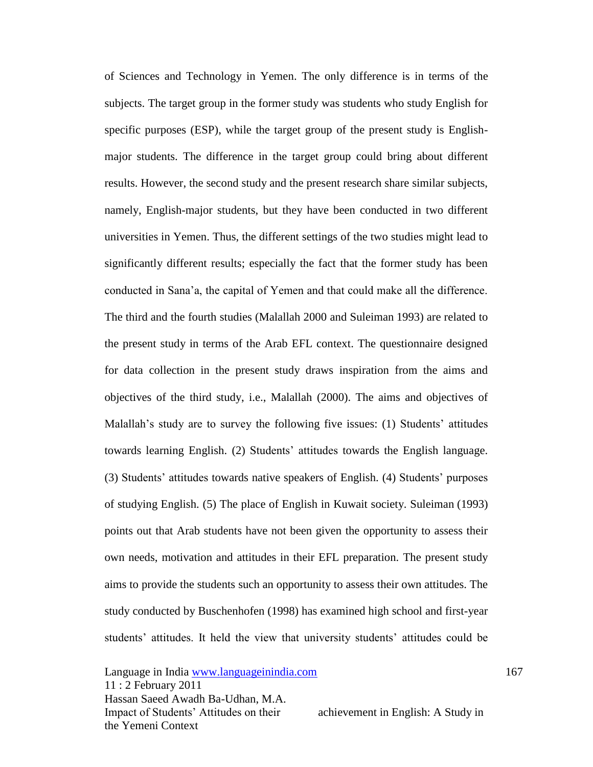of Sciences and Technology in Yemen. The only difference is in terms of the subjects. The target group in the former study was students who study English for specific purposes (ESP), while the target group of the present study is Englishmajor students. The difference in the target group could bring about different results. However, the second study and the present research share similar subjects, namely, English-major students, but they have been conducted in two different universities in Yemen. Thus, the different settings of the two studies might lead to significantly different results; especially the fact that the former study has been conducted in Sana"a, the capital of Yemen and that could make all the difference. The third and the fourth studies (Malallah 2000 and [Suleiman](http://www.eric.ed.gov/ERICWebPortal/Home.portal?_nfpb=true&_pageLabel=ERICSearchResult&_urlType=action&newSearch=true&ERICExtSearch_SearchType_0=au&ERICExtSearch_SearchValue_0=%22Suleiman+Mahmoud+F.%22) 1993) are related to the present study in terms of the Arab EFL context. The questionnaire designed for data collection in the present study draws inspiration from the aims and objectives of the third study, i.e., Malallah (2000). The aims and objectives of Malallah's study are to survey the following five issues: (1) Students' attitudes towards learning English. (2) Students" attitudes towards the English language. (3) Students" attitudes towards native speakers of English. (4) Students" purposes of studying English. (5) The place of English in Kuwait society. [Suleiman](http://www.eric.ed.gov/ERICWebPortal/Home.portal?_nfpb=true&_pageLabel=ERICSearchResult&_urlType=action&newSearch=true&ERICExtSearch_SearchType_0=au&ERICExtSearch_SearchValue_0=%22Suleiman+Mahmoud+F.%22) (1993) points out that Arab students have not been given the opportunity to assess their own needs, motivation and attitudes in their EFL preparation. The present study aims to provide the students such an opportunity to assess their own attitudes. The study conducted by Buschenhofen (1998) has examined high school and first-year students" attitudes. It held the view that university students" attitudes could be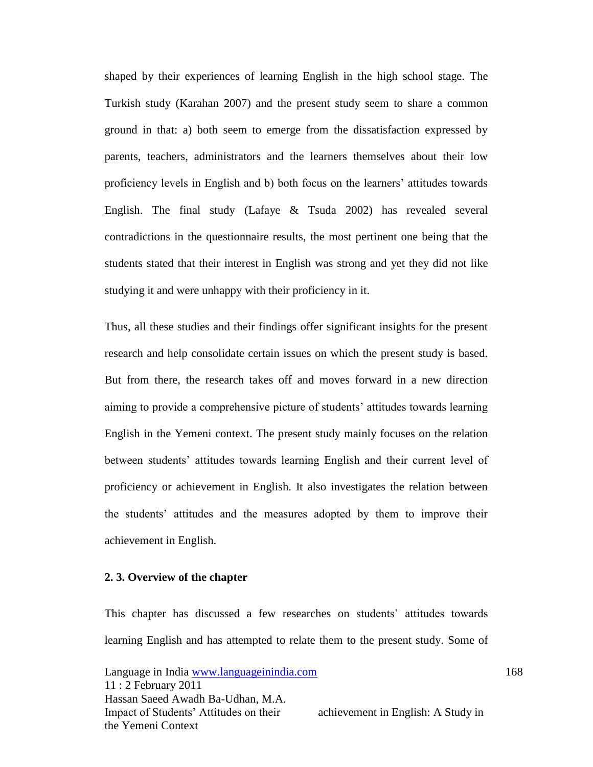shaped by their experiences of learning English in the high school stage. The Turkish study (Karahan 2007) and the present study seem to share a common ground in that: a) both seem to emerge from the dissatisfaction expressed by parents, teachers, administrators and the learners themselves about their low proficiency levels in English and b) both focus on the learners" attitudes towards English. The final study (Lafaye & Tsuda 2002) has revealed several contradictions in the questionnaire results, the most pertinent one being that the students stated that their interest in English was strong and yet they did not like studying it and were unhappy with their proficiency in it.

Thus, all these studies and their findings offer significant insights for the present research and help consolidate certain issues on which the present study is based. But from there, the research takes off and moves forward in a new direction aiming to provide a comprehensive picture of students" attitudes towards learning English in the Yemeni context. The present study mainly focuses on the relation between students' attitudes towards learning English and their current level of proficiency or achievement in English. It also investigates the relation between the students" attitudes and the measures adopted by them to improve their achievement in English.

#### **2. 3. Overview of the chapter**

This chapter has discussed a few researches on students" attitudes towards learning English and has attempted to relate them to the present study. Some of

Language in India www.languageinindia.com 168 11 : 2 February 2011 Hassan Saeed Awadh Ba-Udhan, M.A. Impact of Students" Attitudes on their achievement in English: A Study in the Yemeni Context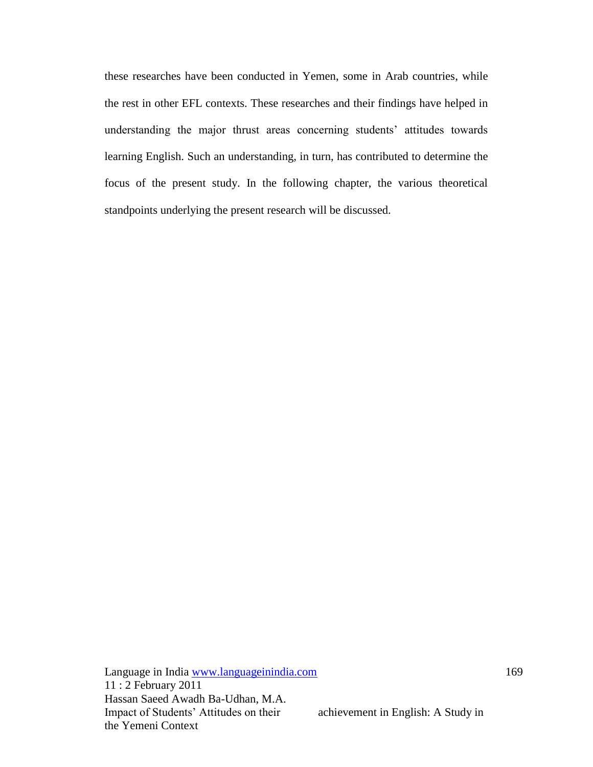these researches have been conducted in Yemen, some in Arab countries, while the rest in other EFL contexts. These researches and their findings have helped in understanding the major thrust areas concerning students' attitudes towards learning English. Such an understanding, in turn, has contributed to determine the focus of the present study. In the following chapter, the various theoretical standpoints underlying the present research will be discussed.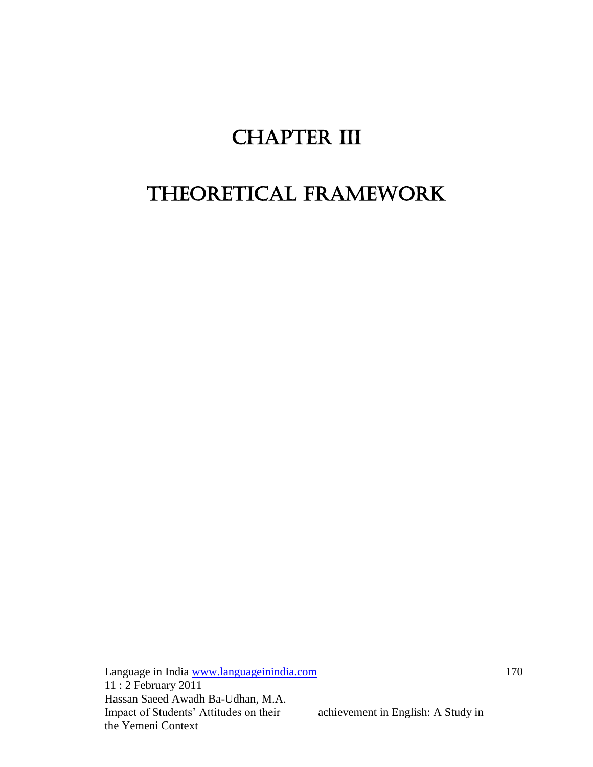# CHAPTER III

# Theoretical Framework

Language in India www.languageinindia.com 170 11 : 2 February 2011 Hassan Saeed Awadh Ba-Udhan, M.A. Impact of Students" Attitudes on their achievement in English: A Study in the Yemeni Context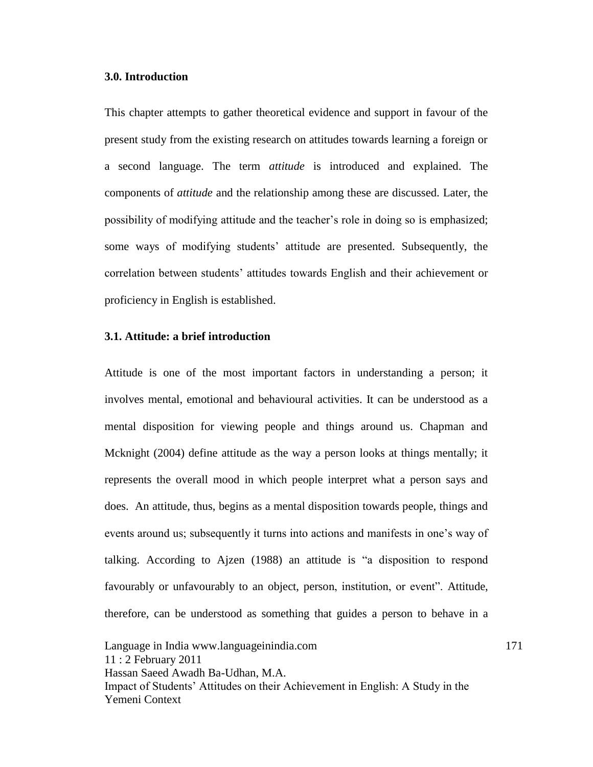#### **3.0. Introduction**

This chapter attempts to gather theoretical evidence and support in favour of the present study from the existing research on attitudes towards learning a foreign or a second language. The term *attitude* is introduced and explained. The components of *attitude* and the relationship among these are discussed. Later, the possibility of modifying attitude and the teacher"s role in doing so is emphasized; some ways of modifying students" attitude are presented. Subsequently, the correlation between students" attitudes towards English and their achievement or proficiency in English is established.

### **3.1. Attitude: a brief introduction**

Attitude is one of the most important factors in understanding a person; it involves mental, emotional and behavioural activities. It can be understood as a mental disposition for viewing people and things around us. Chapman and Mcknight (2004) define attitude as the way a person looks at things mentally; it represents the overall mood in which people interpret what a person says and does. An attitude, thus, begins as a mental disposition towards people, things and events around us; subsequently it turns into actions and manifests in one"s way of talking. According to Ajzen (1988) an attitude is "a disposition to respond favourably or unfavourably to an object, person, institution, or event". Attitude, therefore, can be understood as something that guides a person to behave in a

Language in India www.languageinindia.com 171 11 : 2 February 2011 Hassan Saeed Awadh Ba-Udhan, M.A. Impact of Students" Attitudes on their Achievement in English: A Study in the Yemeni Context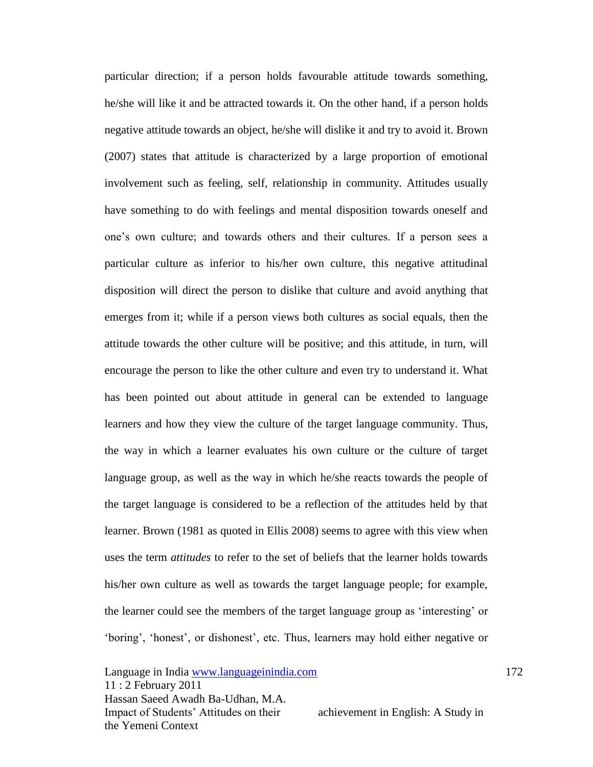particular direction; if a person holds favourable attitude towards something, he/she will like it and be attracted towards it. On the other hand, if a person holds negative attitude towards an object, he/she will dislike it and try to avoid it. Brown (2007) states that attitude is characterized by a large proportion of emotional involvement such as feeling, self, relationship in community. Attitudes usually have something to do with feelings and mental disposition towards oneself and one"s own culture; and towards others and their cultures. If a person sees a particular culture as inferior to his/her own culture, this negative attitudinal disposition will direct the person to dislike that culture and avoid anything that emerges from it; while if a person views both cultures as social equals, then the attitude towards the other culture will be positive; and this attitude, in turn, will encourage the person to like the other culture and even try to understand it. What has been pointed out about attitude in general can be extended to language learners and how they view the culture of the target language community. Thus, the way in which a learner evaluates his own culture or the culture of target language group, as well as the way in which he/she reacts towards the people of the target language is considered to be a reflection of the attitudes held by that learner. Brown (1981 as quoted in Ellis 2008) seems to agree with this view when uses the term *attitudes* to refer to the set of beliefs that the learner holds towards his/her own culture as well as towards the target language people; for example, the learner could see the members of the target language group as "interesting" or "boring", "honest", or dishonest", etc. Thus, learners may hold either negative or

Language in India www.languageinindia.com 172 11 : 2 February 2011 Hassan Saeed Awadh Ba-Udhan, M.A. Impact of Students" Attitudes on their achievement in English: A Study in the Yemeni Context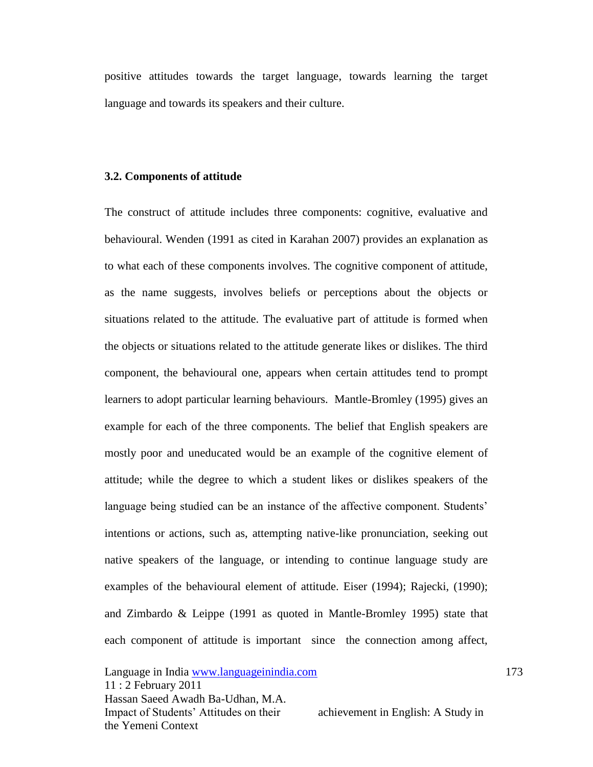positive attitudes towards the target language, towards learning the target language and towards its speakers and their culture.

#### **3.2. Components of attitude**

The construct of attitude includes three components: cognitive, evaluative and behavioural. Wenden (1991 as cited in Karahan 2007) provides an explanation as to what each of these components involves. The cognitive component of attitude, as the name suggests, involves beliefs or perceptions about the objects or situations related to the attitude. The evaluative part of attitude is formed when the objects or situations related to the attitude generate likes or dislikes. The third component, the behavioural one, appears when certain attitudes tend to prompt learners to adopt particular learning behaviours. Mantle-Bromley (1995) gives an example for each of the three components. The belief that English speakers are mostly poor and uneducated would be an example of the cognitive element of attitude; while the degree to which a student likes or dislikes speakers of the language being studied can be an instance of the affective component. Students' intentions or actions, such as, attempting native-like pronunciation, seeking out native speakers of the language, or intending to continue language study are examples of the behavioural element of attitude. Eiser (1994); Rajecki, (1990); and Zimbardo & Leippe (1991 as quoted in Mantle-Bromley 1995) state that each component of attitude is important since the connection among affect,

Language in India www.languageinindia.com 173 11 : 2 February 2011 Hassan Saeed Awadh Ba-Udhan, M.A. Impact of Students" Attitudes on their achievement in English: A Study in the Yemeni Context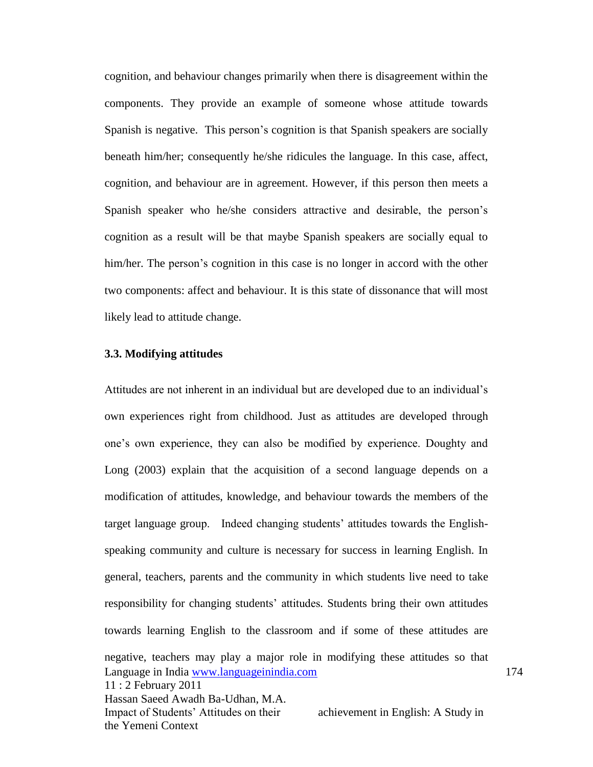cognition, and behaviour changes primarily when there is disagreement within the components. They provide an example of someone whose attitude towards Spanish is negative. This person"s cognition is that Spanish speakers are socially beneath him/her; consequently he/she ridicules the language. In this case, affect, cognition, and behaviour are in agreement. However, if this person then meets a Spanish speaker who he/she considers attractive and desirable, the person"s cognition as a result will be that maybe Spanish speakers are socially equal to him/her. The person's cognition in this case is no longer in accord with the other two components: affect and behaviour. It is this state of dissonance that will most likely lead to attitude change.

#### **3.3. Modifying attitudes**

Language in India www.languageinindia.com 174 11 : 2 February 2011 Hassan Saeed Awadh Ba-Udhan, M.A. Impact of Students" Attitudes on their achievement in English: A Study in Attitudes are not inherent in an individual but are developed due to an individual"s own experiences right from childhood. Just as attitudes are developed through one"s own experience, they can also be modified by experience. Doughty and Long (2003) explain that the acquisition of a second language depends on a modification of attitudes, knowledge, and behaviour towards the members of the target language group. Indeed changing students" attitudes towards the Englishspeaking community and culture is necessary for success in learning English. In general, teachers, parents and the community in which students live need to take responsibility for changing students' attitudes. Students bring their own attitudes towards learning English to the classroom and if some of these attitudes are negative, teachers may play a major role in modifying these attitudes so that

the Yemeni Context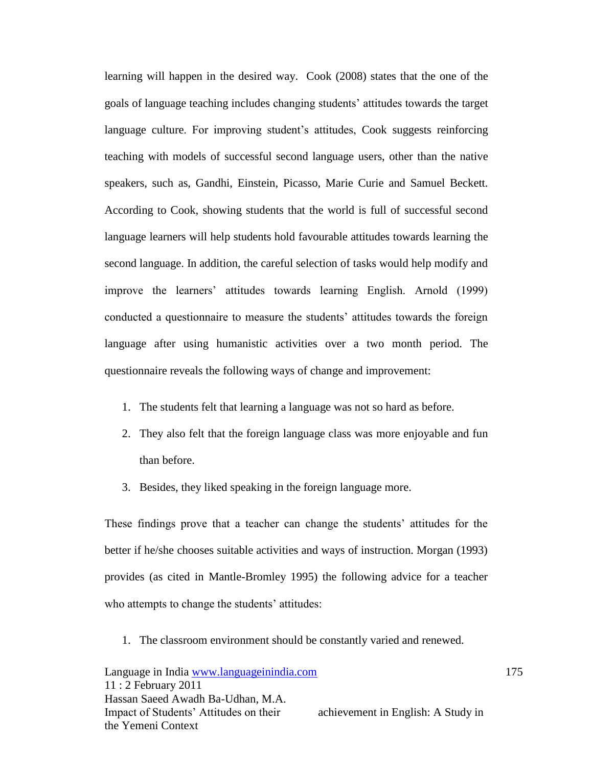learning will happen in the desired way. Cook (2008) states that the one of the goals of language teaching includes changing students" attitudes towards the target language culture. For improving student"s attitudes, Cook suggests reinforcing teaching with models of successful second language users, other than the native speakers, such as, Gandhi, Einstein, Picasso, Marie Curie and Samuel Beckett. According to Cook, showing students that the world is full of successful second language learners will help students hold favourable attitudes towards learning the second language. In addition, the careful selection of tasks would help modify and improve the learners" attitudes towards learning English. Arnold (1999) conducted a questionnaire to measure the students" attitudes towards the foreign language after using humanistic activities over a two month period. The questionnaire reveals the following ways of change and improvement:

- 1. The students felt that learning a language was not so hard as before.
- 2. They also felt that the foreign language class was more enjoyable and fun than before.
- 3. Besides, they liked speaking in the foreign language more.

These findings prove that a teacher can change the students" attitudes for the better if he/she chooses suitable activities and ways of instruction. Morgan (1993) provides (as cited in Mantle-Bromley 1995) the following advice for a teacher who attempts to change the students' attitudes:

1. The classroom environment should be constantly varied and renewed.

Language in India www.languageinindia.com 175 11 : 2 February 2011 Hassan Saeed Awadh Ba-Udhan, M.A. Impact of Students" Attitudes on their achievement in English: A Study in the Yemeni Context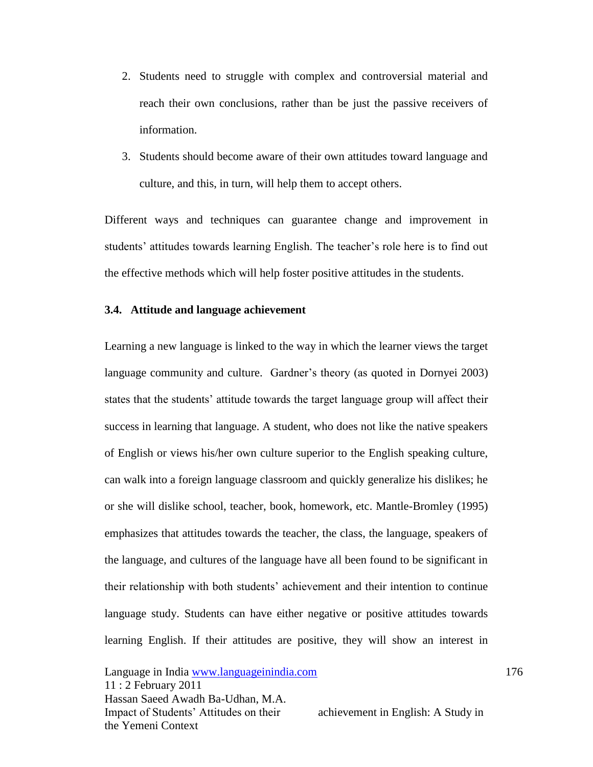- 2. Students need to struggle with complex and controversial material and reach their own conclusions, rather than be just the passive receivers of information.
- 3. Students should become aware of their own attitudes toward language and culture, and this, in turn, will help them to accept others.

Different ways and techniques can guarantee change and improvement in students' attitudes towards learning English. The teacher's role here is to find out the effective methods which will help foster positive attitudes in the students.

#### **3.4. Attitude and language achievement**

Learning a new language is linked to the way in which the learner views the target language community and culture. Gardner's theory (as quoted in Dornyei 2003) states that the students' attitude towards the target language group will affect their success in learning that language. A student, who does not like the native speakers of English or views his/her own culture superior to the English speaking culture, can walk into a foreign language classroom and quickly generalize his dislikes; he or she will dislike school, teacher, book, homework, etc. Mantle-Bromley (1995) emphasizes that attitudes towards the teacher, the class, the language, speakers of the language, and cultures of the language have all been found to be significant in their relationship with both students" achievement and their intention to continue language study. Students can have either negative or positive attitudes towards learning English. If their attitudes are positive, they will show an interest in

Language in India www.languageinindia.com 176 11 : 2 February 2011 Hassan Saeed Awadh Ba-Udhan, M.A. Impact of Students" Attitudes on their achievement in English: A Study in the Yemeni Context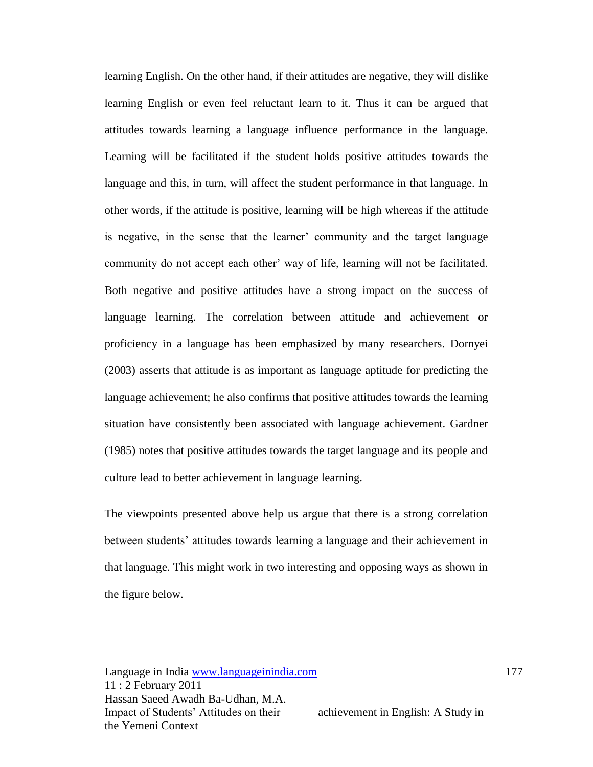learning English. On the other hand, if their attitudes are negative, they will dislike learning English or even feel reluctant learn to it. Thus it can be argued that attitudes towards learning a language influence performance in the language. Learning will be facilitated if the student holds positive attitudes towards the language and this, in turn, will affect the student performance in that language. In other words, if the attitude is positive, learning will be high whereas if the attitude is negative, in the sense that the learner' community and the target language community do not accept each other" way of life, learning will not be facilitated. Both negative and positive attitudes have a strong impact on the success of language learning. The correlation between attitude and achievement or proficiency in a language has been emphasized by many researchers. Dornyei (2003) asserts that attitude is as important as language aptitude for predicting the language achievement; he also confirms that positive attitudes towards the learning situation have consistently been associated with language achievement. Gardner (1985) notes that positive attitudes towards the target language and its people and culture lead to better achievement in language learning.

The viewpoints presented above help us argue that there is a strong correlation between students" attitudes towards learning a language and their achievement in that language. This might work in two interesting and opposing ways as shown in the figure below.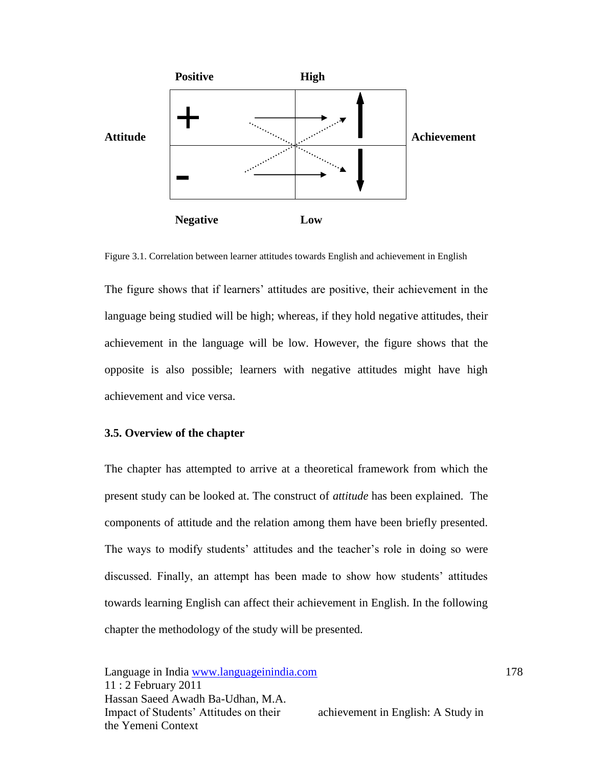

Figure 3.1. Correlation between learner attitudes towards English and achievement in English

The figure shows that if learners' attitudes are positive, their achievement in the language being studied will be high; whereas, if they hold negative attitudes, their achievement in the language will be low. However, the figure shows that the opposite is also possible; learners with negative attitudes might have high achievement and vice versa.

## **3.5. Overview of the chapter**

The chapter has attempted to arrive at a theoretical framework from which the present study can be looked at. The construct of *attitude* has been explained. The components of attitude and the relation among them have been briefly presented. The ways to modify students' attitudes and the teacher's role in doing so were discussed. Finally, an attempt has been made to show how students' attitudes towards learning English can affect their achievement in English. In the following chapter the methodology of the study will be presented.

Language in India www.languageinindia.com 178 11 : 2 February 2011 Hassan Saeed Awadh Ba-Udhan, M.A. Impact of Students" Attitudes on their achievement in English: A Study in the Yemeni Context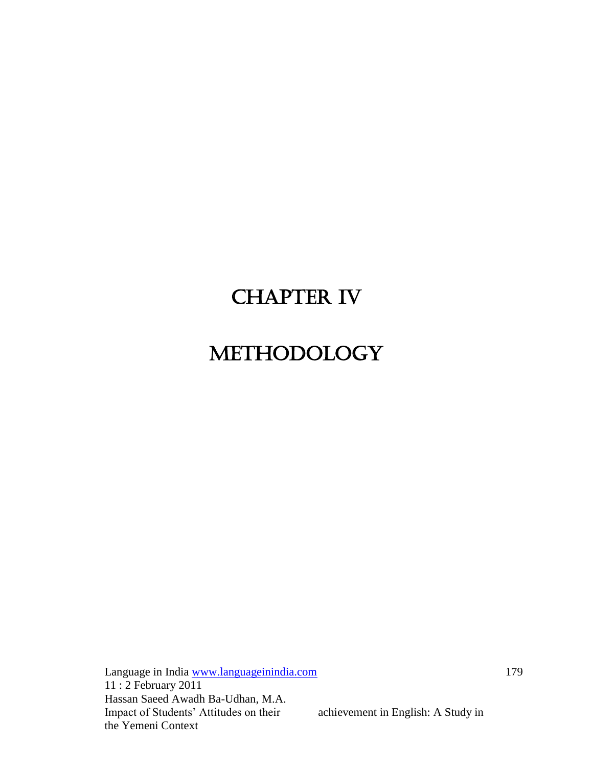# **CHAPTER IV**

## **METHODOLOGY**

Language in India www.languageinindia.com 179 11 : 2 February 2011 Hassan Saeed Awadh Ba-Udhan, M.A. Impact of Students" Attitudes on their achievement in English: A Study in the Yemeni Context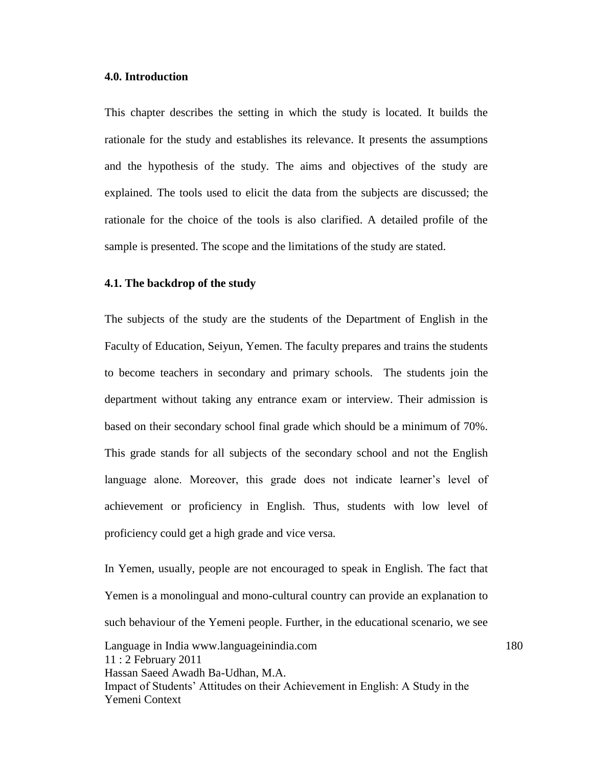#### **4.0. Introduction**

This chapter describes the setting in which the study is located. It builds the rationale for the study and establishes its relevance. It presents the assumptions and the hypothesis of the study. The aims and objectives of the study are explained. The tools used to elicit the data from the subjects are discussed; the rationale for the choice of the tools is also clarified. A detailed profile of the sample is presented. The scope and the limitations of the study are stated.

#### **4.1. The backdrop of the study**

The subjects of the study are the students of the Department of English in the Faculty of Education, Seiyun, Yemen. The faculty prepares and trains the students to become teachers in secondary and primary schools. The students join the department without taking any entrance exam or interview. Their admission is based on their secondary school final grade which should be a minimum of 70%. This grade stands for all subjects of the secondary school and not the English language alone. Moreover, this grade does not indicate learner's level of achievement or proficiency in English. Thus, students with low level of proficiency could get a high grade and vice versa.

Language in India www.languageinindia.com 180 11 : 2 February 2011 Hassan Saeed Awadh Ba-Udhan, M.A. Impact of Students" Attitudes on their Achievement in English: A Study in the Yemeni Context In Yemen, usually, people are not encouraged to speak in English. The fact that Yemen is a monolingual and mono-cultural country can provide an explanation to such behaviour of the Yemeni people. Further, in the educational scenario, we see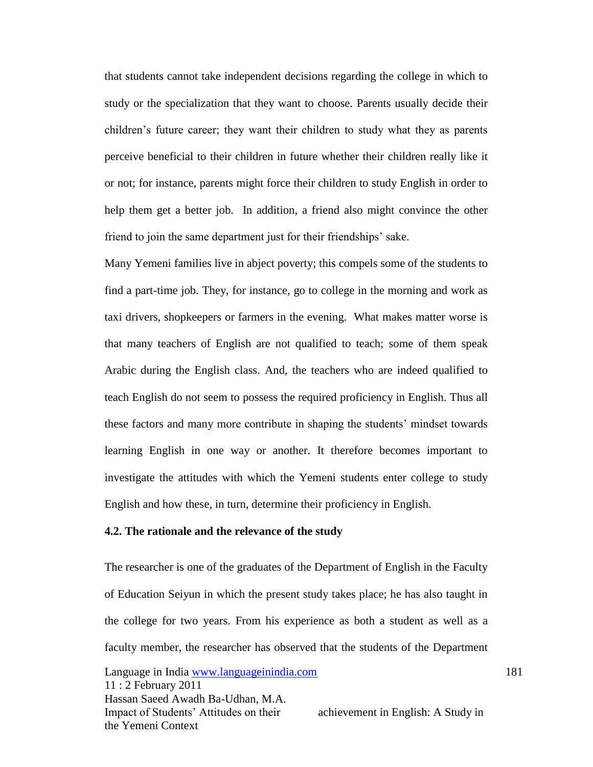that students cannot take independent decisions regarding the college in which to study or the specialization that they want to choose. Parents usually decide their children"s future career; they want their children to study what they as parents perceive beneficial to their children in future whether their children really like it or not; for instance, parents might force their children to study English in order to help them get a better job. In addition, a friend also might convince the other friend to join the same department just for their friendships' sake.

Many Yemeni families live in abject poverty; this compels some of the students to find a part-time job. They, for instance, go to college in the morning and work as taxi drivers, shopkeepers or farmers in the evening. What makes matter worse is that many teachers of English are not qualified to teach; some of them speak Arabic during the English class. And, the teachers who are indeed qualified to teach English do not seem to possess the required proficiency in English. Thus all these factors and many more contribute in shaping the students" mindset towards learning English in one way or another. It therefore becomes important to investigate the attitudes with which the Yemeni students enter college to study English and how these, in turn, determine their proficiency in English.

#### **4.2. The rationale and the relevance of the study**

Language in India www.languageinindia.com 181 11 : 2 February 2011 The researcher is one of the graduates of the Department of English in the Faculty of Education Seiyun in which the present study takes place; he has also taught in the college for two years. From his experience as both a student as well as a faculty member, the researcher has observed that the students of the Department

Hassan Saeed Awadh Ba-Udhan, M.A. Impact of Students" Attitudes on their achievement in English: A Study in the Yemeni Context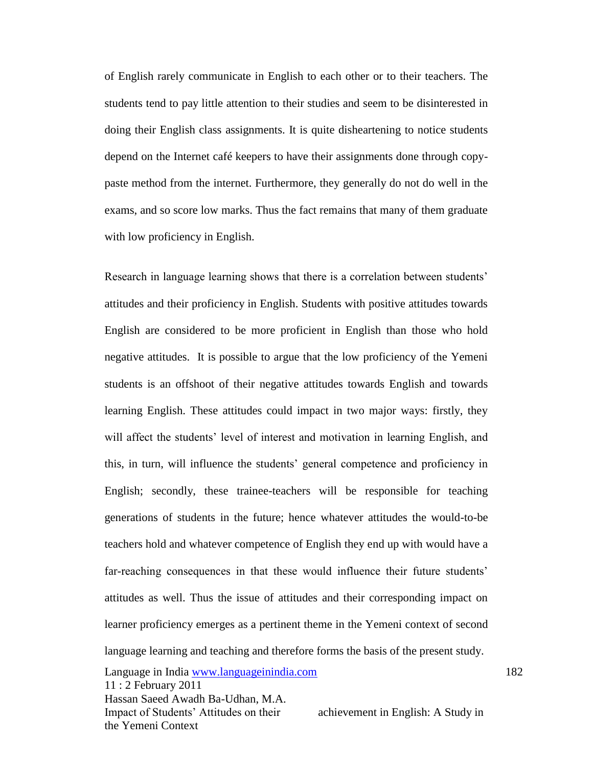of English rarely communicate in English to each other or to their teachers. The students tend to pay little attention to their studies and seem to be disinterested in doing their English class assignments. It is quite disheartening to notice students depend on the Internet café keepers to have their assignments done through copypaste method from the internet. Furthermore, they generally do not do well in the exams, and so score low marks. Thus the fact remains that many of them graduate with low proficiency in English.

Language in India www.languageinindia.com 182 11 : 2 February 2011 Hassan Saeed Awadh Ba-Udhan, M.A. Impact of Students" Attitudes on their achievement in English: A Study in the Yemeni Context Research in language learning shows that there is a correlation between students' attitudes and their proficiency in English. Students with positive attitudes towards English are considered to be more proficient in English than those who hold negative attitudes. It is possible to argue that the low proficiency of the Yemeni students is an offshoot of their negative attitudes towards English and towards learning English. These attitudes could impact in two major ways: firstly, they will affect the students' level of interest and motivation in learning English, and this, in turn, will influence the students" general competence and proficiency in English; secondly, these trainee-teachers will be responsible for teaching generations of students in the future; hence whatever attitudes the would-to-be teachers hold and whatever competence of English they end up with would have a far-reaching consequences in that these would influence their future students' attitudes as well. Thus the issue of attitudes and their corresponding impact on learner proficiency emerges as a pertinent theme in the Yemeni context of second language learning and teaching and therefore forms the basis of the present study.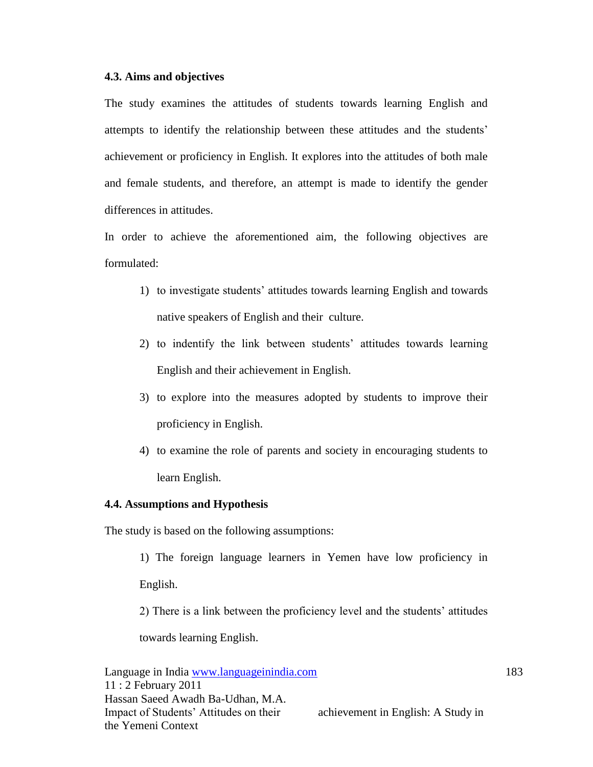#### **4.3. Aims and objectives**

The study examines the attitudes of students towards learning English and attempts to identify the relationship between these attitudes and the students" achievement or proficiency in English. It explores into the attitudes of both male and female students, and therefore, an attempt is made to identify the gender differences in attitudes.

In order to achieve the aforementioned aim, the following objectives are formulated:

- 1) to investigate students" attitudes towards learning English and towards native speakers of English and their culture.
- 2) to indentify the link between students" attitudes towards learning English and their achievement in English.
- 3) to explore into the measures adopted by students to improve their proficiency in English.
- 4) to examine the role of parents and society in encouraging students to learn English.

### **4.4. Assumptions and Hypothesis**

The study is based on the following assumptions:

1) The foreign language learners in Yemen have low proficiency in English.

2) There is a link between the proficiency level and the students" attitudes towards learning English.

Language in India www.languageinindia.com 183 11 : 2 February 2011 Hassan Saeed Awadh Ba-Udhan, M.A. Impact of Students" Attitudes on their achievement in English: A Study in the Yemeni Context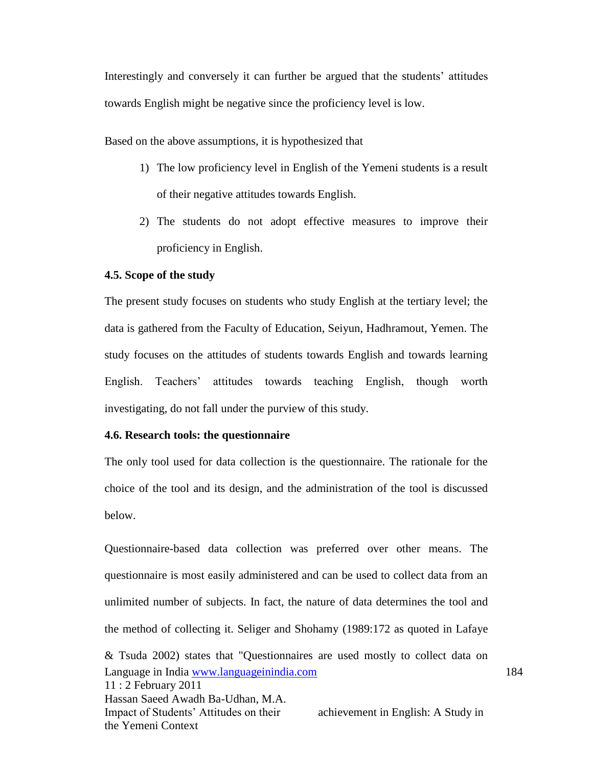Interestingly and conversely it can further be argued that the students" attitudes towards English might be negative since the proficiency level is low.

Based on the above assumptions, it is hypothesized that

- 1) The low proficiency level in English of the Yemeni students is a result of their negative attitudes towards English.
- 2) The students do not adopt effective measures to improve their proficiency in English.

#### **4.5. Scope of the study**

The present study focuses on students who study English at the tertiary level; the data is gathered from the Faculty of Education, Seiyun, Hadhramout, Yemen. The study focuses on the attitudes of students towards English and towards learning English. Teachers" attitudes towards teaching English, though worth investigating, do not fall under the purview of this study.

#### **4.6. Research tools: the questionnaire**

The only tool used for data collection is the questionnaire. The rationale for the choice of the tool and its design, and the administration of the tool is discussed below.

Questionnaire-based data collection was preferred over other means. The questionnaire is most easily administered and can be used to collect data from an unlimited number of subjects. In fact, the nature of data determines the tool and the method of collecting it. Seliger and Shohamy (1989:172 as quoted in Lafaye

Language in India www.languageinindia.com 184 11 : 2 February 2011 Hassan Saeed Awadh Ba-Udhan, M.A. Impact of Students" Attitudes on their achievement in English: A Study in the Yemeni Context & Tsuda 2002) states that "Questionnaires are used mostly to collect data on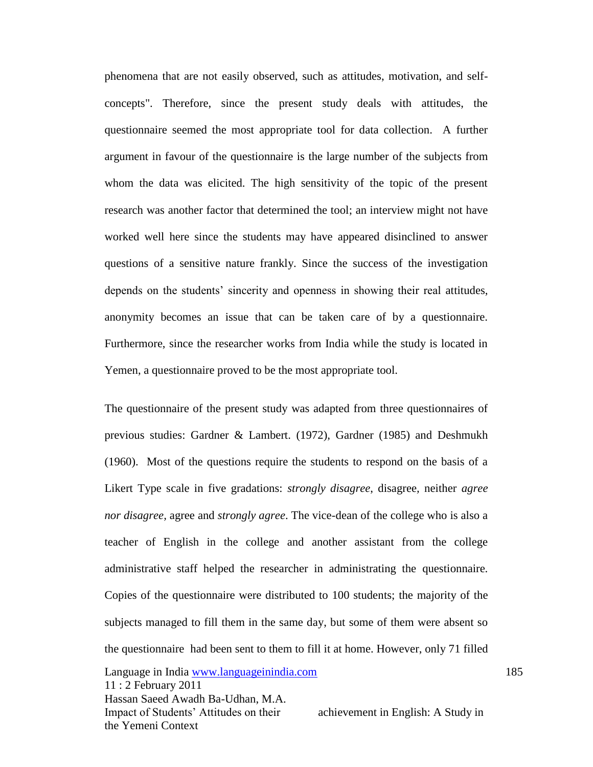phenomena that are not easily observed, such as attitudes, motivation, and selfconcepts". Therefore, since the present study deals with attitudes, the questionnaire seemed the most appropriate tool for data collection. A further argument in favour of the questionnaire is the large number of the subjects from whom the data was elicited. The high sensitivity of the topic of the present research was another factor that determined the tool; an interview might not have worked well here since the students may have appeared disinclined to answer questions of a sensitive nature frankly. Since the success of the investigation depends on the students" sincerity and openness in showing their real attitudes, anonymity becomes an issue that can be taken care of by a questionnaire. Furthermore, since the researcher works from India while the study is located in Yemen, a questionnaire proved to be the most appropriate tool.

Language in India www.languageinindia.com 185 11 : 2 February 2011 Hassan Saeed Awadh Ba-Udhan, M.A. Impact of Students" Attitudes on their achievement in English: A Study in the Yemeni Context The questionnaire of the present study was adapted from three questionnaires of previous studies: Gardner & Lambert. (1972), Gardner (1985) and Deshmukh (1960). Most of the questions require the students to respond on the basis of a Likert Type scale in five gradations: *strongly disagree*, disagree*,* neither *agree nor disagree,* agree and *strongly agree*. The vice-dean of the college who is also a teacher of English in the college and another assistant from the college administrative staff helped the researcher in administrating the questionnaire. Copies of the questionnaire were distributed to 100 students; the majority of the subjects managed to fill them in the same day, but some of them were absent so the questionnaire had been sent to them to fill it at home. However, only 71 filled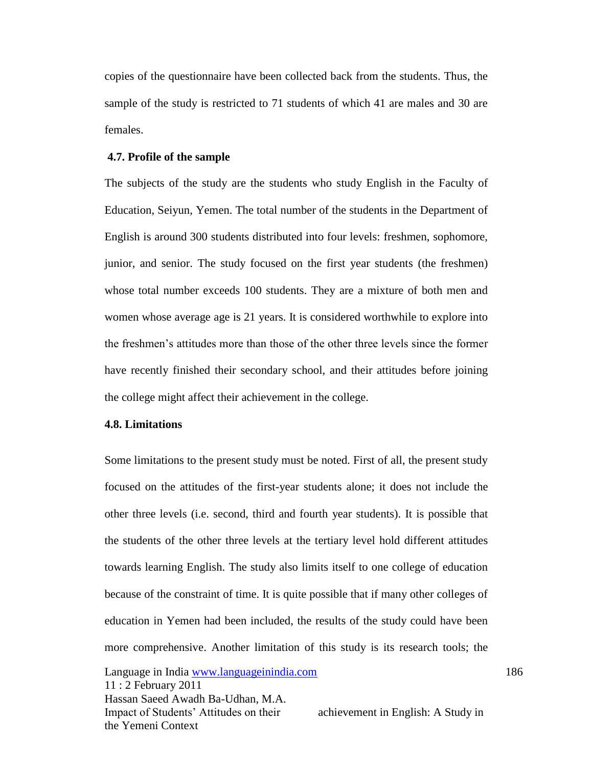copies of the questionnaire have been collected back from the students. Thus, the sample of the study is restricted to 71 students of which 41 are males and 30 are females.

#### **4.7. Profile of the sample**

The subjects of the study are the students who study English in the Faculty of Education, Seiyun, Yemen. The total number of the students in the Department of English is around 300 students distributed into four levels: freshmen, sophomore, junior, and senior. The study focused on the first year students (the freshmen) whose total number exceeds 100 students. They are a mixture of both men and women whose average age is 21 years. It is considered worthwhile to explore into the freshmen"s attitudes more than those of the other three levels since the former have recently finished their secondary school, and their attitudes before joining the college might affect their achievement in the college.

#### **4.8. Limitations**

Language in India www.languageinindia.com 186 Some limitations to the present study must be noted. First of all, the present study focused on the attitudes of the first-year students alone; it does not include the other three levels (i.e. second, third and fourth year students). It is possible that the students of the other three levels at the tertiary level hold different attitudes towards learning English. The study also limits itself to one college of education because of the constraint of time. It is quite possible that if many other colleges of education in Yemen had been included, the results of the study could have been more comprehensive. Another limitation of this study is its research tools; the

11 : 2 February 2011 Hassan Saeed Awadh Ba-Udhan, M.A. Impact of Students" Attitudes on their achievement in English: A Study in the Yemeni Context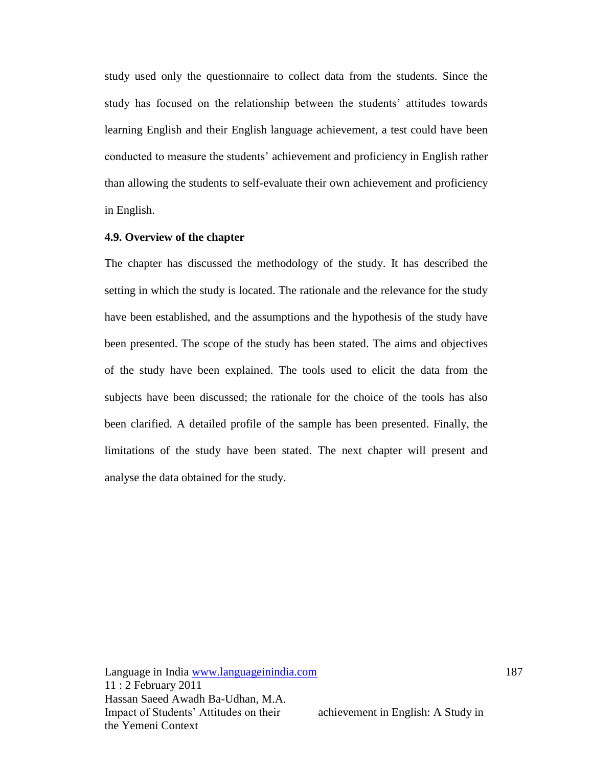study used only the questionnaire to collect data from the students. Since the study has focused on the relationship between the students' attitudes towards learning English and their English language achievement, a test could have been conducted to measure the students" achievement and proficiency in English rather than allowing the students to self-evaluate their own achievement and proficiency in English.

### **4.9. Overview of the chapter**

The chapter has discussed the methodology of the study. It has described the setting in which the study is located. The rationale and the relevance for the study have been established, and the assumptions and the hypothesis of the study have been presented. The scope of the study has been stated. The aims and objectives of the study have been explained. The tools used to elicit the data from the subjects have been discussed; the rationale for the choice of the tools has also been clarified. A detailed profile of the sample has been presented. Finally, the limitations of the study have been stated. The next chapter will present and analyse the data obtained for the study.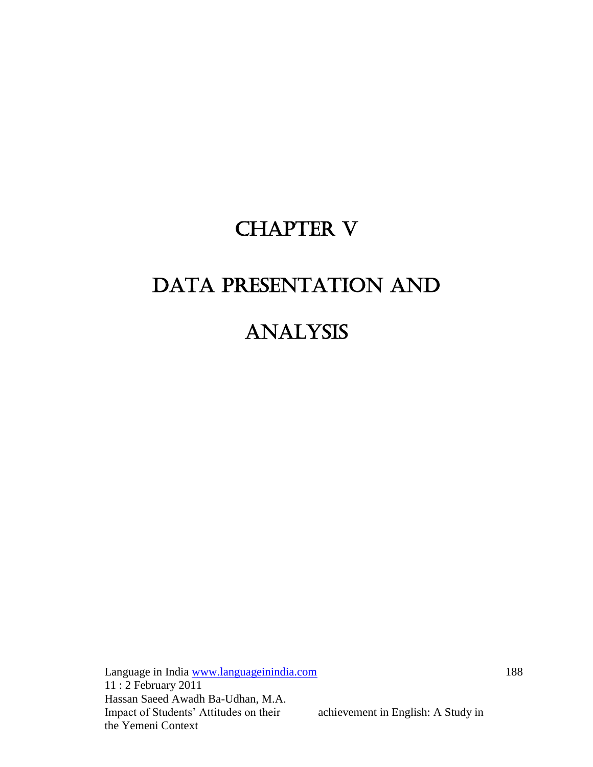## **CHAPTER V**

# DATA PRESENTATION AND

## **ANALYSIS**

Language in India www.languageinindia.com 188 11 : 2 February 2011 Hassan Saeed Awadh Ba-Udhan, M.A. Impact of Students" Attitudes on their achievement in English: A Study in the Yemeni Context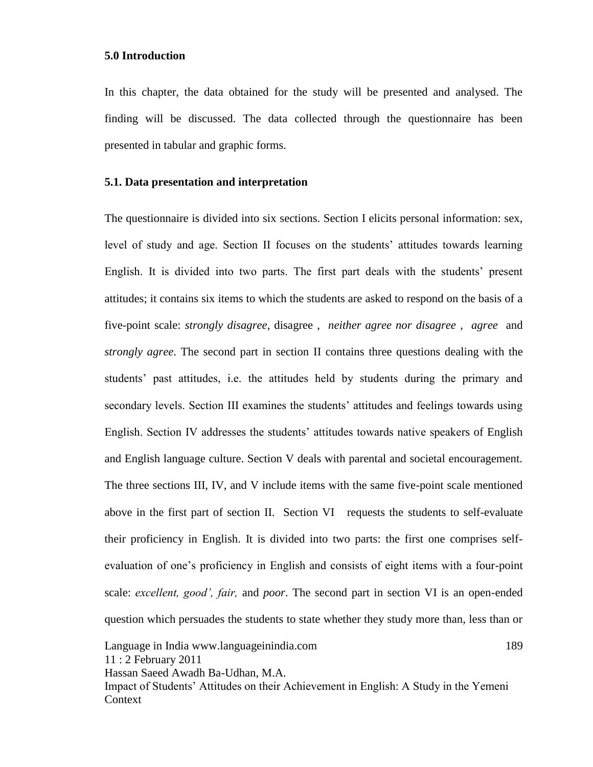#### **5.0 Introduction**

In this chapter, the data obtained for the study will be presented and analysed. The finding will be discussed. The data collected through the questionnaire has been presented in tabular and graphic forms.

#### **5.1. Data presentation and interpretation**

The questionnaire is divided into six sections. Section I elicits personal information: sex, level of study and age. Section II focuses on the students' attitudes towards learning English. It is divided into two parts. The first part deals with the students" present attitudes; it contains six items to which the students are asked to respond on the basis of a five-point scale: *strongly disagree*, disagree , *neither agree nor disagree* , *agree* and *strongly agree*. The second part in section II contains three questions dealing with the students" past attitudes, i.e. the attitudes held by students during the primary and secondary levels. Section III examines the students" attitudes and feelings towards using English. Section IV addresses the students" attitudes towards native speakers of English and English language culture. Section V deals with parental and societal encouragement. The three sections III, IV, and V include items with the same five-point scale mentioned above in the first part of section II. Section VI requests the students to self-evaluate their proficiency in English. It is divided into two parts: the first one comprises selfevaluation of one"s proficiency in English and consists of eight items with a four-point scale: *excellent, good', fair,* and *poor*. The second part in section VI is an open-ended question which persuades the students to state whether they study more than, less than or

Language in India www.languageinindia.com 189 11 : 2 February 2011

Hassan Saeed Awadh Ba-Udhan, M.A.

Impact of Students" Attitudes on their Achievement in English: A Study in the Yemeni **Context**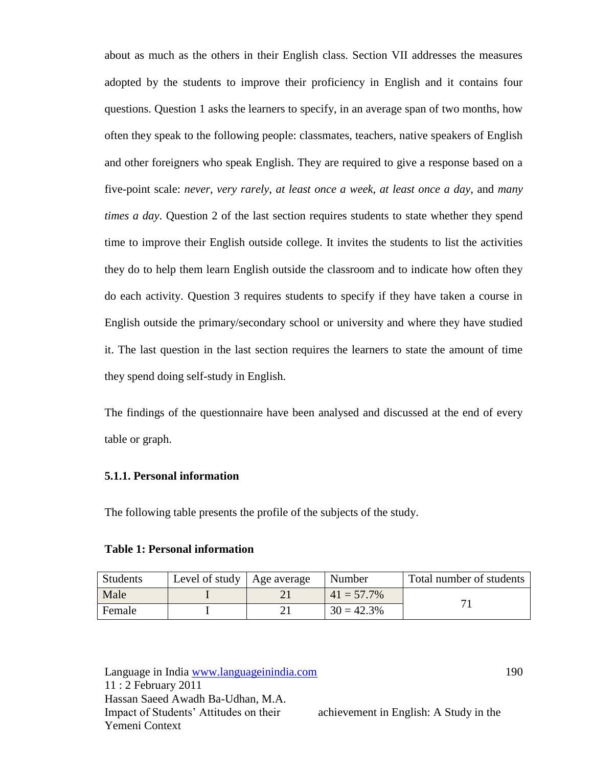about as much as the others in their English class. Section VII addresses the measures adopted by the students to improve their proficiency in English and it contains four questions. Question 1 asks the learners to specify, in an average span of two months, how often they speak to the following people: classmates, teachers, native speakers of English and other foreigners who speak English. They are required to give a response based on a five-point scale: *never*, *very rarely*, *at least once a week*, *at least once a day*, and *many times a day*. Question 2 of the last section requires students to state whether they spend time to improve their English outside college. It invites the students to list the activities they do to help them learn English outside the classroom and to indicate how often they do each activity. Question 3 requires students to specify if they have taken a course in English outside the primary/secondary school or university and where they have studied it. The last question in the last section requires the learners to state the amount of time they spend doing self-study in English.

The findings of the questionnaire have been analysed and discussed at the end of every table or graph.

## **5.1.1. Personal information**

The following table presents the profile of the subjects of the study.

#### **Table 1: Personal information**

| <b>Students</b> | Level of study   Age average | Number         | Total number of students |
|-----------------|------------------------------|----------------|--------------------------|
| Male            |                              | $141 = 57.7\%$ |                          |
| Female          |                              | $30 = 42.3\%$  |                          |

Language in India www.languageinindia.com 190 11 : 2 February 2011 Hassan Saeed Awadh Ba-Udhan, M.A. Impact of Students" Attitudes on their achievement in English: A Study in the Yemeni Context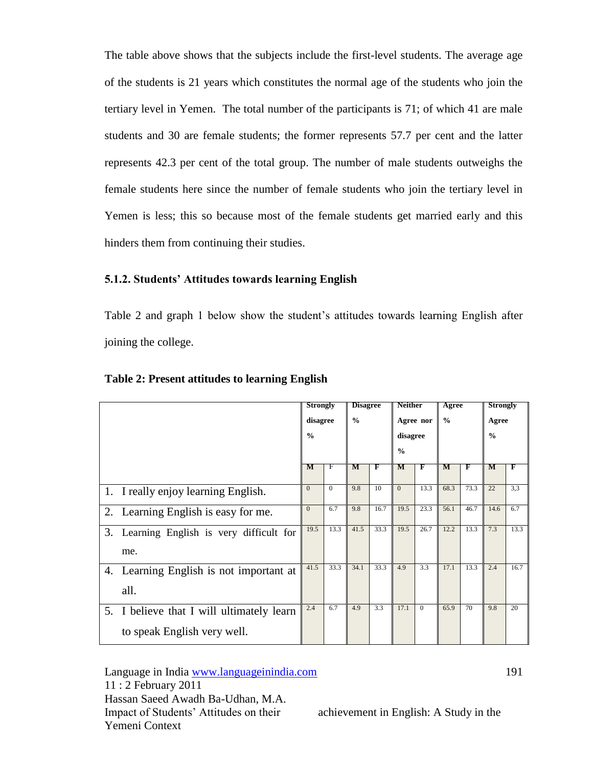The table above shows that the subjects include the first-level students. The average age of the students is 21 years which constitutes the normal age of the students who join the tertiary level in Yemen. The total number of the participants is 71; of which 41 are male students and 30 are female students; the former represents 57.7 per cent and the latter represents 42.3 per cent of the total group. The number of male students outweighs the female students here since the number of female students who join the tertiary level in Yemen is less; this so because most of the female students get married early and this hinders them from continuing their studies.

### **5.1.2. Students' Attitudes towards learning English**

Table 2 and graph 1 below show the student's attitudes towards learning English after joining the college.

|                                           | <b>Strongly</b> |          | <b>Disagree</b> |      | <b>Neither</b> |           | Agree         |      | <b>Strongly</b> |      |
|-------------------------------------------|-----------------|----------|-----------------|------|----------------|-----------|---------------|------|-----------------|------|
|                                           | disagree        |          | $\frac{0}{0}$   |      |                | Agree nor | $\frac{0}{0}$ |      | Agree           |      |
|                                           | $\frac{0}{0}$   |          |                 |      | disagree       |           |               |      | $\frac{0}{0}$   |      |
|                                           |                 |          |                 |      | $\frac{0}{0}$  |           |               |      |                 |      |
|                                           | M               | F        | M               | F    | M              | F         | M             | F    | M               | F    |
| 1. I really enjoy learning English.       | $\Omega$        | $\Omega$ | 9.8             | 10   | $\Omega$       | 13.3      | 68.3          | 73.3 | 22              | 3.3  |
| 2. Learning English is easy for me.       | $\Omega$        | 6.7      | 9.8             | 16.7 | 19.5           | 23.3      | 56.1          | 46.7 | 14.6            | 6.7  |
| 3. Learning English is very difficult for | 19.5            | 13.3     | 41.5            | 33.3 | 19.5           | 26.7      | 12.2          | 13.3 | 7.3             | 13.3 |
| me.                                       |                 |          |                 |      |                |           |               |      |                 |      |
| 4. Learning English is not important at   | 41.5            | 33.3     | 34.1            | 33.3 | 4.9            | 3.3       | 17.1          | 13.3 | 2.4             | 16.7 |
| all.                                      |                 |          |                 |      |                |           |               |      |                 |      |
| 5. I believe that I will ultimately learn | 2.4             | 6.7      | 4.9             | 3.3  | 17.1           | $\Omega$  | 65.9          | 70   | 9.8             | 20   |
| to speak English very well.               |                 |          |                 |      |                |           |               |      |                 |      |

#### **Table 2: Present attitudes to learning English**

Language in India www.languageinindia.com 191 11 : 2 February 2011 Hassan Saeed Awadh Ba-Udhan, M.A. Impact of Students" Attitudes on their achievement in English: A Study in the Yemeni Context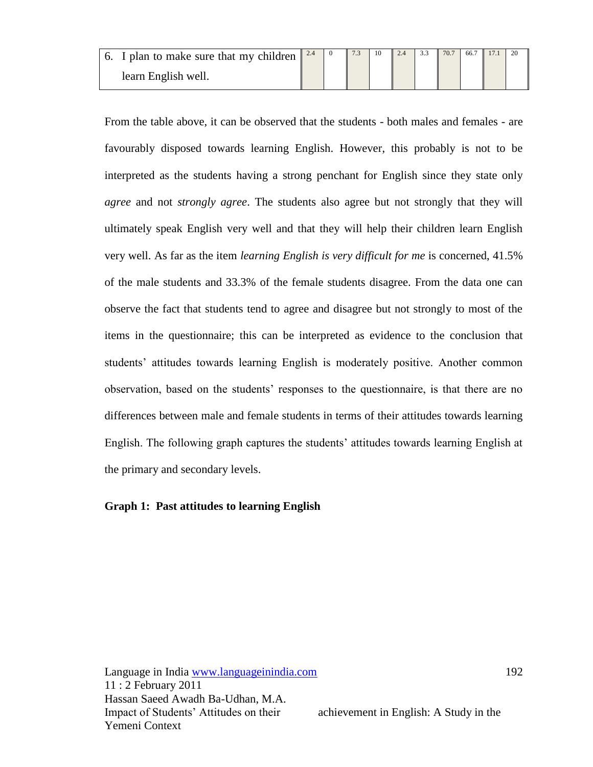| 6. I plan to make sure that my children $\lfloor 2.4 \rfloor$ |  |  |  | 70.7 | 66.7 |  |
|---------------------------------------------------------------|--|--|--|------|------|--|
| learn English well.                                           |  |  |  |      |      |  |

From the table above, it can be observed that the students - both males and females - are favourably disposed towards learning English. However, this probably is not to be interpreted as the students having a strong penchant for English since they state only *agree* and not *strongly agree*. The students also agree but not strongly that they will ultimately speak English very well and that they will help their children learn English very well. As far as the item *learning English is very difficult for me* is concerned, 41.5% of the male students and 33.3% of the female students disagree. From the data one can observe the fact that students tend to agree and disagree but not strongly to most of the items in the questionnaire; this can be interpreted as evidence to the conclusion that students' attitudes towards learning English is moderately positive. Another common observation, based on the students" responses to the questionnaire, is that there are no differences between male and female students in terms of their attitudes towards learning English. The following graph captures the students" attitudes towards learning English at the primary and secondary levels.

## **Graph 1: Past attitudes to learning English**

Language in India www.languageinindia.com 192 11 : 2 February 2011 Hassan Saeed Awadh Ba-Udhan, M.A. Impact of Students" Attitudes on their achievement in English: A Study in the Yemeni Context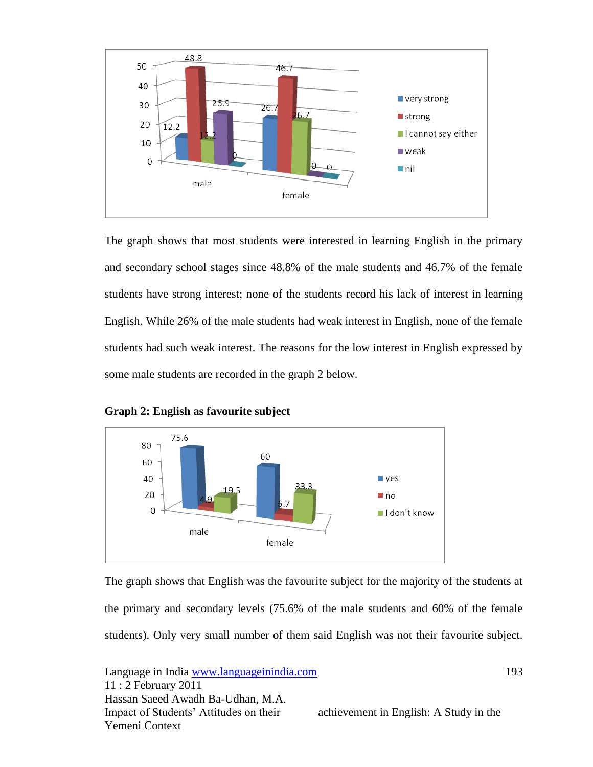

The graph shows that most students were interested in learning English in the primary and secondary school stages since 48.8% of the male students and 46.7% of the female students have strong interest; none of the students record his lack of interest in learning English. While 26% of the male students had weak interest in English, none of the female students had such weak interest. The reasons for the low interest in English expressed by some male students are recorded in the graph 2 below.





The graph shows that English was the favourite subject for the majority of the students at the primary and secondary levels (75.6% of the male students and 60% of the female students). Only very small number of them said English was not their favourite subject.

Language in India www.languageinindia.com 193 11 : 2 February 2011 Hassan Saeed Awadh Ba-Udhan, M.A. Impact of Students" Attitudes on their achievement in English: A Study in the Yemeni Context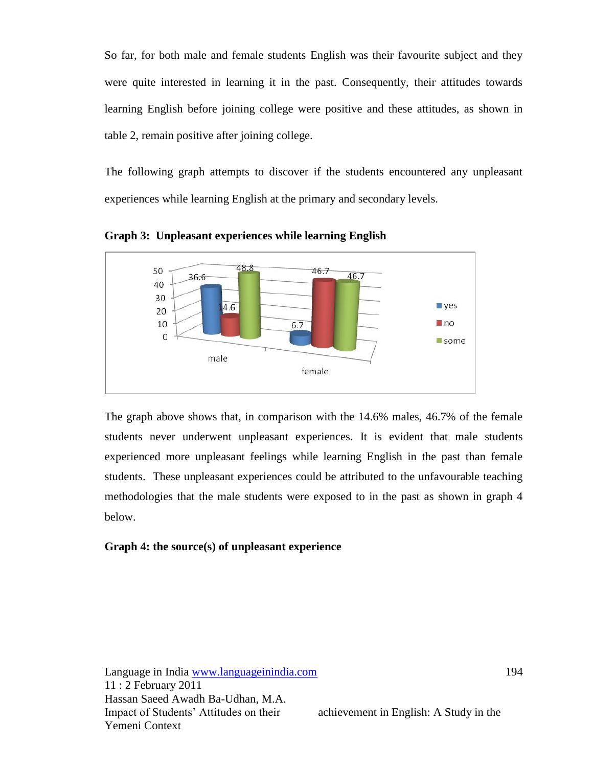So far, for both male and female students English was their favourite subject and they were quite interested in learning it in the past. Consequently, their attitudes towards learning English before joining college were positive and these attitudes, as shown in table 2, remain positive after joining college.

The following graph attempts to discover if the students encountered any unpleasant experiences while learning English at the primary and secondary levels.



**Graph 3: Unpleasant experiences while learning English**

The graph above shows that, in comparison with the 14.6% males, 46.7% of the female students never underwent unpleasant experiences. It is evident that male students experienced more unpleasant feelings while learning English in the past than female students. These unpleasant experiences could be attributed to the unfavourable teaching methodologies that the male students were exposed to in the past as shown in graph 4 below.

## **Graph 4: the source(s) of unpleasant experience**

Language in India www.languageinindia.com 194 11 : 2 February 2011 Hassan Saeed Awadh Ba-Udhan, M.A. Impact of Students" Attitudes on their achievement in English: A Study in the Yemeni Context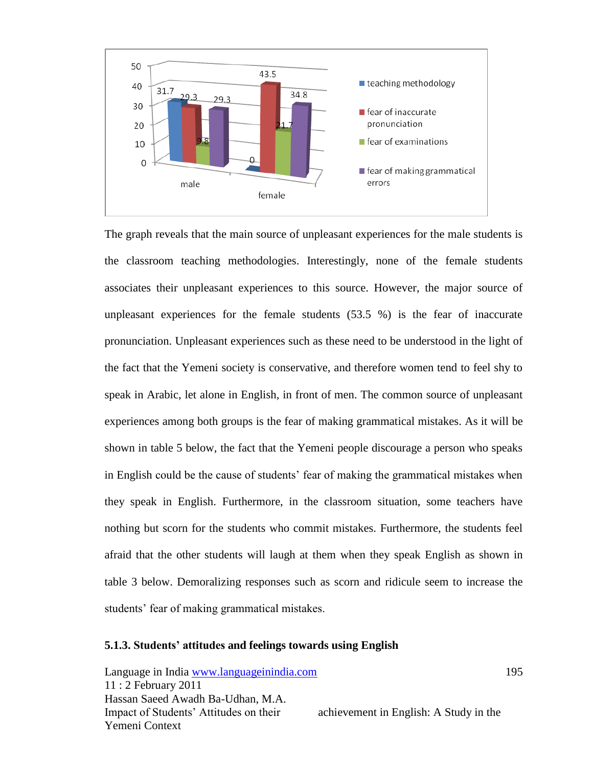

The graph reveals that the main source of unpleasant experiences for the male students is the classroom teaching methodologies. Interestingly, none of the female students associates their unpleasant experiences to this source. However, the major source of unpleasant experiences for the female students (53.5 %) is the fear of inaccurate pronunciation. Unpleasant experiences such as these need to be understood in the light of the fact that the Yemeni society is conservative, and therefore women tend to feel shy to speak in Arabic, let alone in English, in front of men. The common source of unpleasant experiences among both groups is the fear of making grammatical mistakes. As it will be shown in table 5 below, the fact that the Yemeni people discourage a person who speaks in English could be the cause of students" fear of making the grammatical mistakes when they speak in English. Furthermore, in the classroom situation, some teachers have nothing but scorn for the students who commit mistakes. Furthermore, the students feel afraid that the other students will laugh at them when they speak English as shown in table 3 below. Demoralizing responses such as scorn and ridicule seem to increase the students' fear of making grammatical mistakes.

#### **5.1.3. Students' attitudes and feelings towards using English**

Language in India www.languageinindia.com 195 11 : 2 February 2011 Hassan Saeed Awadh Ba-Udhan, M.A. Impact of Students" Attitudes on their achievement in English: A Study in the Yemeni Context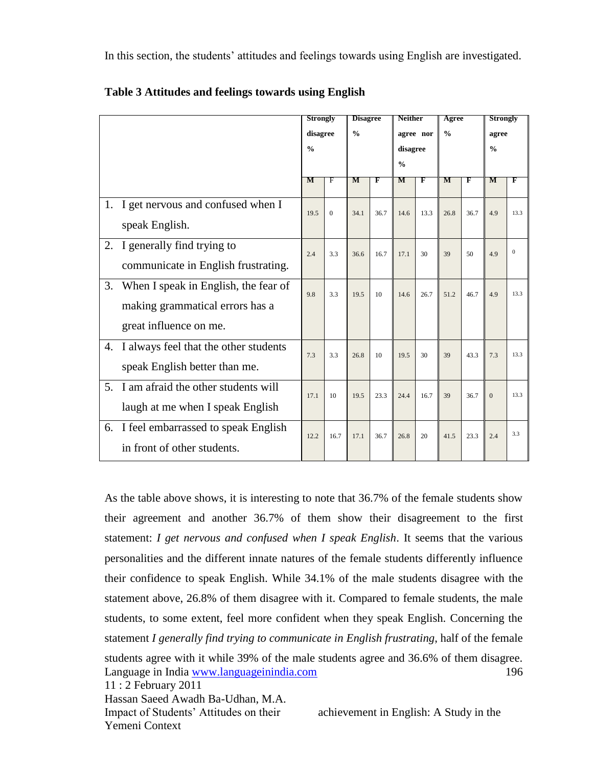In this section, the students' attitudes and feelings towards using English are investigated.

|                |                                       | <b>Strongly</b> |          | <b>Disagree</b> |      | <b>Neither</b> |           | Agree         |      | <b>Strongly</b> |              |
|----------------|---------------------------------------|-----------------|----------|-----------------|------|----------------|-----------|---------------|------|-----------------|--------------|
|                |                                       | disagree        |          | $\frac{0}{0}$   |      |                | agree nor | $\frac{0}{0}$ |      | agree           |              |
|                |                                       | $\frac{0}{0}$   |          |                 |      | disagree       |           |               |      | $\frac{0}{0}$   |              |
|                |                                       |                 |          |                 |      | $\frac{0}{0}$  |           |               |      |                 |              |
|                |                                       | M               | F        | M               | F    | М              | F         | M             | F    | М               | F            |
|                | 1. I get nervous and confused when I  | 19.5            | $\theta$ | 34.1            | 36.7 | 14.6           | 13.3      | 26.8          | 36.7 | 4.9             | 13.3         |
|                | speak English.                        |                 |          |                 |      |                |           |               |      |                 |              |
| 2.             | I generally find trying to            | 2.4             | 3.3      | 36.6            | 16.7 | 17.1           | 30        | 39            | 50   | 4.9             | $\mathbf{0}$ |
|                | communicate in English frustrating.   |                 |          |                 |      |                |           |               |      |                 |              |
| 3.             | When I speak in English, the fear of  | 9.8             | 3.3      | 19.5            | 10   | 14.6           | 26.7      | 51.2          | 46.7 | 4.9             | 13.3         |
|                | making grammatical errors has a       |                 |          |                 |      |                |           |               |      |                 |              |
|                | great influence on me.                |                 |          |                 |      |                |           |               |      |                 |              |
| 4.             | I always feel that the other students | 7.3             | 3.3      | 26.8            | 10   | 19.5           | 30        | 39            | 43.3 | 7.3             | 13.3         |
|                | speak English better than me.         |                 |          |                 |      |                |           |               |      |                 |              |
| 5 <sub>1</sub> | I am afraid the other students will   | 17.1            | 10       | 19.5            | 23.3 | 24.4           | 16.7      | 39            | 36.7 | $\Omega$        | 13.3         |
|                | laugh at me when I speak English      |                 |          |                 |      |                |           |               |      |                 |              |
| 6.             | I feel embarrassed to speak English   | 12.2            | 16.7     | 17.1            | 36.7 | 26.8           | 20        | 41.5          | 23.3 | 2.4             | 3.3          |
|                | in front of other students.           |                 |          |                 |      |                |           |               |      |                 |              |

| Table 3 Attitudes and feelings towards using English |  |  |  |
|------------------------------------------------------|--|--|--|
|------------------------------------------------------|--|--|--|

Language in India www.languageinindia.com 196 11 : 2 February 2011 Hassan Saeed Awadh Ba-Udhan, M.A. Impact of Students" Attitudes on their achievement in English: A Study in the Yemeni Context As the table above shows, it is interesting to note that 36.7% of the female students show their agreement and another 36.7% of them show their disagreement to the first statement: *I get nervous and confused when I speak English*. It seems that the various personalities and the different innate natures of the female students differently influence their confidence to speak English. While 34.1% of the male students disagree with the statement above, 26.8% of them disagree with it. Compared to female students, the male students, to some extent, feel more confident when they speak English. Concerning the statement *I generally find trying to communicate in English frustrating*, half of the female students agree with it while 39% of the male students agree and 36.6% of them disagree.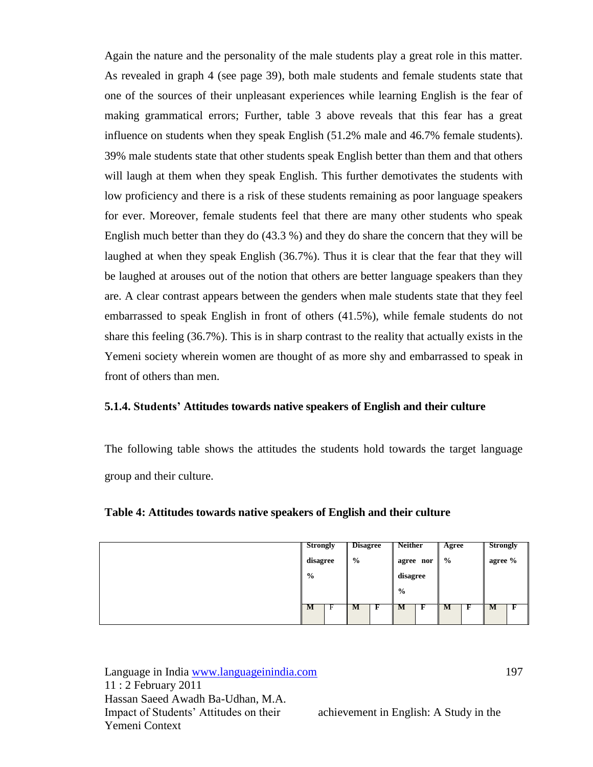Again the nature and the personality of the male students play a great role in this matter. As revealed in graph 4 (see page 39), both male students and female students state that one of the sources of their unpleasant experiences while learning English is the fear of making grammatical errors; Further, table 3 above reveals that this fear has a great influence on students when they speak English (51.2% male and 46.7% female students). 39% male students state that other students speak English better than them and that others will laugh at them when they speak English. This further demotivates the students with low proficiency and there is a risk of these students remaining as poor language speakers for ever. Moreover, female students feel that there are many other students who speak English much better than they do (43.3 %) and they do share the concern that they will be laughed at when they speak English (36.7%). Thus it is clear that the fear that they will be laughed at arouses out of the notion that others are better language speakers than they are. A clear contrast appears between the genders when male students state that they feel embarrassed to speak English in front of others (41.5%), while female students do not share this feeling (36.7%). This is in sharp contrast to the reality that actually exists in the Yemeni society wherein women are thought of as more shy and embarrassed to speak in front of others than men.

## **5.1.4. Students' Attitudes towards native speakers of English and their culture**

The following table shows the attitudes the students hold towards the target language group and their culture.

| <b>Strongly</b> |          | <b>Disagree</b> |               | <b>Neither</b> |               | Agree         |      | <b>Strongly</b> |    |  |  |
|-----------------|----------|-----------------|---------------|----------------|---------------|---------------|------|-----------------|----|--|--|
|                 | disagree |                 | $\frac{6}{6}$ |                | agree nor     | $\frac{0}{0}$ |      | agree %         |    |  |  |
| $\frac{0}{0}$   |          |                 |               | disagree       |               |               |      |                 |    |  |  |
|                 |          |                 |               |                | $\frac{6}{9}$ |               |      |                 |    |  |  |
| M               | F        | M               |               | M              | F             | M             | - 15 | -M              | к. |  |  |

#### **Table 4: Attitudes towards native speakers of English and their culture**

Language in India www.languageinindia.com 197 11 : 2 February 2011 Hassan Saeed Awadh Ba-Udhan, M.A. Impact of Students" Attitudes on their achievement in English: A Study in the Yemeni Context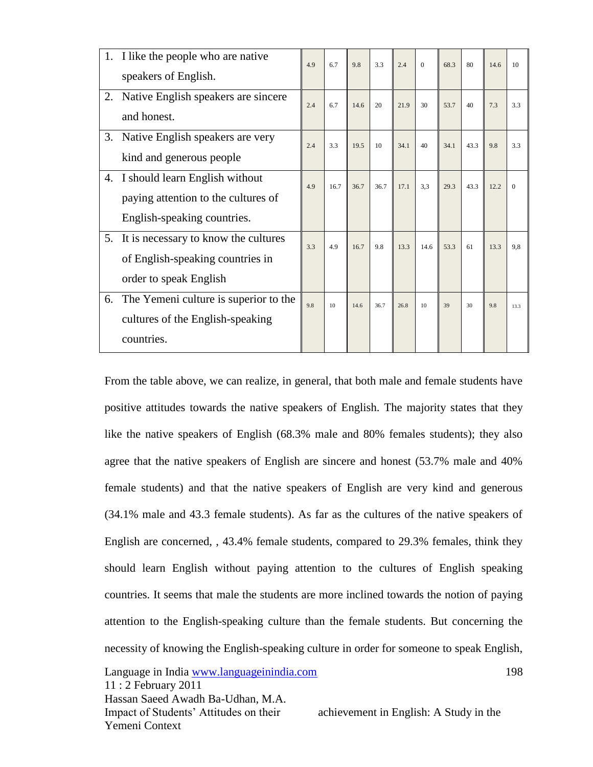|    | 1. I like the people who are native<br>speakers of English.                                             | 4.9 | 6.7  | 9.8  | 3.3  | 2.4  | $\theta$ | 68.3 | 80   | 14.6 | 10       |
|----|---------------------------------------------------------------------------------------------------------|-----|------|------|------|------|----------|------|------|------|----------|
| 2. | Native English speakers are sincere<br>and honest.                                                      | 2.4 | 6.7  | 14.6 | 20   | 21.9 | 30       | 53.7 | 40   | 7.3  | 3.3      |
| 3. | Native English speakers are very<br>kind and generous people                                            | 2.4 | 3.3  | 19.5 | 10   | 34.1 | 40       | 34.1 | 43.3 | 9.8  | 3.3      |
|    | 4. I should learn English without<br>paying attention to the cultures of<br>English-speaking countries. | 4.9 | 16.7 | 36.7 | 36.7 | 17.1 | 3.3      | 29.3 | 43.3 | 12.2 | $\Omega$ |
| 5. | It is necessary to know the cultures<br>of English-speaking countries in<br>order to speak English      | 3.3 | 4.9  | 16.7 | 9.8  | 13.3 | 14.6     | 53.3 | 61   | 13.3 | 9.8      |
| 6. | The Yemeni culture is superior to the<br>cultures of the English-speaking<br>countries.                 | 9.8 | 10   | 14.6 | 36.7 | 26.8 | 10       | 39   | 30   | 9.8  | 13.3     |

Language in India www.languageinindia.com 198 11 : 2 February 2011 Hassan Saeed Awadh Ba-Udhan, M.A. From the table above, we can realize, in general, that both male and female students have positive attitudes towards the native speakers of English. The majority states that they like the native speakers of English (68.3% male and 80% females students); they also agree that the native speakers of English are sincere and honest (53.7% male and 40% female students) and that the native speakers of English are very kind and generous (34.1% male and 43.3 female students). As far as the cultures of the native speakers of English are concerned, , 43.4% female students, compared to 29.3% females, think they should learn English without paying attention to the cultures of English speaking countries. It seems that male the students are more inclined towards the notion of paying attention to the English-speaking culture than the female students. But concerning the necessity of knowing the English-speaking culture in order for someone to speak English,

Impact of Students" Attitudes on their achievement in English: A Study in the Yemeni Context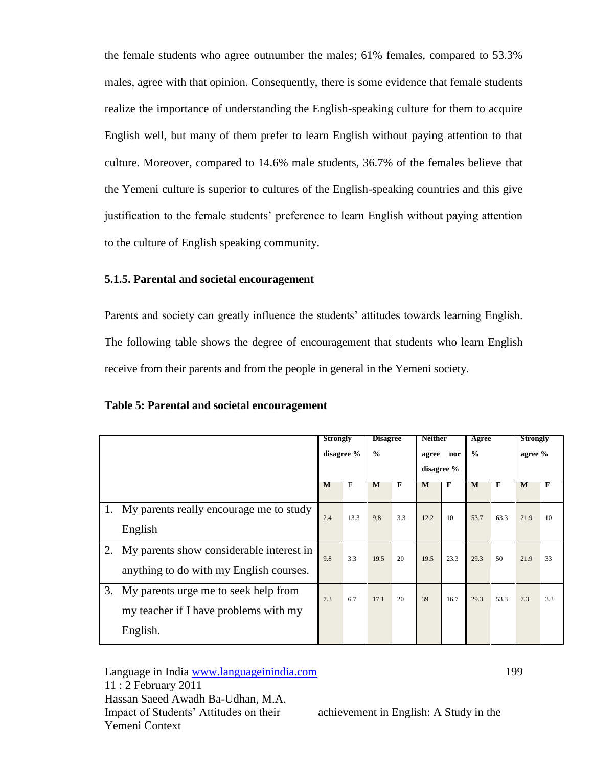the female students who agree outnumber the males; 61% females, compared to 53.3% males, agree with that opinion. Consequently, there is some evidence that female students realize the importance of understanding the English-speaking culture for them to acquire English well, but many of them prefer to learn English without paying attention to that culture. Moreover, compared to 14.6% male students, 36.7% of the females believe that the Yemeni culture is superior to cultures of the English-speaking countries and this give justification to the female students" preference to learn English without paying attention to the culture of English speaking community.

### **5.1.5. Parental and societal encouragement**

Parents and society can greatly influence the students' attitudes towards learning English. The following table shows the degree of encouragement that students who learn English receive from their parents and from the people in general in the Yemeni society.

|  |  |  |  | Table 5: Parental and societal encouragement |
|--|--|--|--|----------------------------------------------|
|--|--|--|--|----------------------------------------------|

|    |                                          | <b>Strongly</b> |      | <b>Disagree</b> |     | <b>Neither</b> |      | Agree         |         | <b>Strongly</b> |     |
|----|------------------------------------------|-----------------|------|-----------------|-----|----------------|------|---------------|---------|-----------------|-----|
|    |                                          | disagree %      |      | $\frac{0}{0}$   |     | agree<br>nor   |      | $\frac{0}{0}$ | agree % |                 |     |
|    |                                          |                 |      |                 |     | disagree %     |      |               |         |                 |     |
|    |                                          | M               | F    | M               | F   | M              | F    | M             | F       | M               | F   |
| 1. | My parents really encourage me to study  | 2.4             | 13.3 | 9.8             | 3.3 | 12.2           | 10   | 53.7          | 63.3    | 21.9            | 10  |
|    | English                                  |                 |      |                 |     |                |      |               |         |                 |     |
| 2. | My parents show considerable interest in | 9.8             | 3.3  | 19.5            | 20  | 19.5           | 23.3 | 29.3          | 50      | 21.9            | 33  |
|    | anything to do with my English courses.  |                 |      |                 |     |                |      |               |         |                 |     |
| 3. | My parents urge me to seek help from     | 7.3             | 6.7  | 17.1            | 20  | 39             | 16.7 | 29.3          | 53.3    | 7.3             | 3.3 |
|    | my teacher if I have problems with my    |                 |      |                 |     |                |      |               |         |                 |     |
|    | English.                                 |                 |      |                 |     |                |      |               |         |                 |     |

Language in India www.languageinindia.com 199 11 : 2 February 2011 Hassan Saeed Awadh Ba-Udhan, M.A. Impact of Students" Attitudes on their achievement in English: A Study in the Yemeni Context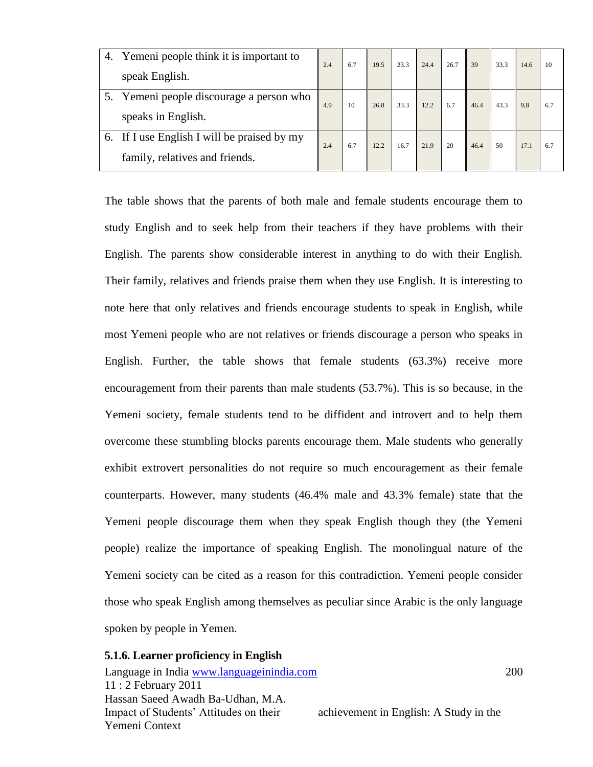| 4. Yemeni people think it is important to   | 2.4 | 6.7 | 19.5 | 23.3 | 24.4 | 26.7 | 39   | 33.3 | 14.6 | 10  |
|---------------------------------------------|-----|-----|------|------|------|------|------|------|------|-----|
| speak English.                              |     |     |      |      |      |      |      |      |      |     |
| 5. Yemeni people discourage a person who    | 4.9 | 10  | 26.8 | 33.3 | 12.2 | 6.7  | 46.4 | 43.3 | 9,8  | 6.7 |
| speaks in English.                          |     |     |      |      |      |      |      |      |      |     |
| 6. If I use English I will be praised by my | 2.4 | 6.7 | 12.2 | 16.7 | 21.9 | 20   | 46.4 | 50   | 17.1 | 6.7 |
| family, relatives and friends.              |     |     |      |      |      |      |      |      |      |     |

The table shows that the parents of both male and female students encourage them to study English and to seek help from their teachers if they have problems with their English. The parents show considerable interest in anything to do with their English. Their family, relatives and friends praise them when they use English. It is interesting to note here that only relatives and friends encourage students to speak in English, while most Yemeni people who are not relatives or friends discourage a person who speaks in English. Further, the table shows that female students (63.3%) receive more encouragement from their parents than male students (53.7%). This is so because, in the Yemeni society, female students tend to be diffident and introvert and to help them overcome these stumbling blocks parents encourage them. Male students who generally exhibit extrovert personalities do not require so much encouragement as their female counterparts. However, many students (46.4% male and 43.3% female) state that the Yemeni people discourage them when they speak English though they (the Yemeni people) realize the importance of speaking English. The monolingual nature of the Yemeni society can be cited as a reason for this contradiction. Yemeni people consider those who speak English among themselves as peculiar since Arabic is the only language spoken by people in Yemen.

#### **5.1.6. Learner proficiency in English**

Language in India www.languageinindia.com 200 11 : 2 February 2011 Hassan Saeed Awadh Ba-Udhan, M.A. Impact of Students" Attitudes on their achievement in English: A Study in the Yemeni Context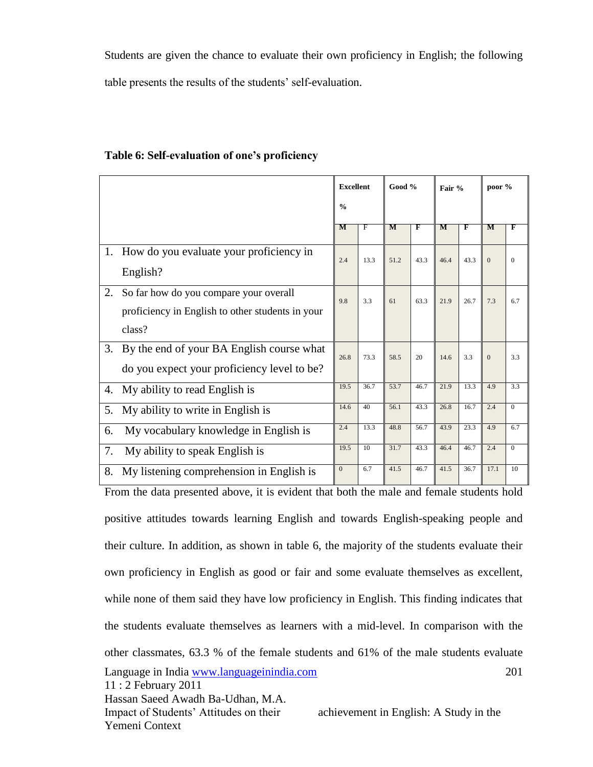Students are given the chance to evaluate their own proficiency in English; the following table presents the results of the students' self-evaluation.

|    |                                                  | <b>Excellent</b> |      | Good % |      | Fair % |      | poor %         |              |
|----|--------------------------------------------------|------------------|------|--------|------|--------|------|----------------|--------------|
|    |                                                  | $\frac{0}{0}$    |      |        |      |        |      |                |              |
|    |                                                  | M                | F    | М      | F    | M      | F    | M              | F            |
| 1. | How do you evaluate your proficiency in          | 2.4              | 13.3 | 51.2   | 43.3 | 46.4   | 43.3 | $\overline{0}$ | $\mathbf{0}$ |
|    | English?                                         |                  |      |        |      |        |      |                |              |
| 2. | So far how do you compare your overall           | 9.8              | 3.3  | 61     | 63.3 | 21.9   | 26.7 | 7.3            | 6.7          |
|    | proficiency in English to other students in your |                  |      |        |      |        |      |                |              |
|    | class?                                           |                  |      |        |      |        |      |                |              |
| 3. | By the end of your BA English course what        | 26.8             | 73.3 | 58.5   | 20   | 14.6   | 3.3  | $\overline{0}$ | 3.3          |
|    | do you expect your proficiency level to be?      |                  |      |        |      |        |      |                |              |
| 4. | My ability to read English is                    | 19.5             | 36.7 | 53.7   | 46.7 | 21.9   | 13.3 | 4.9            | 3.3          |
| 5. | My ability to write in English is                | 14.6             | 40   | 56.1   | 43.3 | 26.8   | 16.7 | 2.4            | $\mathbf{0}$ |
| 6. | My vocabulary knowledge in English is            | 2.4              | 13.3 | 48.8   | 56.7 | 43.9   | 23.3 | 4.9            | 6.7          |
| 7. | My ability to speak English is                   | 19.5             | 10   | 31.7   | 43.3 | 46.4   | 46.7 | 2.4            | $\mathbf{0}$ |
| 8. | My listening comprehension in English is         | $\boldsymbol{0}$ | 6.7  | 41.5   | 46.7 | 41.5   | 36.7 | 17.1           | 10           |

## **Table 6: Self-evaluation of one's proficiency**

Language in India www.languageinindia.com 201 11 : 2 February 2011 Hassan Saeed Awadh Ba-Udhan, M.A. Impact of Students" Attitudes on their achievement in English: A Study in the Yemeni Context From the data presented above, it is evident that both the male and female students hold positive attitudes towards learning English and towards English-speaking people and their culture. In addition, as shown in table 6, the majority of the students evaluate their own proficiency in English as good or fair and some evaluate themselves as excellent, while none of them said they have low proficiency in English. This finding indicates that the students evaluate themselves as learners with a mid-level. In comparison with the other classmates, 63.3 % of the female students and 61% of the male students evaluate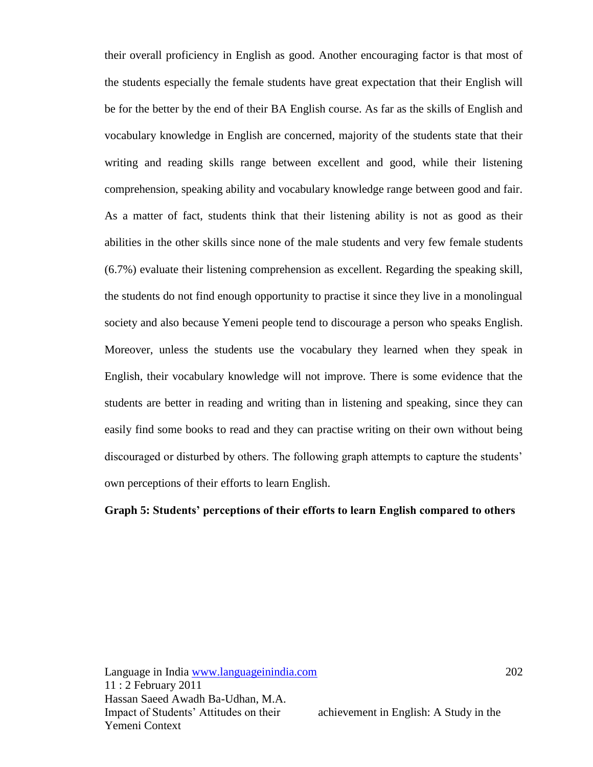their overall proficiency in English as good. Another encouraging factor is that most of the students especially the female students have great expectation that their English will be for the better by the end of their BA English course. As far as the skills of English and vocabulary knowledge in English are concerned, majority of the students state that their writing and reading skills range between excellent and good, while their listening comprehension, speaking ability and vocabulary knowledge range between good and fair. As a matter of fact, students think that their listening ability is not as good as their abilities in the other skills since none of the male students and very few female students (6.7%) evaluate their listening comprehension as excellent. Regarding the speaking skill, the students do not find enough opportunity to practise it since they live in a monolingual society and also because Yemeni people tend to discourage a person who speaks English. Moreover, unless the students use the vocabulary they learned when they speak in English, their vocabulary knowledge will not improve. There is some evidence that the students are better in reading and writing than in listening and speaking, since they can easily find some books to read and they can practise writing on their own without being discouraged or disturbed by others. The following graph attempts to capture the students' own perceptions of their efforts to learn English.

### **Graph 5: Students' perceptions of their efforts to learn English compared to others**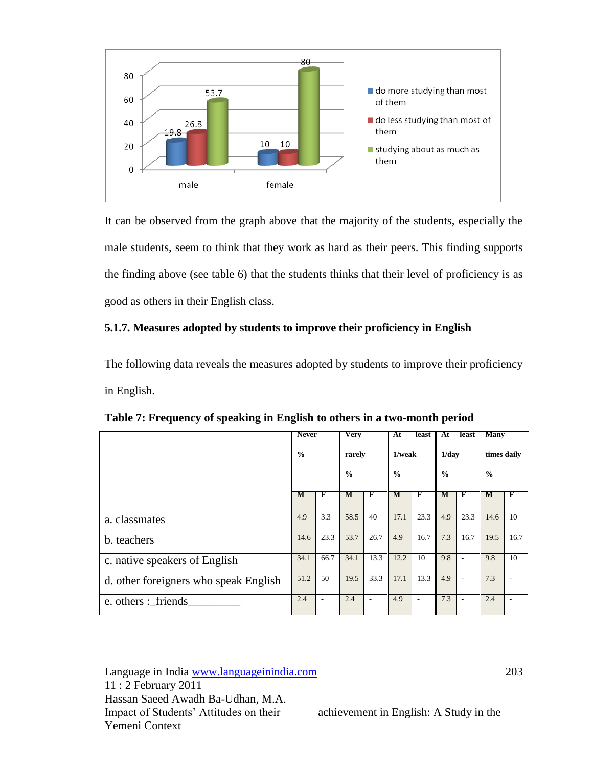

It can be observed from the graph above that the majority of the students, especially the male students, seem to think that they work as hard as their peers. This finding supports the finding above (see table 6) that the students thinks that their level of proficiency is as good as others in their English class.

## **5.1.7. Measures adopted by students to improve their proficiency in English**

The following data reveals the measures adopted by students to improve their proficiency in English.

|                                       | <b>Never</b>  |               | <b>Very</b> |        | At            | least                    | At    | least                    | <b>Many</b>   |      |  |
|---------------------------------------|---------------|---------------|-------------|--------|---------------|--------------------------|-------|--------------------------|---------------|------|--|
|                                       | $\frac{0}{0}$ |               |             | rarely | $1$ /weak     |                          | 1/dav |                          | times daily   |      |  |
|                                       |               | $\frac{0}{0}$ |             |        | $\frac{0}{0}$ |                          |       |                          | $\frac{0}{0}$ |      |  |
|                                       | M             | F             | M           | F      | M             | F                        | М     | F                        | M             | F    |  |
| a. classmates                         | 4.9           | 3.3           | 58.5        | 40     | 17.1          | 23.3                     | 4.9   | 23.3                     | 14.6          | 10   |  |
| b. teachers                           | 14.6          | 23.3          | 53.7        | 26.7   | 4.9           | 16.7                     | 7.3   | 16.7                     | 19.5          | 16.7 |  |
| c. native speakers of English         | 34.1          | 66.7          | 34.1        | 13.3   | 12.2          | 10                       | 9.8   | $\overline{\phantom{a}}$ | 9.8           | 10   |  |
| d. other foreigners who speak English | 51.2          | 50            | 19.5        | 33.3   | 17.1          | 13.3                     | 4.9   | ٠                        | 7.3           |      |  |
| e. others : friends                   | 2.4           |               | 2.4         | ٠      | 4.9           | $\overline{\phantom{a}}$ | 7.3   | ٠                        | 2.4           |      |  |

**Table 7: Frequency of speaking in English to others in a two-month period**

Language in India www.languageinindia.com 203 11 : 2 February 2011 Hassan Saeed Awadh Ba-Udhan, M.A. Impact of Students" Attitudes on their achievement in English: A Study in the Yemeni Context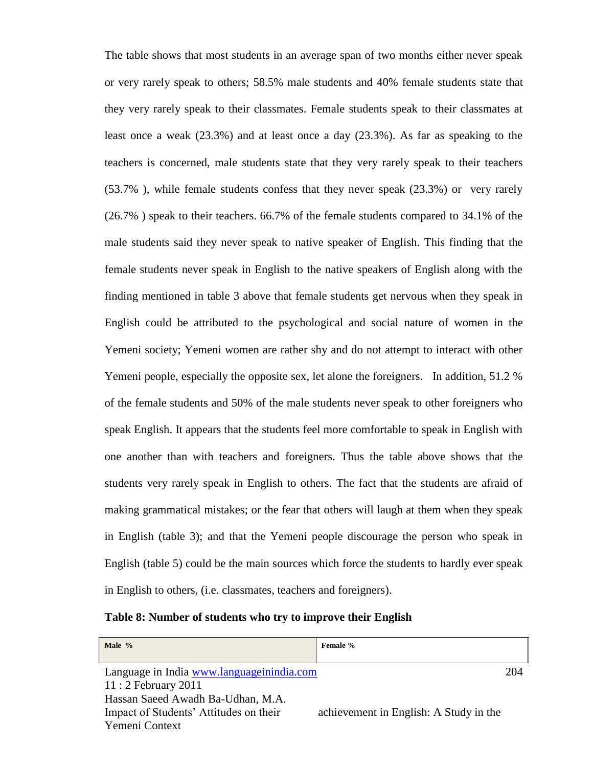The table shows that most students in an average span of two months either never speak or very rarely speak to others; 58.5% male students and 40% female students state that they very rarely speak to their classmates. Female students speak to their classmates at least once a weak (23.3%) and at least once a day (23.3%). As far as speaking to the teachers is concerned, male students state that they very rarely speak to their teachers (53.7% ), while female students confess that they never speak (23.3%) or very rarely (26.7% ) speak to their teachers. 66.7% of the female students compared to 34.1% of the male students said they never speak to native speaker of English. This finding that the female students never speak in English to the native speakers of English along with the finding mentioned in table 3 above that female students get nervous when they speak in English could be attributed to the psychological and social nature of women in the Yemeni society; Yemeni women are rather shy and do not attempt to interact with other Yemeni people, especially the opposite sex, let alone the foreigners. In addition, 51.2 % of the female students and 50% of the male students never speak to other foreigners who speak English. It appears that the students feel more comfortable to speak in English with one another than with teachers and foreigners. Thus the table above shows that the students very rarely speak in English to others. The fact that the students are afraid of making grammatical mistakes; or the fear that others will laugh at them when they speak in English (table 3); and that the Yemeni people discourage the person who speak in English (table 5) could be the main sources which force the students to hardly ever speak in English to others, (i.e. classmates, teachers and foreigners).

## **Table 8: Number of students who try to improve their English**

| Male $%$                                  | Female %                               |     |
|-------------------------------------------|----------------------------------------|-----|
|                                           |                                        |     |
| Language in India www.languageinindia.com |                                        | 204 |
| $11:2$ February 2011                      |                                        |     |
| Hassan Saeed Awadh Ba-Udhan, M.A.         |                                        |     |
| Impact of Students' Attitudes on their    | achievement in English: A Study in the |     |
| Yemeni Context                            |                                        |     |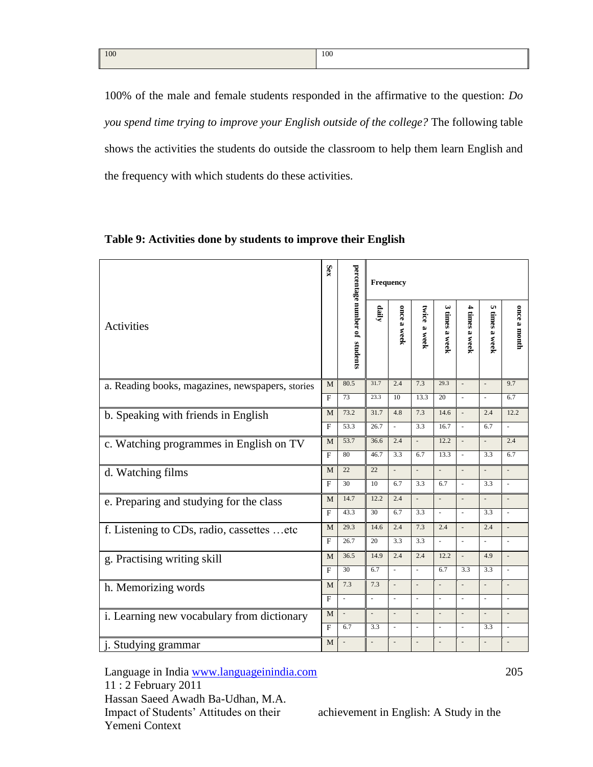100% of the male and female students responded in the affirmative to the question: *Do you spend time trying to improve your English outside of the college?* The following table shows the activities the students do outside the classroom to help them learn English and the frequency with which students do these activities.

|                                                  | Sex            |                               | Frequency                |                          |                          |                               |                          |                          |                          |
|--------------------------------------------------|----------------|-------------------------------|--------------------------|--------------------------|--------------------------|-------------------------------|--------------------------|--------------------------|--------------------------|
| Activities                                       |                | percentage number of students | daily                    | once a week              | twice<br>a week          | $\bm{\omega}$<br>times a week | 4 times a week           | <b>u</b><br>times a week | once a month             |
| a. Reading books, magazines, newspapers, stories | M              | 80.5                          | 31.7                     | 2.4                      | 7.3                      | 29.3                          | $\overline{a}$           | $\overline{a}$           | 9.7                      |
|                                                  | F              | 73                            | 23.3                     | 10                       | 13.3                     | 20                            | ÷,                       | ä,                       | 6.7                      |
| b. Speaking with friends in English              | M              | 73.2                          | 31.7                     | 4.8                      | 7.3                      | 14.6                          | $\frac{1}{2}$            | 2.4                      | 12.2                     |
|                                                  | $\mathbf{F}$   | 53.3                          | 26.7                     | $\overline{\phantom{a}}$ | 3.3                      | 16.7                          | ÷,                       | 6.7                      | ÷.                       |
| c. Watching programmes in English on TV          | M              | 53.7                          | 36.6                     | 2.4                      | ÷.                       | 12.2                          | $\frac{1}{2}$            | ä,                       | 2.4                      |
|                                                  | F              | 80                            | 46.7                     | 3.3                      | 6.7                      | 13.3                          | $\overline{\phantom{a}}$ | 3.3                      | 6.7                      |
| d. Watching films                                | M              | 22                            | 22                       | $\overline{\phantom{a}}$ | $\overline{\phantom{a}}$ | $\overline{\phantom{a}}$      | $\overline{\phantom{a}}$ | $\overline{\phantom{a}}$ | $\overline{\phantom{a}}$ |
|                                                  | $\overline{F}$ | 30                            | 10                       | 6.7                      | 3.3                      | 6.7                           | L.                       | 3.3                      |                          |
| e. Preparing and studying for the class          | M              | 14.7                          | 12.2                     | 2.4                      | $\frac{1}{2}$            | $\overline{a}$                | $\overline{a}$           | $\overline{\phantom{a}}$ | $\overline{\phantom{a}}$ |
|                                                  | $\overline{F}$ | 43.3                          | 30                       | 6.7                      | 3.3                      | $\frac{1}{2}$                 | $\overline{a}$           | 3.3                      | $\frac{1}{2}$            |
| f. Listening to CDs, radio, cassettes  etc       | M              | 29.3                          | 14.6                     | 2.4                      | 7.3                      | 2.4                           | $\overline{a}$           | 2.4                      |                          |
|                                                  | $\mathbf{F}$   | 26.7                          | 20                       | 3.3                      | 3.3                      | ÷,                            | $\overline{a}$           | ä,                       | ÷.                       |
| g. Practising writing skill                      | M              | 36.5                          | 14.9                     | 2.4                      | 2.4                      | 12.2                          | $\overline{\phantom{a}}$ | 4.9                      | $\frac{1}{2}$            |
|                                                  | ${\bf F}$      | 30                            | 6.7                      | $\overline{\phantom{a}}$ | ÷,                       | 6.7                           | 3.3                      | 3.3                      | ÷,                       |
| h. Memorizing words                              | M              | 7.3                           | 7.3                      | $\frac{1}{2}$            | $\overline{\phantom{a}}$ | ÷,                            | L,                       | ÷,                       | ÷,                       |
|                                                  | ${\bf F}$      | L.                            | $\overline{\phantom{a}}$ | ÷,                       | ÷,                       | ä,                            | $\overline{a}$           | ä,                       | $\mathcal{L}$            |
| i. Learning new vocabulary from dictionary       | M              | $\Box$                        | $\overline{\phantom{a}}$ | $\overline{a}$           | $\overline{\phantom{a}}$ | $\frac{1}{2}$                 | $\frac{1}{2}$            | $\frac{1}{2}$            | $\frac{1}{2}$            |
|                                                  | $\mathbf F$    | 6.7                           | 3.3                      | $\overline{\phantom{a}}$ | ÷,                       | ä,                            | ÷,                       | 3.3                      | ÷,                       |
| <i>j.</i> Studying grammar                       | M              |                               |                          | $\overline{\phantom{a}}$ | ÷,                       | ÷,                            | ÷,                       | ÷,                       |                          |

**Table 9: Activities done by students to improve their English**

Language in India www.languageinindia.com 205 11 : 2 February 2011 Hassan Saeed Awadh Ba-Udhan, M.A. Impact of Students" Attitudes on their achievement in English: A Study in the Yemeni Context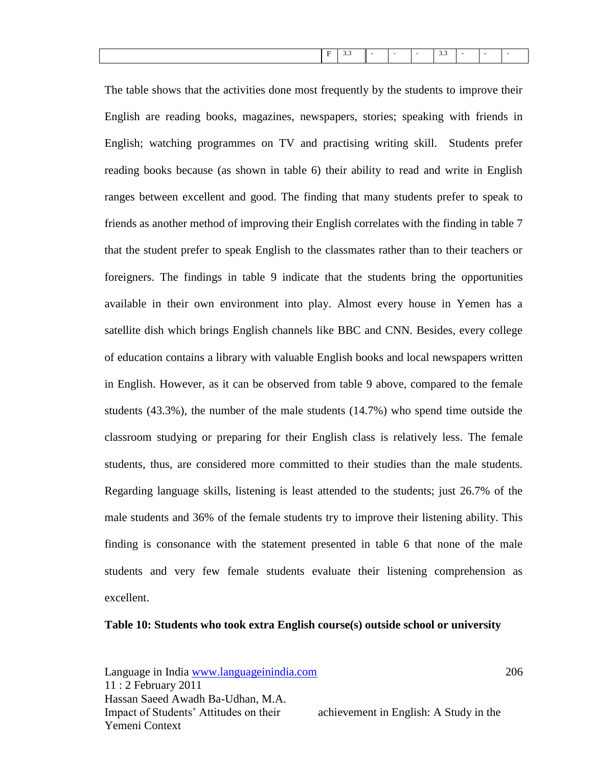The table shows that the activities done most frequently by the students to improve their English are reading books, magazines, newspapers, stories; speaking with friends in English; watching programmes on TV and practising writing skill. Students prefer reading books because (as shown in table 6) their ability to read and write in English ranges between excellent and good. The finding that many students prefer to speak to friends as another method of improving their English correlates with the finding in table 7 that the student prefer to speak English to the classmates rather than to their teachers or foreigners. The findings in table 9 indicate that the students bring the opportunities available in their own environment into play. Almost every house in Yemen has a satellite dish which brings English channels like BBC and CNN. Besides, every college of education contains a library with valuable English books and local newspapers written in English. However, as it can be observed from table 9 above, compared to the female students (43.3%), the number of the male students (14.7%) who spend time outside the classroom studying or preparing for their English class is relatively less. The female students, thus, are considered more committed to their studies than the male students. Regarding language skills, listening is least attended to the students; just 26.7% of the male students and 36% of the female students try to improve their listening ability. This finding is consonance with the statement presented in table 6 that none of the male students and very few female students evaluate their listening comprehension as excellent.

#### **Table 10: Students who took extra English course(s) outside school or university**

Language in India www.languageinindia.com 206 11 : 2 February 2011 Hassan Saeed Awadh Ba-Udhan, M.A. Impact of Students" Attitudes on their achievement in English: A Study in the Yemeni Context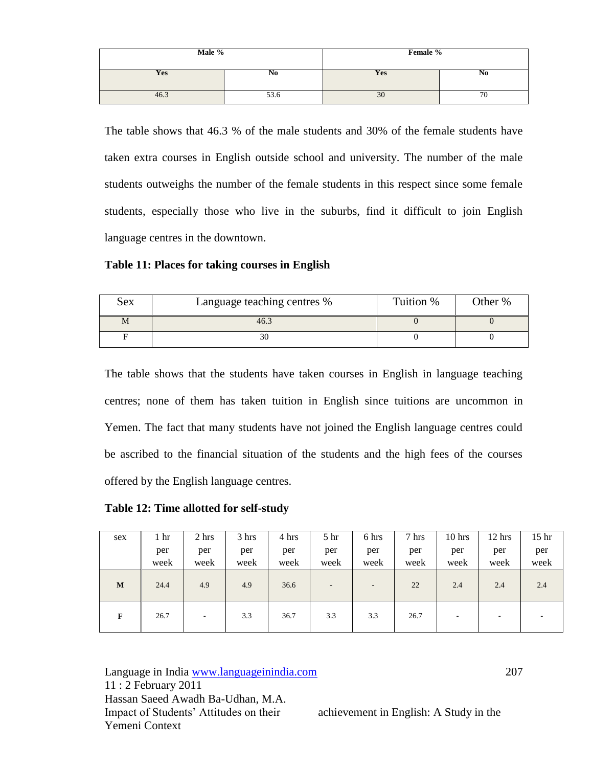| Male % |      | <b>Female</b> % |    |  |  |  |
|--------|------|-----------------|----|--|--|--|
| Y es   | NO   | t es            | No |  |  |  |
| 46.3   | 53.6 | 30              | 70 |  |  |  |

The table shows that 46.3 % of the male students and 30% of the female students have taken extra courses in English outside school and university. The number of the male students outweighs the number of the female students in this respect since some female students, especially those who live in the suburbs, find it difficult to join English language centres in the downtown.

## **Table 11: Places for taking courses in English**

| Sex | Language teaching centres % | Tuition % | Other % |
|-----|-----------------------------|-----------|---------|
| M   | 46.3                        |           |         |
|     |                             |           |         |

The table shows that the students have taken courses in English in language teaching centres; none of them has taken tuition in English since tuitions are uncommon in Yemen. The fact that many students have not joined the English language centres could be ascribed to the financial situation of the students and the high fees of the courses offered by the English language centres.

**Table 12: Time allotted for self-study**

| sex | 1 <sub>hr</sub> | 2 hrs                    | 3 hrs       | 4 hrs       | 5 <sup>hr</sup> | 6 hrs       | 7 hrs       | $10$ hrs    | $12$ hrs    | 15 <sup>hr</sup> |
|-----|-----------------|--------------------------|-------------|-------------|-----------------|-------------|-------------|-------------|-------------|------------------|
|     | per<br>week     | per<br>week              | per<br>week | per<br>week | per<br>week     | per<br>week | per<br>week | per<br>week | per<br>week | per<br>week      |
| M   | 24.4            | 4.9                      | 4.9         | 36.6        | -               |             | 22          | 2.4         | 2.4         | 2.4              |
| F   | 26.7            | $\overline{\phantom{a}}$ | 3.3         | 36.7        | 3.3             | 3.3         | 26.7        |             |             |                  |

Language in India www.languageinindia.com 207 11 : 2 February 2011 Hassan Saeed Awadh Ba-Udhan, M.A. Impact of Students" Attitudes on their achievement in English: A Study in the Yemeni Context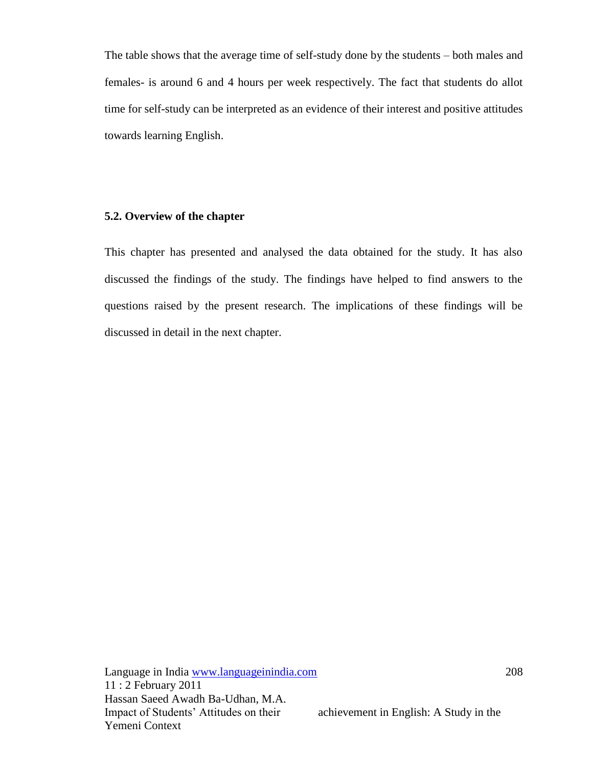The table shows that the average time of self-study done by the students – both males and females- is around 6 and 4 hours per week respectively. The fact that students do allot time for self-study can be interpreted as an evidence of their interest and positive attitudes towards learning English.

#### **5.2. Overview of the chapter**

This chapter has presented and analysed the data obtained for the study. It has also discussed the findings of the study. The findings have helped to find answers to the questions raised by the present research. The implications of these findings will be discussed in detail in the next chapter.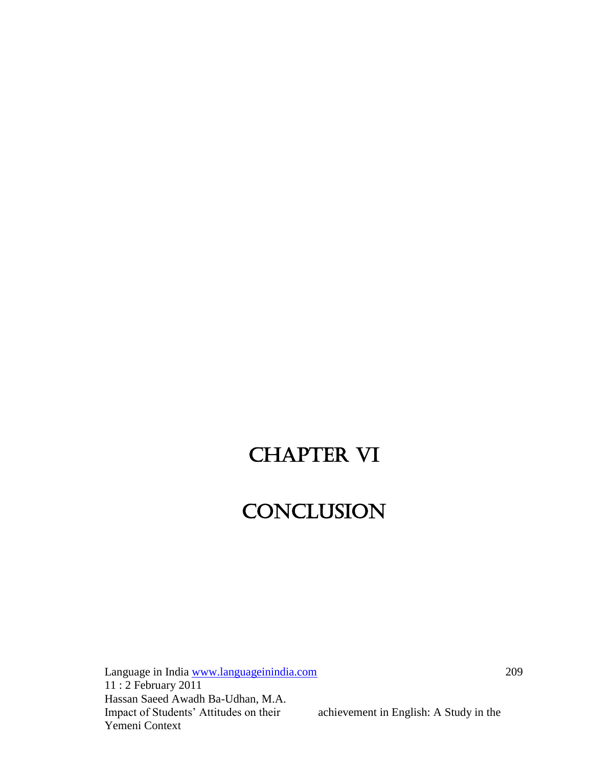## **CHAPTER VI**

# **CONCLUSION**

Language in India www.languageinindia.com 209 11 : 2 February 2011 Hassan Saeed Awadh Ba-Udhan, M.A. Impact of Students" Attitudes on their achievement in English: A Study in the Yemeni Context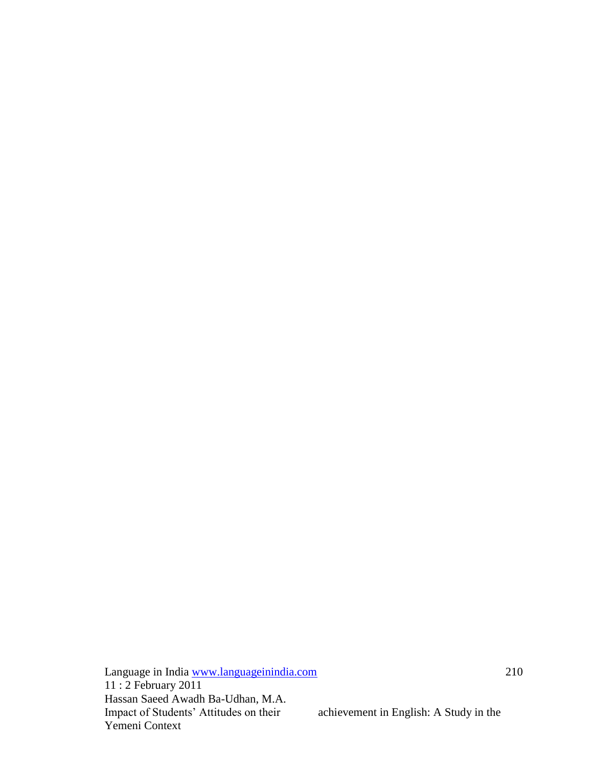Language in India www.languageinindia.com 210 11 : 2 February 2011 Hassan Saeed Awadh Ba-Udhan, M.A. Yemeni Context

achievement in English: A Study in the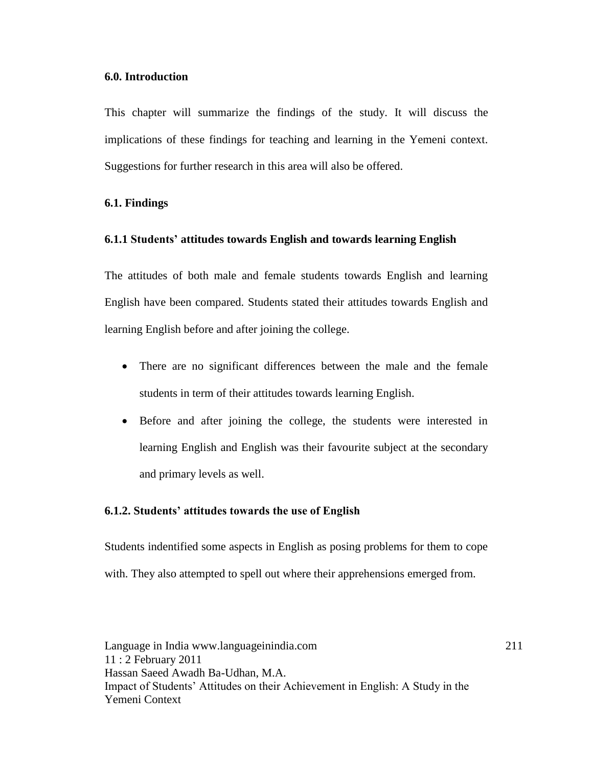#### **6.0. Introduction**

This chapter will summarize the findings of the study. It will discuss the implications of these findings for teaching and learning in the Yemeni context. Suggestions for further research in this area will also be offered.

#### **6.1. Findings**

#### **6.1.1 Students' attitudes towards English and towards learning English**

The attitudes of both male and female students towards English and learning English have been compared. Students stated their attitudes towards English and learning English before and after joining the college.

- There are no significant differences between the male and the female students in term of their attitudes towards learning English.
- Before and after joining the college, the students were interested in learning English and English was their favourite subject at the secondary and primary levels as well.

#### **6.1.2. Students' attitudes towards the use of English**

Students indentified some aspects in English as posing problems for them to cope with. They also attempted to spell out where their apprehensions emerged from.

Language in India www.languageinindia.com 211 11 : 2 February 2011 Hassan Saeed Awadh Ba-Udhan, M.A. Impact of Students" Attitudes on their Achievement in English: A Study in the Yemeni Context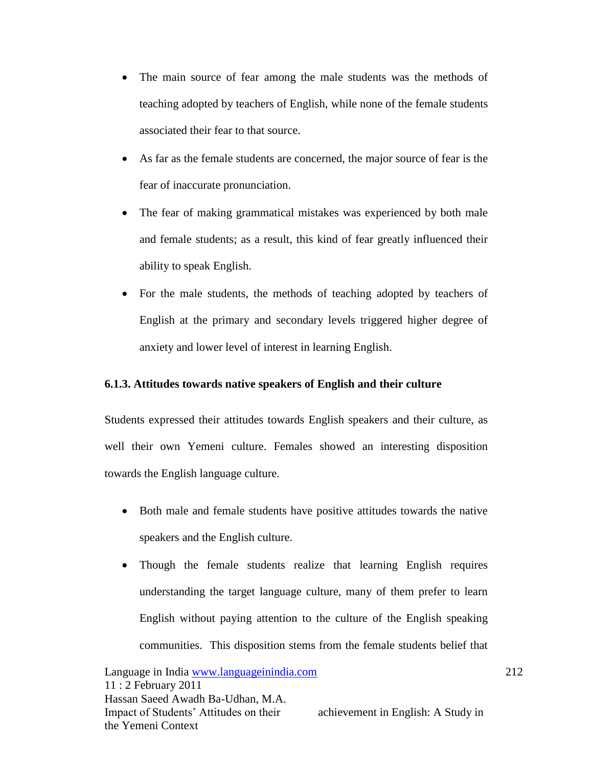- The main source of fear among the male students was the methods of teaching adopted by teachers of English, while none of the female students associated their fear to that source.
- As far as the female students are concerned, the major source of fear is the fear of inaccurate pronunciation.
- The fear of making grammatical mistakes was experienced by both male and female students; as a result, this kind of fear greatly influenced their ability to speak English.
- For the male students, the methods of teaching adopted by teachers of English at the primary and secondary levels triggered higher degree of anxiety and lower level of interest in learning English.

### **6.1.3. Attitudes towards native speakers of English and their culture**

Students expressed their attitudes towards English speakers and their culture, as well their own Yemeni culture. Females showed an interesting disposition towards the English language culture.

- Both male and female students have positive attitudes towards the native speakers and the English culture.
- Though the female students realize that learning English requires understanding the target language culture, many of them prefer to learn English without paying attention to the culture of the English speaking communities. This disposition stems from the female students belief that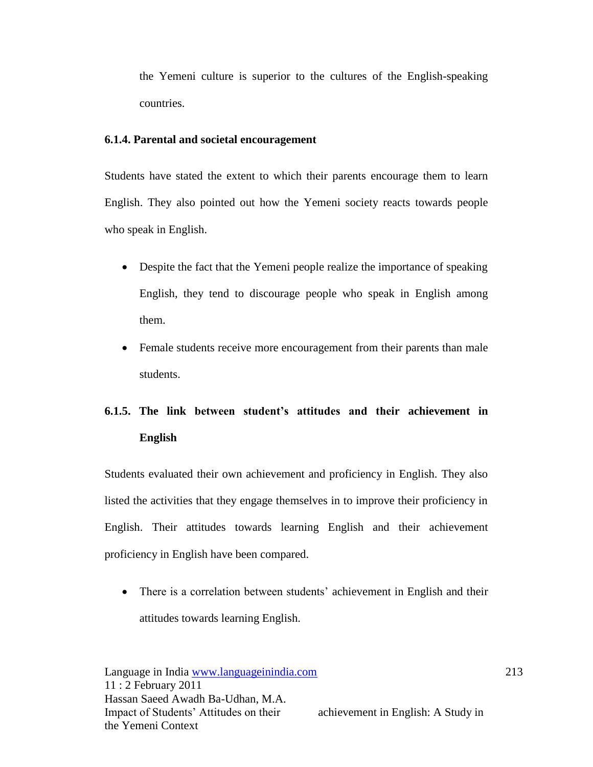the Yemeni culture is superior to the cultures of the English-speaking countries.

#### **6.1.4. Parental and societal encouragement**

Students have stated the extent to which their parents encourage them to learn English. They also pointed out how the Yemeni society reacts towards people who speak in English.

- Despite the fact that the Yemeni people realize the importance of speaking English, they tend to discourage people who speak in English among them.
- Female students receive more encouragement from their parents than male students.

# **6.1.5. The link between student's attitudes and their achievement in English**

Students evaluated their own achievement and proficiency in English. They also listed the activities that they engage themselves in to improve their proficiency in English. Their attitudes towards learning English and their achievement proficiency in English have been compared.

• There is a correlation between students' achievement in English and their attitudes towards learning English.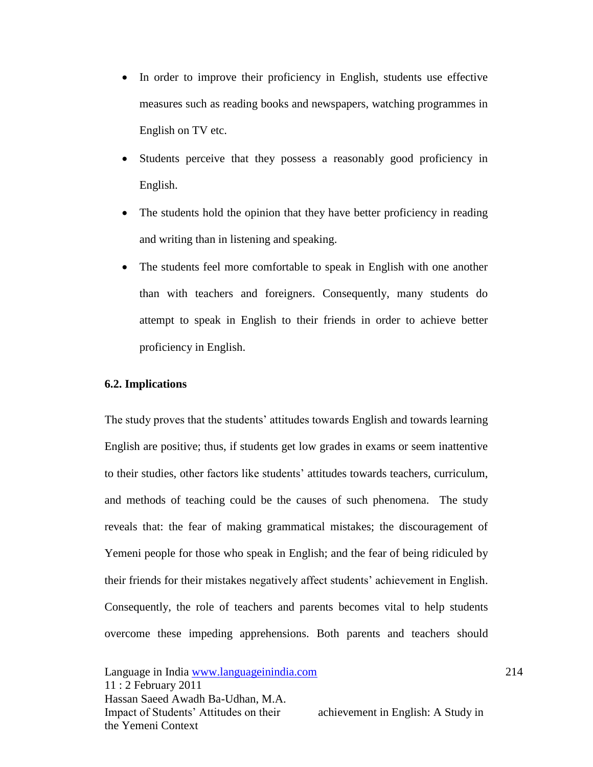- In order to improve their proficiency in English, students use effective measures such as reading books and newspapers, watching programmes in English on TV etc.
- Students perceive that they possess a reasonably good proficiency in English.
- The students hold the opinion that they have better proficiency in reading and writing than in listening and speaking.
- The students feel more comfortable to speak in English with one another than with teachers and foreigners. Consequently, many students do attempt to speak in English to their friends in order to achieve better proficiency in English.

#### **6.2. Implications**

The study proves that the students" attitudes towards English and towards learning English are positive; thus, if students get low grades in exams or seem inattentive to their studies, other factors like students" attitudes towards teachers, curriculum, and methods of teaching could be the causes of such phenomena. The study reveals that: the fear of making grammatical mistakes; the discouragement of Yemeni people for those who speak in English; and the fear of being ridiculed by their friends for their mistakes negatively affect students" achievement in English. Consequently, the role of teachers and parents becomes vital to help students overcome these impeding apprehensions. Both parents and teachers should

Language in India www.languageinindia.com 214 11 : 2 February 2011 Hassan Saeed Awadh Ba-Udhan, M.A. Impact of Students" Attitudes on their achievement in English: A Study in the Yemeni Context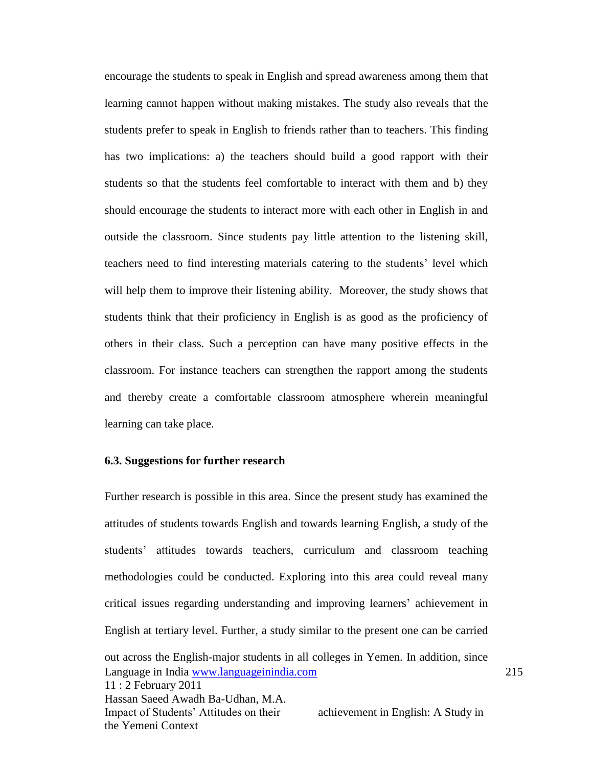encourage the students to speak in English and spread awareness among them that learning cannot happen without making mistakes. The study also reveals that the students prefer to speak in English to friends rather than to teachers. This finding has two implications: a) the teachers should build a good rapport with their students so that the students feel comfortable to interact with them and b) they should encourage the students to interact more with each other in English in and outside the classroom. Since students pay little attention to the listening skill, teachers need to find interesting materials catering to the students" level which will help them to improve their listening ability. Moreover, the study shows that students think that their proficiency in English is as good as the proficiency of others in their class. Such a perception can have many positive effects in the classroom. For instance teachers can strengthen the rapport among the students and thereby create a comfortable classroom atmosphere wherein meaningful learning can take place.

#### **6.3. Suggestions for further research**

Language in India www.languageinindia.com 215 11 : 2 February 2011 Hassan Saeed Awadh Ba-Udhan, M.A. Further research is possible in this area. Since the present study has examined the attitudes of students towards English and towards learning English, a study of the students" attitudes towards teachers, curriculum and classroom teaching methodologies could be conducted. Exploring into this area could reveal many critical issues regarding understanding and improving learners" achievement in English at tertiary level. Further, a study similar to the present one can be carried out across the English-major students in all colleges in Yemen. In addition, since

Impact of Students" Attitudes on their achievement in English: A Study in the Yemeni Context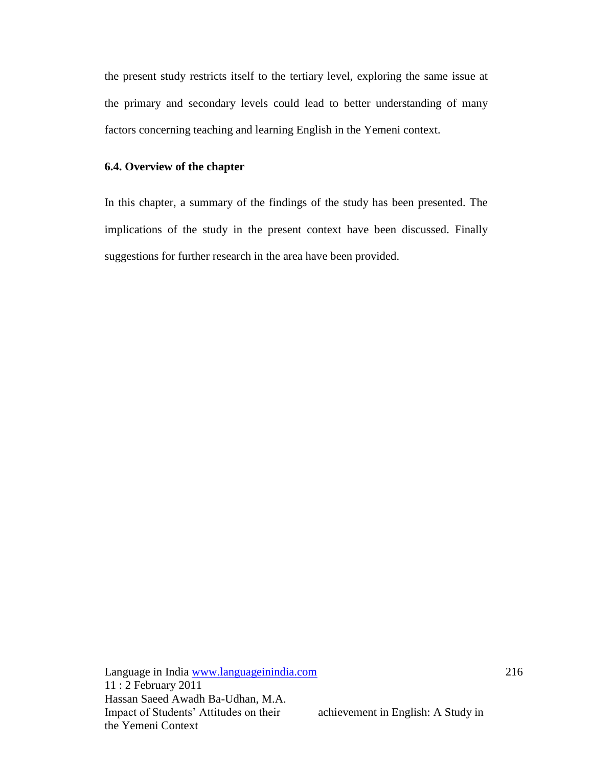the present study restricts itself to the tertiary level, exploring the same issue at the primary and secondary levels could lead to better understanding of many factors concerning teaching and learning English in the Yemeni context.

#### **6.4. Overview of the chapter**

In this chapter, a summary of the findings of the study has been presented. The implications of the study in the present context have been discussed. Finally suggestions for further research in the area have been provided.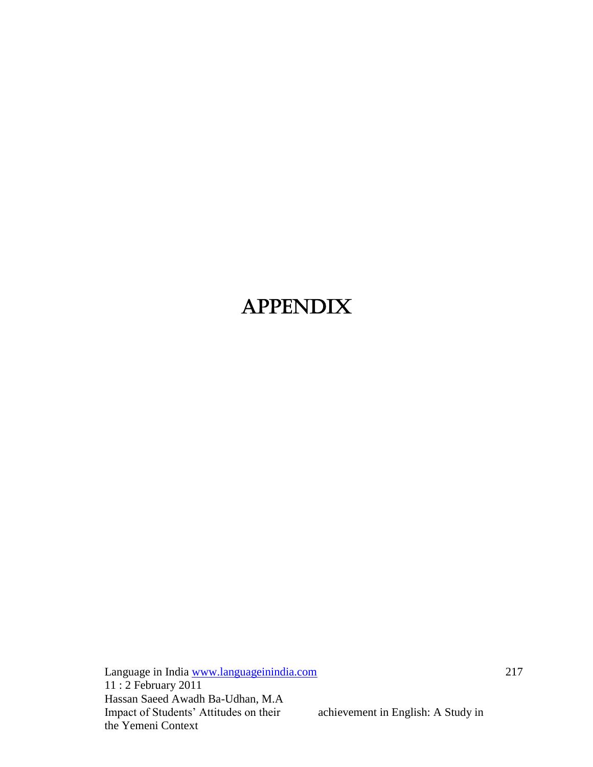# **APPENDIX**

Language in India www.languageinindia.com 217 11 : 2 February 2011 Hassan Saeed Awadh Ba-Udhan, M.A. Impact of Students" Attitudes on their achievement in English: A Study in the Yemeni Context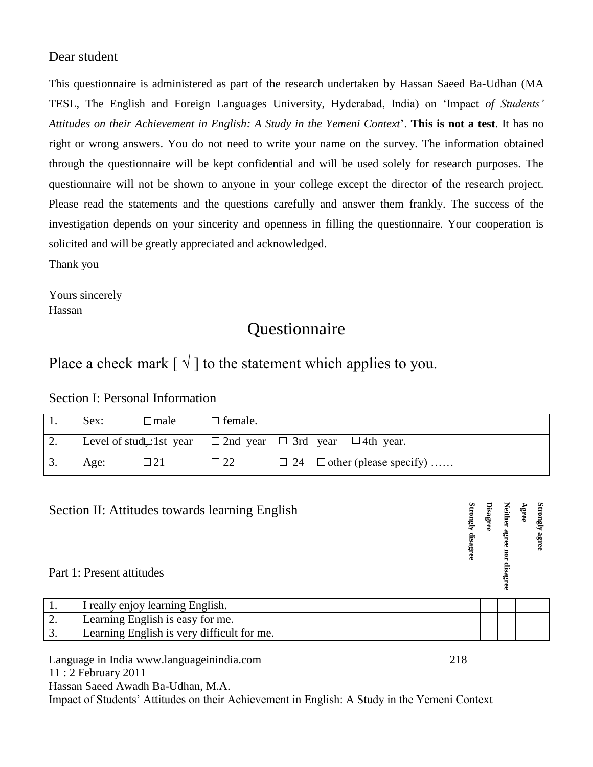### Dear student

This questionnaire is administered as part of the research undertaken by Hassan Saeed Ba-Udhan (MA TESL, The English and Foreign Languages University, Hyderabad, India) on "Impact *of Students' Attitudes on their Achievement in English: A Study in the Yemeni Context*". **This is not a test**. It has no right or wrong answers. You do not need to write your name on the survey. The information obtained through the questionnaire will be kept confidential and will be used solely for research purposes. The questionnaire will not be shown to anyone in your college except the director of the research project. Please read the statements and the questions carefully and answer them frankly. The success of the investigation depends on your sincerity and openness in filling the questionnaire. Your cooperation is solicited and will be greatly appreciated and acknowledged.

Thank you

Yours sincerely Hassan

# Questionnaire

Place a check mark  $\lceil \sqrt{x} \rceil$  to the statement which applies to you.

## Section I: Personal Information

| Sex: | $\Box$ male                                                                    | $\Box$ female. |  |                                         |
|------|--------------------------------------------------------------------------------|----------------|--|-----------------------------------------|
|      | Level of stud $\Box$ 1st year $\Box$ 2nd year $\Box$ 3rd year $\Box$ 4th year. |                |  |                                         |
| Age: |                                                                                | $\Box$ 22      |  | $\Box$ 24 $\Box$ other (please specify) |

| Section II: Attitudes towards learning English<br>Part 1: Present attitudes |  |  |  | eree | Ştr<br>$\Lambda$ ano<br>agree |
|-----------------------------------------------------------------------------|--|--|--|------|-------------------------------|
| I really enjoy learning English.                                            |  |  |  |      |                               |
| Learning English is easy for me.<br>2.                                      |  |  |  |      |                               |
| Learning English is very difficult for me.                                  |  |  |  |      |                               |

Language in India www.languageinindia.com 218

11 : 2 February 2011

Hassan Saeed Awadh Ba-Udhan, M.A.

Impact of Students" Attitudes on their Achievement in English: A Study in the Yemeni Context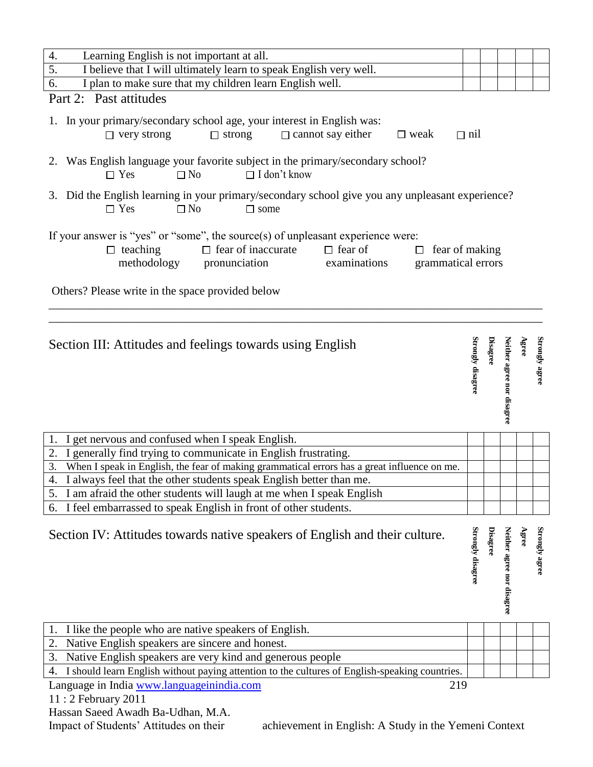| Learning English is not important at all.<br>4.                                                                                                                                                                                |                   |                 |                            |       |                |
|--------------------------------------------------------------------------------------------------------------------------------------------------------------------------------------------------------------------------------|-------------------|-----------------|----------------------------|-------|----------------|
| 5.<br>I believe that I will ultimately learn to speak English very well.                                                                                                                                                       |                   |                 |                            |       |                |
| 6.<br>I plan to make sure that my children learn English well.                                                                                                                                                                 |                   |                 |                            |       |                |
| Part 2: Past attitudes                                                                                                                                                                                                         |                   |                 |                            |       |                |
| 1. In your primary/secondary school age, your interest in English was:<br>$\Box$ cannot say either<br>$\Box$ strong<br>$\Box$ weak<br>$\Box$ very strong<br>$\Box$ nil                                                         |                   |                 |                            |       |                |
| 2. Was English language your favorite subject in the primary/secondary school?<br>$\Box$ I don't know<br>$\Box$ No<br>$\Box$ Yes                                                                                               |                   |                 |                            |       |                |
| 3. Did the English learning in your primary/secondary school give you any unpleasant experience?<br>$\Box$ Yes<br>$\Box$ No<br>$\Box$ some                                                                                     |                   |                 |                            |       |                |
| If your answer is "yes" or "some", the source(s) of unpleasant experience were:<br>$\Box$ fear of<br>$\Box$ fear of inaccurate<br>$\Box$ teaching<br>$\Box$<br>methodology pronunciation<br>grammatical errors<br>examinations | fear of making    |                 |                            |       |                |
| Others? Please write in the space provided below                                                                                                                                                                               |                   |                 |                            |       |                |
| Section III: Attitudes and feelings towards using English                                                                                                                                                                      | Strongly disagree | <b>Disagree</b> |                            | Agree | Strongly agree |
|                                                                                                                                                                                                                                |                   |                 | Neither agree nor disagree |       |                |
|                                                                                                                                                                                                                                |                   |                 |                            |       |                |
| $\overline{1.}$ I get nervous and confused when I speak English.                                                                                                                                                               |                   |                 |                            |       |                |
| 2. I generally find trying to communicate in English frustrating.<br>3.                                                                                                                                                        |                   |                 |                            |       |                |
| When I speak in English, the fear of making grammatical errors has a great influence on me.<br>4.                                                                                                                              |                   |                 |                            |       |                |
| I always feel that the other students speak English better than me.<br>5.                                                                                                                                                      |                   |                 |                            |       |                |
| I am afraid the other students will laugh at me when I speak English<br>6.                                                                                                                                                     |                   |                 |                            |       |                |
| I feel embarrassed to speak English in front of other students.<br>Section IV: Attitudes towards native speakers of English and their culture.                                                                                 | Strongly disagree | <b>Disagree</b> | Neither agree nor disagree | Agree | Strongly agree |
| I like the people who are native speakers of English.<br>1.                                                                                                                                                                    |                   |                 |                            |       |                |
| Native English speakers are sincere and honest.<br>2.                                                                                                                                                                          |                   |                 |                            |       |                |
| Native English speakers are very kind and generous people<br>3.                                                                                                                                                                |                   |                 |                            |       |                |
| I should learn English without paying attention to the cultures of English-speaking countries.<br>4.<br>Language in India www.languageinindia.com                                                                              |                   |                 |                            |       |                |

11 : 2 February 2011

Hassan Saeed Awadh Ba-Udhan, M.A.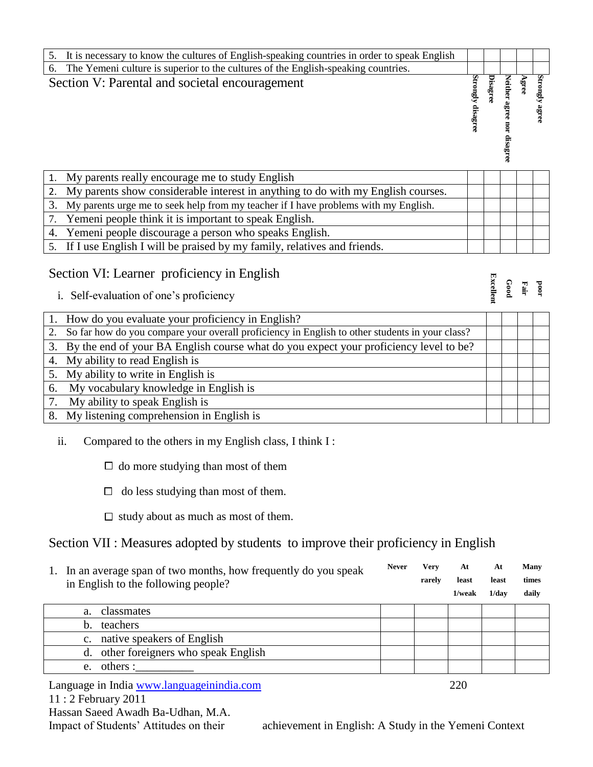| 5. It is necessary to know the cultures of English-speaking countries in order to speak English |              |  |  |      |
|-------------------------------------------------------------------------------------------------|--------------|--|--|------|
| 6. The Yemeni culture is superior to the cultures of the English-speaking countries.            |              |  |  |      |
| Section V: Parental and societal encouragement                                                  | ឲ្ន<br>iarec |  |  | វុធី |

| 1. My parents really encourage me to study English                                     |  |  |  |
|----------------------------------------------------------------------------------------|--|--|--|
| 2. My parents show considerable interest in anything to do with my English courses.    |  |  |  |
| 3. My parents urge me to seek help from my teacher if I have problems with my English. |  |  |  |
| 7. Yemeni people think it is important to speak English.                               |  |  |  |
| 4. Yemeni people discourage a person who speaks English.                               |  |  |  |
| 5. If I use English I will be praised by my family, relatives and friends.             |  |  |  |

# Section VI: Learner proficiency in English

i. Self-evaluation of one"s proficiency

## 1. How do you evaluate your proficiency in English? 2. So far how do you compare your overall proficiency in English to other students in your class? 3. By the end of your BA English course what do you expect your proficiency level to be? 4. My ability to read English is 5. My ability to write in English is 6. My vocabulary knowledge in English is 7. My ability to speak English is 8. My listening comprehension in English is

#### ii. Compared to the others in my English class, I think I :

 $\Box$  do more studying than most of them

- $\Box$  do less studying than most of them.
- $\Box$  study about as much as most of them.

# Section VII : Measures adopted by students to improve their proficiency in English

1. In an average span of two months, how frequently do you speak in English to the following people? **Never Very rarely At least 1/weak At least 1/day Many times daily**

| classmates                            |  |  |  |
|---------------------------------------|--|--|--|
| teachers                              |  |  |  |
| c. native speakers of English         |  |  |  |
| d. other foreigners who speak English |  |  |  |
| others :                              |  |  |  |

Language in India www.languageinindia.com 220

11 : 2 February 2011

Hassan Saeed Awadh Ba-Udhan, M.A.

Impact of Students" Attitudes on their achievement in English: A Study in the Yemeni Context

**Excellent** Excellen **Good Fair poor**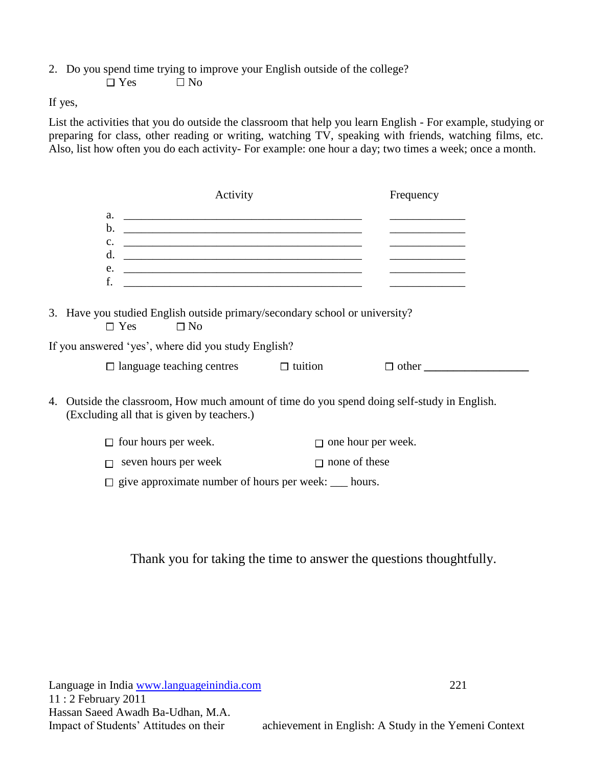#### 2. Do you spend time trying to improve your English outside of the college?  $\Box$  Yes  $\Box$  No

If yes,

List the activities that you do outside the classroom that help you learn English - For example, studying or preparing for class, other reading or writing, watching TV, speaking with friends, watching films, etc. Also, list how often you do each activity- For example: one hour a day; two times a week; once a month.

| Activity                                                                                                                    | Frequency    |
|-----------------------------------------------------------------------------------------------------------------------------|--------------|
|                                                                                                                             |              |
| b.                                                                                                                          |              |
| c.<br>d.                                                                                                                    |              |
| e.                                                                                                                          |              |
| f.<br><u> 1989 - Johann Harry Harry Harry Harry Harry Harry Harry Harry Harry Harry Harry Harry Harry Harry Harry Harry</u> |              |
| 3. Have you studied English outside primary/secondary school or university?<br>$\Box$ Yes $\Box$ No                         |              |
| If you answered 'yes', where did you study English?                                                                         |              |
| $\Box$ language teaching centres $\Box$ tuition                                                                             | $\Box$ other |
|                                                                                                                             |              |

4. Outside the classroom, How much amount of time do you spend doing self-study in English. (Excluding all that is given by teachers.)

| $\Box$ four hours per week. | $\Box$ one hour per week. |
|-----------------------------|---------------------------|
| $\Box$ seven hours per week | $\Box$ none of these      |

 $\Box$  give approximate number of hours per week:  $\Box$  hours.

Thank you for taking the time to answer the questions thoughtfully.

Language in India www.languageinindia.com 221 11 : 2 February 2011 Hassan Saeed Awadh Ba-Udhan, M.A.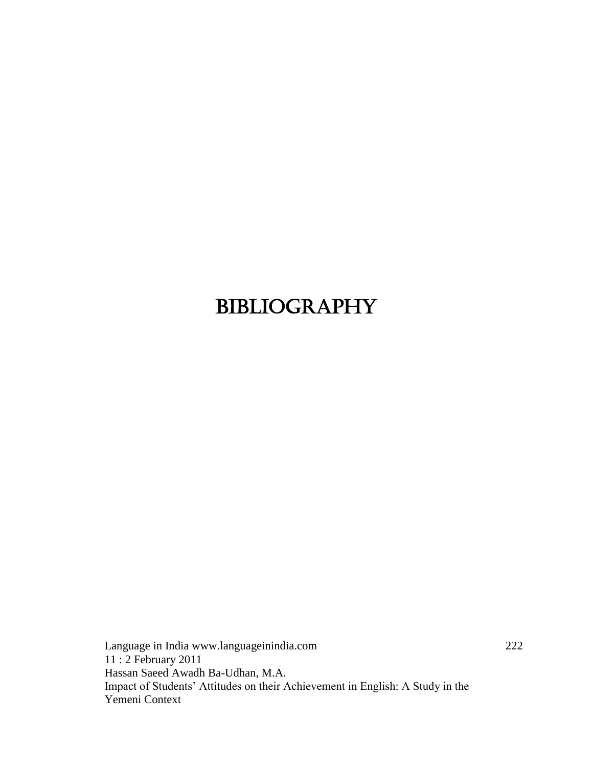# **BIBLIOGRAPHY**

Language in India www.languageinindia.com 222 11 : 2 February 2011 Hassan Saeed Awadh Ba-Udhan, M.A. Impact of Students" Attitudes on their Achievement in English: A Study in the Yemeni Context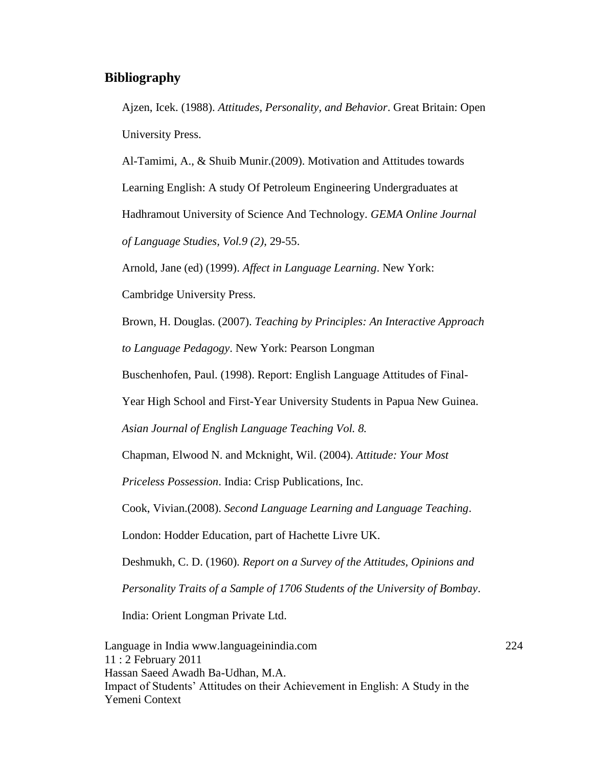#### **Bibliography**

Ajzen, Icek. (1988). *Attitudes, Personality, and Behavior*. Great Britain: Open University Press.

Al-Tamimi, A., & Shuib Munir.(2009). Motivation and Attitudes towards Learning English: A study Of Petroleum Engineering Undergraduates at Hadhramout University of Science And Technology. *GEMA Online Journal of Language Studies, Vol.9 (2)*, 29-55.

Arnold, Jane (ed) (1999). *Affect in Language Learning*. New York:

Cambridge University Press.

Brown, H. Douglas. (2007). *Teaching by Principles: An Interactive Approach* 

*to Language Pedagogy*. New York: Pearson Longman

Buschenhofen, Paul. (1998). Report: English Language Attitudes of Final-

Year High School and First-Year University Students in Papua New Guinea.

*Asian Journal of English Language Teaching Vol. 8.*

Chapman, Elwood N. and Mcknight, Wil. (2004). *Attitude: Your Most* 

*Priceless Possession*. India: Crisp Publications, Inc.

Cook, Vivian.(2008). *Second Language Learning and Language Teaching*.

London: Hodder Education, part of Hachette Livre UK.

Deshmukh, C. D. (1960). *Report on a Survey of the Attitudes, Opinions and* 

*Personality Traits of a Sample of 1706 Students of the University of Bombay*.

India: Orient Longman Private Ltd.

Language in India www.languageinindia.com 224 11 : 2 February 2011 Hassan Saeed Awadh Ba-Udhan, M.A. Impact of Students" Attitudes on their Achievement in English: A Study in the Yemeni Context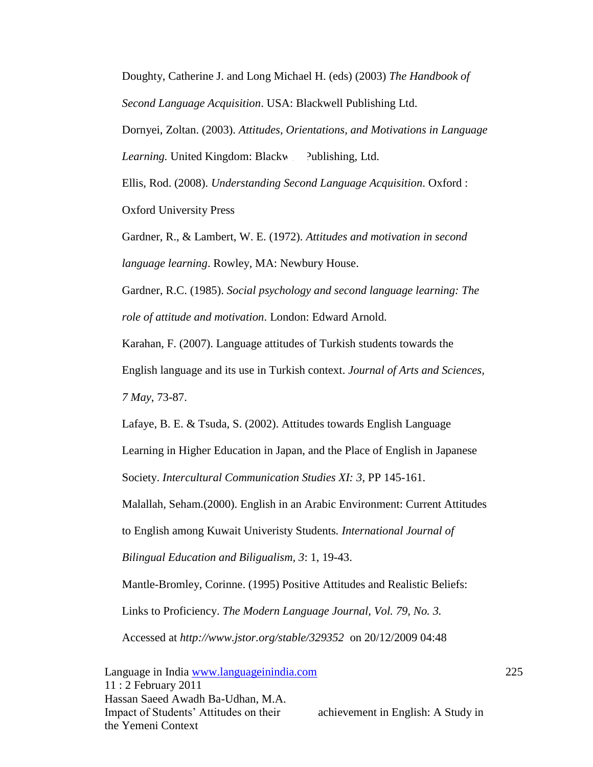Doughty, Catherine J. and Long Michael H. (eds) (2003) *The Handbook of Second Language Acquisition*. USA: Blackwell Publishing Ltd.

Dornyei, Zoltan. (2003). *Attitudes, Orientations, and Motivations in Language Learning.* United Kingdom: Blackw<sub>rn</sub> Publishing, Ltd.

Ellis, Rod. (2008). *Understanding Second Language Acquisition*. Oxford : Oxford University Press

Gardner, R., & Lambert, W. E. (1972). *Attitudes and motivation in second language learning*. Rowley, MA: Newbury House.

Gardner, R.C. (1985). *Social psychology and second language learning: The role of attitude and motivation*. London: Edward Arnold.

Karahan, F. (2007). Language attitudes of Turkish students towards the

English language and its use in Turkish context. *Journal of Arts and Sciences,* 

*7 May*, 73-87.

Lafaye, B. E. & Tsuda, S. (2002). Attitudes towards English Language

Learning in Higher Education in Japan, and the Place of English in Japanese

Society. *Intercultural Communication Studies XI: 3*, PP 145-161.

Malallah, Seham.(2000). English in an Arabic Environment: Current Attitudes

to English among Kuwait Univeristy Students*. International Journal of* 

*Bilingual Education and Biligualism, 3*: 1, 19-43.

Mantle-Bromley, Corinne. (1995) Positive Attitudes and Realistic Beliefs:

Links to Proficiency. *The Modern Language Journal, Vol. 79, No. 3.*

Accessed at *http://www.jstor.org/stable/329352* on 20/12/2009 04:48

Language in India www.languageinindia.com 225 11 : 2 February 2011 Hassan Saeed Awadh Ba-Udhan, M.A. Impact of Students" Attitudes on their achievement in English: A Study in the Yemeni Context